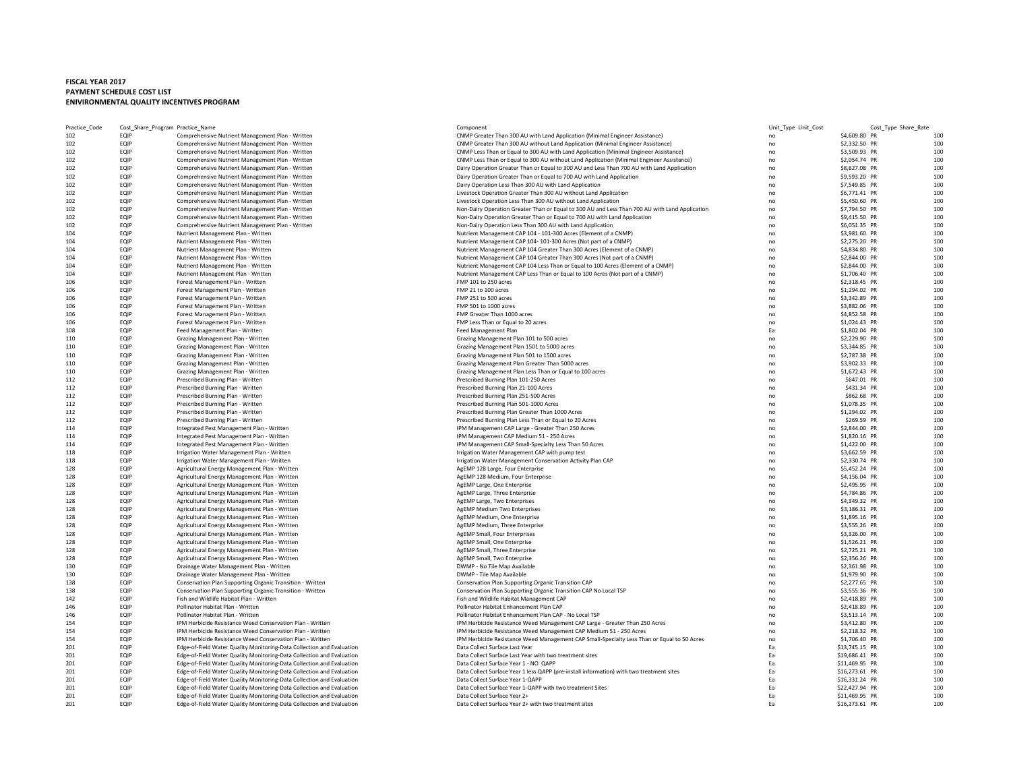## **FISCAL YEAR 2017 PAYMENT SCHEDULE COST LIST ENIVIRONMENTAL QUALITY INCENTIVES PROGRAM**

| Practice_Code | Cost_Share_Program Practice_Name |                                                                       | Component                                                                                      | Unit_Type Unit_Cost | Cost_Type Share_Rate |     |
|---------------|----------------------------------|-----------------------------------------------------------------------|------------------------------------------------------------------------------------------------|---------------------|----------------------|-----|
| 102           | EQIP                             | Comprehensive Nutrient Management Plan - Written                      | CNMP Greater Than 300 AU with Land Application (Minimal Engineer Assistance)                   | no                  | \$4,609.80 PR        | 100 |
| 102           | EQIP                             | Comprehensive Nutrient Management Plan - Written                      | CNMP Greater Than 300 AU without Land Application (Minimal Engineer Assistance)                | no                  | \$2,332.50 PR        | 100 |
| 102           | <b>FOIP</b>                      | Comprehensive Nutrient Management Plan - Written                      | CNMP Less Than or Equal to 300 AU with Land Application (Minimal Engineer Assistance)          | no                  | \$3,509.93 PR        | 100 |
| 102           | <b>FOIP</b>                      | Comprehensive Nutrient Management Plan - Written                      | CNMP Less Than or Equal to 300 AU without Land Application (Minimal Engineer Assistance)       | no                  | \$2.054.74 PR        | 100 |
| 102           | EQIP                             | Comprehensive Nutrient Management Plan - Written                      | Dairy Operation Greater Than or Equal to 300 AU and Less Than 700 AU with Land Application     | no                  | \$8,627.08 PR        | 100 |
| 102           | EQIP                             | Comprehensive Nutrient Management Plan - Written                      | Dairy Operation Greater Than or Equal to 700 AU with Land Application                          | no                  | \$9,593.20 PR        | 100 |
| 102           | EQIP                             | Comprehensive Nutrient Management Plan - Written                      | Dairy Operation Less Than 300 AU with Land Application                                         | no                  | \$7,549.85 PR        | 100 |
| 102           | EQIP                             | Comprehensive Nutrient Management Plan - Written                      | Livestock Operation Greater Than 300 AU without Land Application                               | no                  | \$6,771.41 PR        | 100 |
| 102           | EQIP                             | Comprehensive Nutrient Management Plan - Written                      | Livestock Operation Less Than 300 AU without Land Application                                  | no                  | \$5,450.60 PR        | 100 |
| 102           | EQIP                             | Comprehensive Nutrient Management Plan - Written                      | Non-Dairy Operation Greater Than or Equal to 300 AU and Less Than 700 AU with Land Application | no                  | \$7,794.50 PR        | 100 |
| 102           | EQIP                             | Comprehensive Nutrient Management Plan - Written                      | Non-Dairy Operation Greater Than or Equal to 700 AU with Land Application                      | no                  | \$9,415.50 PR        | 100 |
| 102           | EQIP                             | Comprehensive Nutrient Management Plan - Written                      | Non-Dairy Operation Less Than 300 AU with Land Application                                     | no                  | \$6,051.35 PR        | 100 |
| 104           | EQIP                             | Nutrient Management Plan - Written                                    | Nutrient Management CAP 104 - 101-300 Acres (Element of a CNMP)                                | no                  | \$3,981.60 PR        | 100 |
| 104           | EQIP                             | Nutrient Management Plan - Written                                    | Nutrient Management CAP 104-101-300 Acres (Not part of a CNMP)                                 | no                  | \$2,275.20 PR        | 100 |
| 104           | <b>FOIP</b>                      |                                                                       |                                                                                                | no                  |                      | 100 |
|               |                                  | Nutrient Management Plan - Written                                    | Nutrient Management CAP 104 Greater Than 300 Acres (Element of a CNMP)                         |                     | \$4,834.80 PR        |     |
| 104           | EQIP                             | Nutrient Management Plan - Written                                    | Nutrient Management CAP 104 Greater Than 300 Acres (Not part of a CNMP)                        | no                  | \$2,844.00 PR        | 100 |
| 104           | EQIP                             | Nutrient Management Plan - Written                                    | Nutrient Management CAP 104 Less Than or Equal to 100 Acres (Element of a CNMP)                | no                  | \$2,844.00 PR        | 100 |
| 104           | EQIP                             | Nutrient Management Plan - Written                                    | Nutrient Management CAP Less Than or Equal to 100 Acres (Not part of a CNMP)                   | n <sub>0</sub>      | \$1,706.40 PR        | 100 |
| 106           | EQIP                             | Forest Management Plan - Written                                      | FMP 101 to 250 acres                                                                           | no                  | \$2,318.45 PR        | 100 |
| 106           | EQIP                             | Forest Management Plan - Written                                      | FMP 21 to 100 acres                                                                            | no                  | \$1,294.02 PR        | 100 |
| 106           | EQIP                             | Forest Management Plan - Written                                      | FMP 251 to 500 acres                                                                           | no                  | \$3,342,89 PR        | 100 |
| 106           | EQIP                             | Forest Management Plan - Written                                      | FMP 501 to 1000 acres                                                                          | no                  | \$3,882.06 PR        | 100 |
| 106           | EQIP                             | Forest Management Plan - Written                                      | FMP Greater Than 1000 acres                                                                    | no                  | \$4,852.58 PR        | 100 |
| 106           | EQIP                             | Forest Management Plan - Written                                      | FMP Less Than or Equal to 20 acres                                                             | no                  | \$1,024.43 PR        | 100 |
| 108           | EQIP                             | Feed Management Plan - Written                                        | Feed Management Plan                                                                           | Ea                  | \$1,802.04 PR        | 100 |
| 110           | EQIP                             | Grazing Management Plan - Written                                     | Grazing Management Plan 101 to 500 acres                                                       | no                  | \$2,229.90 PR        | 100 |
| 110           | EQIP                             | Grazing Management Plan - Written                                     | Grazing Management Plan 1501 to 5000 acres                                                     | no                  | \$3,344,85 PR        | 100 |
| 110           | EQIP                             | Grazing Management Plan - Written                                     | Grazing Management Plan 501 to 1500 acres                                                      | no                  | \$2,787.38 PR        | 100 |
| 110           | EQIP                             | Grazing Management Plan - Written                                     | Grazing Management Plan Greater Than 5000 acres                                                | no                  | \$3,902.33 PR        | 100 |
| 110           | EQIP                             | Grazing Management Plan - Written                                     | Grazing Management Plan Less Than or Equal to 100 acres                                        | no                  | \$1,672.43 PR        | 100 |
| 112           | EQIP                             | Prescribed Burning Plan - Written                                     | Prescribed Burning Plan 101-250 Acres                                                          | no                  | \$647.01 PR          | 100 |
| 112           | EQIP                             | Prescribed Burning Plan - Written                                     | Prescribed Burning Plan 21-100 Acres                                                           | no                  | \$431.34 PR          | 100 |
| 112           | EQIP                             | Prescribed Burning Plan - Written                                     | Prescribed Burning Plan 251-500 Acres                                                          | no                  | \$862.68 PR          | 100 |
|               | EQIP                             |                                                                       |                                                                                                |                     | \$1,078.35 PR        | 100 |
| 112           |                                  | Prescribed Burning Plan - Written                                     | Prescribed Burning Plan 501-1000 Acres                                                         | no                  |                      | 100 |
| 112           | EQIP                             | Prescribed Burning Plan - Written                                     | Prescribed Burning Plan Greater Than 1000 Acres                                                | no                  | \$1,294.02 PR        |     |
| 112           | EQIP                             | Prescribed Burning Plan - Written                                     | Prescribed Burning Plan Less Than or Equal to 20 Acres                                         | no                  | \$269.59 PR          | 100 |
| 114           | EQIP                             | Integrated Pest Management Plan - Written                             | IPM Management CAP Large - Greater Than 250 Acres                                              | no                  | \$2,844.00 PR        | 100 |
| 114           | EQIP                             | Integrated Pest Management Plan - Written                             | IPM Management CAP Medium 51 - 250 Acres                                                       | no                  | \$1,820.16 PR        | 100 |
| 114           | EQIP                             | Integrated Pest Management Plan - Written                             | IPM Management CAP Small-Specialty Less Than 50 Acres                                          | no                  | \$1,422.00 PR        | 100 |
| 118           | EQIP                             | Irrigation Water Management Plan - Written                            | Irrigation Water Management CAP with pump test                                                 | no                  | \$3,662.59 PR        | 100 |
| 118           | EQIP                             | Irrigation Water Management Plan - Written                            | Irrigation Water Management Conservation Activity Plan CAP                                     | no                  | \$2,330.74 PR        | 100 |
| 128           | EQIP                             | Agricultural Energy Management Plan - Written                         | AgEMP 128 Large, Four Enterprise                                                               | no                  | \$5,452.24 PR        | 100 |
| 128           | EQIP                             | Agricultural Energy Management Plan - Written                         | AgEMP 128 Medium, Four Enterprise                                                              | no                  | \$4,156.04 PR        | 100 |
| 128           | EQIP                             | Agricultural Energy Management Plan - Written                         | AgEMP Large, One Enterprise                                                                    | no                  | \$2,495.95 PR        | 100 |
| 128           | EQIP                             | Agricultural Energy Management Plan - Written                         | AgEMP Large, Three Enterprise                                                                  | no                  | \$4,784.86 PR        | 100 |
| 128           | EQIP                             | Agricultural Energy Management Plan - Written                         | AgEMP Large, Two Enterprises                                                                   | no                  | \$4,349.32 PR        | 100 |
| 128           | EQIP                             | Agricultural Energy Management Plan - Written                         | AgEMP Medium Two Enterprises                                                                   | no                  | \$3,186.31 PR        | 100 |
| 128           | EQIP                             | Agricultural Energy Management Plan - Written                         | AgEMP Medium, One Enterprise                                                                   | no                  | \$1,895.16 PR        | 100 |
| 128           | EQIP                             | Agricultural Energy Management Plan - Written                         | AgEMP Medium, Three Enterprise                                                                 | no                  | \$3,555.26 PR        | 100 |
| 128           | EQIP                             | Agricultural Energy Management Plan - Written                         | AgEMP Small, Four Enterprises                                                                  | no                  | \$3,326.00 PR        | 100 |
| 128           | EQIP                             | Agricultural Energy Management Plan - Written                         | AgEMP Small, One Enterprise                                                                    | no                  | \$1,526.21 PR        | 100 |
| 128           | EQIP                             | Agricultural Energy Management Plan - Written                         | AgEMP Small, Three Enterprise                                                                  | no                  | \$2,725.21 PR        | 100 |
| 128           | <b>FOIP</b>                      | Agricultural Energy Management Plan - Written                         | AgEMP Small, Two Enterprise                                                                    | no                  | \$2,356.26 PR        | 100 |
| 130           | EQIP                             |                                                                       |                                                                                                | no                  |                      | 100 |
|               |                                  | Drainage Water Management Plan - Written                              | DWMP - No Tile Map Available                                                                   |                     | \$2,361.98 PR        | 100 |
| 130           | EQIP                             | Drainage Water Management Plan - Written                              | DWMP - Tile Map Available                                                                      | no                  | \$1,979.90 PR        |     |
| 138           | EQIP                             | Conservation Plan Supporting Organic Transition - Written             | Conservation Plan Supporting Organic Transition CAP                                            | no                  | \$2,277.65 PR        | 100 |
| 138           | EQIP                             | Conservation Plan Supporting Organic Transition - Written             | Conservation Plan Supporting Organic Transition CAP No Local TSP                               | no                  | \$3,555.36 PR        | 100 |
| 142           | EQIP                             | Fish and Wildlife Habitat Plan - Written                              | Fish and Wildlife Habitat Management CAP                                                       | no                  | \$2,418.89 PR        | 100 |
| 146           | EQIP                             | Pollinator Habitat Plan - Written                                     | Pollinator Habitat Enhancement Plan CAP                                                        | no                  | \$2,418.89 PR        | 100 |
| 146           | EQIP                             | Pollinator Habitat Plan - Written                                     | Pollinator Habitat Enhancement Plan CAP - No Local TSP                                         | no                  | \$3,513.14 PR        | 100 |
| 154           | EQIP                             | IPM Herbicide Resistance Weed Conservation Plan - Written             | IPM Herbicide Resistance Weed Management CAP Large - Greater Than 250 Acres                    | no                  | \$3,412.80 PR        | 100 |
| 154           | EQIP                             | IPM Herbicide Resistance Weed Conservation Plan - Written             | IPM Herbicide Resistance Weed Management CAP Medium 51 - 250 Acres                             | no                  | \$2,218.32 PR        | 100 |
| 154           | EQIP                             | IPM Herbicide Resistance Weed Conservation Plan - Written             | IPM Herbicide Resistance Weed Management CAP Small-Specialty Less Than or Equal to 50 Acres    | no                  | \$1,706.40 PR        | 100 |
| 201           | EQIP                             | Edge-of-Field Water Quality Monitoring-Data Collection and Evaluation | Data Collect Surface Last Year                                                                 | Ea                  | \$13,745.15 PR       | 100 |
| 201           | EQIP                             | Edge-of-Field Water Quality Monitoring-Data Collection and Evaluation | Data Collect Surface Last Year with two treatment sites                                        | Ea                  | \$19,686.41 PR       | 100 |
| 201           | EQIP                             | Edge-of-Field Water Quality Monitoring-Data Collection and Evaluation | Data Collect Surface Year 1 - NO QAPP                                                          | Ea                  | \$11,469.95 PR       | 100 |
| 201           | EQIP                             | Edge-of-Field Water Quality Monitoring-Data Collection and Evaluation | Data Collect Surface Year 1 less QAPP (pre-install information) with two treatment sites       | Ea                  | \$16,273.61 PR       | 100 |
| 201           | EQIP                             | Edge-of-Field Water Quality Monitoring-Data Collection and Evaluation | Data Collect Surface Year 1-QAPP                                                               | Fa                  | \$16,331.24 PR       | 100 |
| 201           | EQIP                             | Edge-of-Field Water Quality Monitoring-Data Collection and Evaluation | Data Collect Surface Year 1-QAPP with two treatment Sites                                      | Ea                  | \$22,427.94 PR       | 100 |
| 201           | EQIP                             | Edge-of-Field Water Quality Monitoring-Data Collection and Evaluation | Data Collect Surface Year 2+                                                                   | Fa                  | \$11,469.95 PR       | 100 |
| 201           | EQIP                             | Edge-of-Field Water Quality Monitoring-Data Collection and Evaluation | Data Collect Surface Year 2+ with two treatment sites                                          | Fa                  | \$16,273,61 PR       | 100 |
|               |                                  |                                                                       |                                                                                                |                     |                      |     |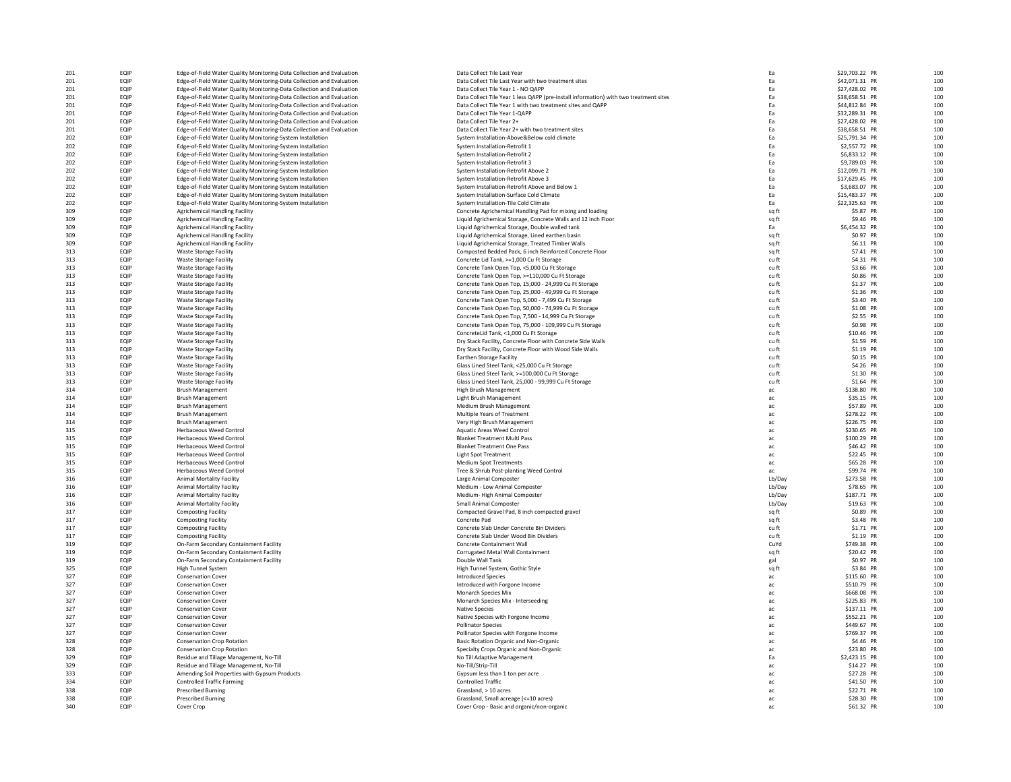| 201<br>EQIP<br>Edge-of-Field Water Quality Monitoring-Data Collection and Evaluation<br>Data Collect Tile Last Year with two treatment sites<br>Ea<br>201<br>EQIP<br>Edge-of-Field Water Quality Monitoring-Data Collection and Evaluation<br>Data Collect Tile Year 1 - NO QAPP<br>Ea<br>201<br>EQIP<br>Edge-of-Field Water Quality Monitoring-Data Collection and Evaluation<br>Data Collect Tile Year 1 less QAPP (pre-install information) with two treatment sites<br>Ea<br><b>FOIP</b><br>201<br>Edge-of-Field Water Quality Monitoring-Data Collection and Evaluation<br>Data Collect Tile Year 1 with two treatment sites and QAPP<br>Fa<br>201<br>EQIP<br>Edge-of-Field Water Quality Monitoring-Data Collection and Evaluation<br>Data Collect Tile Year 1-QAPP<br>Ea<br>201<br>EQIP<br>Edge-of-Field Water Quality Monitoring-Data Collection and Evaluation<br>Data Collect Tile Year 2+<br>Ea<br>EQIP<br>Edge-of-Field Water Quality Monitoring-Data Collection and Evaluation<br>Data Collect Tile Year 2+ with two treatment sites<br>Ea<br>201<br>202<br>EQIP<br>Edge-of-Field Water Quality Monitoring-System Installation<br>System Installation-Above&Below cold climate<br>Ea<br>Ea<br>202<br><b>FOIP</b><br>Edge-of-Field Water Quality Monitoring-System Installation<br>System Installation-Retrofit 1<br>EQIP<br>System Installation-Retrofit 2<br>Ea<br>202<br>Edge-of-Field Water Quality Monitoring-System Installation<br>202<br>EQIP<br>Edge-of-Field Water Quality Monitoring-System Installation<br>System Installation-Retrofit 3<br>Ea<br>202<br>EQIP<br>Edge-of-Field Water Quality Monitoring-System Installation<br>System Installation-Retrofit Above 2<br>Ea<br>202<br>EQIP<br>Edge-of-Field Water Quality Monitoring-System Installation<br>System Installation-Retrofit Above 3<br>Ea<br>202<br>EQIP<br>Edge-of-Field Water Quality Monitoring-System Installation<br>Ea<br>System Installation-Retrofit Above and Below 1<br>EQIP<br>Edge-of-Field Water Quality Monitoring-System Installation<br>202<br>System Installation-Surface Cold Climate<br>Fa<br>EQIP<br>Edge-of-Field Water Quality Monitoring-System Installation<br>202<br>System Installation-Tile Cold Climate<br>Ea<br>309<br>EQIP<br><b>Agrichemical Handling Facility</b><br>Concrete Agrichemical Handling Pad for mixing and loading<br>sq ft<br><b>FOIP</b><br>309<br><b>Agrichemical Handling Facility</b><br>Liquid Agrichemical Storage, Concrete Walls and 12 inch Floor<br>sq ft<br>EQIP<br>309<br><b>Agrichemical Handling Facility</b><br>Fa<br>Liquid Agrichemical Storage, Double walled tank<br>309<br>EQIP<br><b>Agrichemical Handling Facility</b><br>Liquid Agrichemical Storage, Lined earthen basin<br>sa ft<br>EQIP<br>309<br><b>Agrichemical Handling Facility</b><br>Liquid Agrichemical Storage, Treated Timber Walls<br>sq ft<br>313<br>EQIP<br><b>Waste Storage Facility</b><br>Composted Bedded Pack, 6 inch Reinforced Concrete Floor<br>sq ft<br>313<br>EQIP<br>Waste Storage Facility<br>Concrete Lid Tank, >=1,000 Cu Ft Storage<br>cu ft<br><b>FOIP</b><br>313<br><b>Waste Storage Facility</b><br>Concrete Tank Open Top, <5,000 Cu Ft Storage<br>cu ft<br>EQIP<br><b>Waste Storage Facility</b><br>Concrete Tank Open Top, >=110,000 Cu Ft Storage<br>313<br>cu ft<br>313<br>EQIP<br><b>Waste Storage Facility</b><br>Concrete Tank Open Top, 15,000 - 24,999 Cu Ft Storage<br>cu ft<br>EQIP<br><b>Waste Storage Facility</b><br>Concrete Tank Open Top, 25,000 - 49,999 Cu Ft Storage<br>313<br>cu ft<br>313<br><b>FOIP</b><br>Waste Storage Facility<br>Concrete Tank Open Top, 5,000 - 7,499 Cu Ft Storage<br>cu ft<br><b>FOIP</b><br>Concrete Tank Open Top, 50,000 - 74,999 Cu Ft Storage<br>313<br><b>Waste Storage Facility</b><br>cu ft<br>EQIP<br>313<br><b>Waste Storage Facility</b><br>Concrete Tank Open Top, 7,500 - 14,999 Cu Ft Storage<br>cu ft<br>313<br>EQIP<br><b>Waste Storage Facility</b><br>Concrete Tank Open Top, 75,000 - 109,999 Cu Ft Storage<br>cu ft<br>EQIP<br>ConcreteLid Tank, <1,000 Cu Ft Storage<br>313<br><b>Waste Storage Facility</b><br>cu ft<br>313<br>EQIP<br><b>Waste Storage Facility</b><br>Dry Stack Facility, Concrete Floor with Concrete Side Walls<br>cu ft<br>EQIP<br>Dry Stack Facility, Concrete Floor with Wood Side Walls<br>313<br><b>Waste Storage Facility</b><br>cu ft<br>EQIP<br>313<br>cu ft<br><b>Waste Storage Facility</b><br><b>Earthen Storage Facility</b><br>EQIP<br><b>Waste Storage Facility</b><br>Glass Lined Steel Tank, <25,000 Cu Ft Storage<br>cu ft<br>313<br>EQIP<br>Glass Lined Steel Tank, >=100,000 Cu Ft Storage<br>313<br><b>Waste Storage Facility</b><br>cu ft<br>313<br>EQIP<br><b>Waste Storage Facility</b><br>Glass Lined Steel Tank, 25,000 - 99,999 Cu Ft Storage<br>cu ft<br><b>FOIP</b><br>314<br><b>Brush Management</b><br>High Brush Management<br>ac<br>EQIP<br>314<br>Light Brush Management<br>ac.<br><b>Brush Management</b><br>314<br>EQIP<br><b>Brush Management</b><br>Medium Brush Management<br>ac<br>314<br>EQIP<br><b>Brush Management</b><br>Multiple Years of Treatment<br>ac<br>EQIP<br>314<br><b>Brush Management</b><br>Very High Brush Management<br>ac<br>EQIP<br>Aquatic Areas Weed Control<br>315<br>Herbaceous Weed Control<br>ac<br>EQIP<br><b>Herbaceous Weed Control</b><br><b>Blanket Treatment Multi Pass</b><br>315<br>ac<br>EQIP<br>315<br><b>Herbaceous Weed Control</b><br><b>Blanket Treatment One Pass</b><br>ac<br>315<br>EQIP<br><b>Herbaceous Weed Control</b><br><b>Light Spot Treatment</b><br>ac<br>315<br><b>FOIP</b><br><b>Herbaceous Weed Contro</b><br><b>Medium Spot Treatments</b><br>ac<br><b>FOIP</b><br><b>Herbaceous Weed Control</b><br>315<br>Tree & Shrub Post-planting Weed Control<br>ac.<br>EQIP<br><b>Animal Mortality Facility</b><br>Lb/Day<br>316<br>Large Animal Composter<br>316<br>EQIP<br><b>Animal Mortality Facility</b><br>Medium - Low Animal Composter<br>Lb/Day<br>316<br>EQIP<br><b>Animal Mortality Facility</b><br>Medium-High Animal Composter<br>Lb/Day<br>316<br>EQIP<br><b>Animal Mortality Facility</b><br>Small Animal Composter<br>Lb/Day<br><b>FOIP</b><br>317<br><b>Composting Facility</b><br>Compacted Gravel Pad, 8 inch compacted gravel<br>sq ft<br>EQIP<br><b>Composting Facility</b><br>317<br>Concrete Pad<br>sq ft<br>317<br>EQIP<br><b>Composting Facility</b><br>Concrete Slab Under Concrete Bin Dividers<br>cu ft<br>EQIP<br><b>Composting Facility</b><br>Concrete Slab Under Wood Bin Dividers<br>317<br>cu ft<br>319<br>EQIP<br>On-Farm Secondary Containment Facility<br>Concrete Containment Wall<br>CuYd<br><b>FOIP</b><br>319<br>Corrugated Metal Wall Containment<br>On-Farm Secondary Containment Facility<br>sq ft<br>EQIP<br>319<br>On-Farm Secondary Containment Facility<br>Double Wall Tank<br>gal<br>325<br><b>FOIP</b><br><b>High Tunnel System</b><br>High Tunnel System, Gothic Style<br>sq ft<br>327<br>EQIP<br><b>Conservation Cover</b><br><b>Introduced Species</b><br>ac<br>327<br>EQIP<br><b>Conservation Cover</b><br>Introduced with Forgone Income<br>ac<br>EQIP<br>327<br><b>Conservation Cover</b><br>Monarch Species Mix<br>$\mathop{\mathsf{ac}}$<br>EQIP<br>327<br><b>Conservation Cover</b><br>Monarch Species Mix - Interseeding<br>ac<br>327<br>EQIP<br><b>Conservation Cover</b><br><b>Native Species</b><br>ac<br>327<br>EQIP<br><b>Conservation Cover</b><br>Native Species with Forgone Income<br>ac<br>EQIP<br>327<br><b>Conservation Cover</b><br><b>Pollinator Species</b><br>ac<br>EQIP<br>327<br><b>Conservation Cover</b><br>Pollinator Species with Forgone Income<br>ac.<br>328<br>EQIP<br><b>Conservation Crop Rotation</b><br>ac<br>Basic Rotation Organic and Non-Organic<br>EQIP<br>328<br><b>Conservation Crop Rotation</b><br>Specialty Crops Organic and Non-Organic<br>ac<br>329<br>EQIP<br>Residue and Tillage Management, No-Till<br>No Till Adaptive Management<br>Ea<br><b>FOIP</b><br>329<br>Residue and Tillage Management, No-Till<br>No-Till/Strip-Till<br>$\mathop{\mathsf{ac}}$<br><b>FOIP</b><br>333<br>Amending Soil Properties with Gypsum Products<br>Gypsum less than 1 ton per acre<br>ac<br>EQIP<br><b>Controlled Traffic Farming</b><br>Controlled Traffic<br>334<br>ac<br>338<br>EQIP<br><b>Prescribed Burning</b><br>Grassland, > 10 acres<br>ac<br>338<br>EQIP<br><b>Prescribed Burning</b><br>Grassland, Small acreage (<= 10 acres)<br>ac<br>340 | 201 | EQIP        | Edge-of-Field Water Quality Monitoring-Data Collection and Evaluation | Data Collect Tile Last Year                | Ea | \$29,703.22 PR | 100 |
|--------------------------------------------------------------------------------------------------------------------------------------------------------------------------------------------------------------------------------------------------------------------------------------------------------------------------------------------------------------------------------------------------------------------------------------------------------------------------------------------------------------------------------------------------------------------------------------------------------------------------------------------------------------------------------------------------------------------------------------------------------------------------------------------------------------------------------------------------------------------------------------------------------------------------------------------------------------------------------------------------------------------------------------------------------------------------------------------------------------------------------------------------------------------------------------------------------------------------------------------------------------------------------------------------------------------------------------------------------------------------------------------------------------------------------------------------------------------------------------------------------------------------------------------------------------------------------------------------------------------------------------------------------------------------------------------------------------------------------------------------------------------------------------------------------------------------------------------------------------------------------------------------------------------------------------------------------------------------------------------------------------------------------------------------------------------------------------------------------------------------------------------------------------------------------------------------------------------------------------------------------------------------------------------------------------------------------------------------------------------------------------------------------------------------------------------------------------------------------------------------------------------------------------------------------------------------------------------------------------------------------------------------------------------------------------------------------------------------------------------------------------------------------------------------------------------------------------------------------------------------------------------------------------------------------------------------------------------------------------------------------------------------------------------------------------------------------------------------------------------------------------------------------------------------------------------------------------------------------------------------------------------------------------------------------------------------------------------------------------------------------------------------------------------------------------------------------------------------------------------------------------------------------------------------------------------------------------------------------------------------------------------------------------------------------------------------------------------------------------------------------------------------------------------------------------------------------------------------------------------------------------------------------------------------------------------------------------------------------------------------------------------------------------------------------------------------------------------------------------------------------------------------------------------------------------------------------------------------------------------------------------------------------------------------------------------------------------------------------------------------------------------------------------------------------------------------------------------------------------------------------------------------------------------------------------------------------------------------------------------------------------------------------------------------------------------------------------------------------------------------------------------------------------------------------------------------------------------------------------------------------------------------------------------------------------------------------------------------------------------------------------------------------------------------------------------------------------------------------------------------------------------------------------------------------------------------------------------------------------------------------------------------------------------------------------------------------------------------------------------------------------------------------------------------------------------------------------------------------------------------------------------------------------------------------------------------------------------------------------------------------------------------------------------------------------------------------------------------------------------------------------------------------------------------------------------------------------------------------------------------------------------------------------------------------------------------------------------------------------------------------------------------------------------------------------------------------------------------------------------------------------------------------------------------------------------------------------------------------------------------------------------------------------------------------------------------------------------------------------------------------------------------------------------------------------------------------------------------------------------------------------------------------------------------------------------------------------------------------------------------------------------------------------------------------------------------------------------------------------------------------------------------------------------------------------------------------------------------------------------------------------------------------------------------------------------------------------------------------------------------------------------------------------------------------------------------------------------------------------------------------------------------------------------------------------------------------------------------------------------------------------------------------------------------------------------------------------------------------------------------------------------------------------------------------------------------------------------------------------------------------------------------------------------------------------------------------------------------------------------------------------------------------------------------------------------------------------------------------------------------------------------------------------------------------------------------------------------------------------------------------------------------------------------------------------------------------------------------------------------------------------------------------------------------------------------------------------------------------------------------------------------------------------------------------------------------------------------------------------------------------------------------------------------------------------------------------------------------------------------------------------------------------------------------------------------------------------------------|-----|-------------|-----------------------------------------------------------------------|--------------------------------------------|----|----------------|-----|
|                                                                                                                                                                                                                                                                                                                                                                                                                                                                                                                                                                                                                                                                                                                                                                                                                                                                                                                                                                                                                                                                                                                                                                                                                                                                                                                                                                                                                                                                                                                                                                                                                                                                                                                                                                                                                                                                                                                                                                                                                                                                                                                                                                                                                                                                                                                                                                                                                                                                                                                                                                                                                                                                                                                                                                                                                                                                                                                                                                                                                                                                                                                                                                                                                                                                                                                                                                                                                                                                                                                                                                                                                                                                                                                                                                                                                                                                                                                                                                                                                                                                                                                                                                                                                                                                                                                                                                                                                                                                                                                                                                                                                                                                                                                                                                                                                                                                                                                                                                                                                                                                                                                                                                                                                                                                                                                                                                                                                                                                                                                                                                                                                                                                                                                                                                                                                                                                                                                                                                                                                                                                                                                                                                                                                                                                                                                                                                                                                                                                                                                                                                                                                                                                                                                                                                                                                                                                                                                                                                                                                                                                                                                                                                                                                                                                                                                                                                                                                                                                                                                                                                                                                                                                                                                                                                                                                                                                                                                                                                                                                                                                                                                                                                                                                                                                                                                                                                                                                                                                          |     |             |                                                                       |                                            |    | \$42,071.31 PR | 100 |
|                                                                                                                                                                                                                                                                                                                                                                                                                                                                                                                                                                                                                                                                                                                                                                                                                                                                                                                                                                                                                                                                                                                                                                                                                                                                                                                                                                                                                                                                                                                                                                                                                                                                                                                                                                                                                                                                                                                                                                                                                                                                                                                                                                                                                                                                                                                                                                                                                                                                                                                                                                                                                                                                                                                                                                                                                                                                                                                                                                                                                                                                                                                                                                                                                                                                                                                                                                                                                                                                                                                                                                                                                                                                                                                                                                                                                                                                                                                                                                                                                                                                                                                                                                                                                                                                                                                                                                                                                                                                                                                                                                                                                                                                                                                                                                                                                                                                                                                                                                                                                                                                                                                                                                                                                                                                                                                                                                                                                                                                                                                                                                                                                                                                                                                                                                                                                                                                                                                                                                                                                                                                                                                                                                                                                                                                                                                                                                                                                                                                                                                                                                                                                                                                                                                                                                                                                                                                                                                                                                                                                                                                                                                                                                                                                                                                                                                                                                                                                                                                                                                                                                                                                                                                                                                                                                                                                                                                                                                                                                                                                                                                                                                                                                                                                                                                                                                                                                                                                                                                          |     |             |                                                                       |                                            |    | \$27,428.02 PR | 100 |
|                                                                                                                                                                                                                                                                                                                                                                                                                                                                                                                                                                                                                                                                                                                                                                                                                                                                                                                                                                                                                                                                                                                                                                                                                                                                                                                                                                                                                                                                                                                                                                                                                                                                                                                                                                                                                                                                                                                                                                                                                                                                                                                                                                                                                                                                                                                                                                                                                                                                                                                                                                                                                                                                                                                                                                                                                                                                                                                                                                                                                                                                                                                                                                                                                                                                                                                                                                                                                                                                                                                                                                                                                                                                                                                                                                                                                                                                                                                                                                                                                                                                                                                                                                                                                                                                                                                                                                                                                                                                                                                                                                                                                                                                                                                                                                                                                                                                                                                                                                                                                                                                                                                                                                                                                                                                                                                                                                                                                                                                                                                                                                                                                                                                                                                                                                                                                                                                                                                                                                                                                                                                                                                                                                                                                                                                                                                                                                                                                                                                                                                                                                                                                                                                                                                                                                                                                                                                                                                                                                                                                                                                                                                                                                                                                                                                                                                                                                                                                                                                                                                                                                                                                                                                                                                                                                                                                                                                                                                                                                                                                                                                                                                                                                                                                                                                                                                                                                                                                                                                          |     |             |                                                                       |                                            |    |                |     |
|                                                                                                                                                                                                                                                                                                                                                                                                                                                                                                                                                                                                                                                                                                                                                                                                                                                                                                                                                                                                                                                                                                                                                                                                                                                                                                                                                                                                                                                                                                                                                                                                                                                                                                                                                                                                                                                                                                                                                                                                                                                                                                                                                                                                                                                                                                                                                                                                                                                                                                                                                                                                                                                                                                                                                                                                                                                                                                                                                                                                                                                                                                                                                                                                                                                                                                                                                                                                                                                                                                                                                                                                                                                                                                                                                                                                                                                                                                                                                                                                                                                                                                                                                                                                                                                                                                                                                                                                                                                                                                                                                                                                                                                                                                                                                                                                                                                                                                                                                                                                                                                                                                                                                                                                                                                                                                                                                                                                                                                                                                                                                                                                                                                                                                                                                                                                                                                                                                                                                                                                                                                                                                                                                                                                                                                                                                                                                                                                                                                                                                                                                                                                                                                                                                                                                                                                                                                                                                                                                                                                                                                                                                                                                                                                                                                                                                                                                                                                                                                                                                                                                                                                                                                                                                                                                                                                                                                                                                                                                                                                                                                                                                                                                                                                                                                                                                                                                                                                                                                                          |     |             |                                                                       |                                            |    | \$38,658.51 PR | 100 |
|                                                                                                                                                                                                                                                                                                                                                                                                                                                                                                                                                                                                                                                                                                                                                                                                                                                                                                                                                                                                                                                                                                                                                                                                                                                                                                                                                                                                                                                                                                                                                                                                                                                                                                                                                                                                                                                                                                                                                                                                                                                                                                                                                                                                                                                                                                                                                                                                                                                                                                                                                                                                                                                                                                                                                                                                                                                                                                                                                                                                                                                                                                                                                                                                                                                                                                                                                                                                                                                                                                                                                                                                                                                                                                                                                                                                                                                                                                                                                                                                                                                                                                                                                                                                                                                                                                                                                                                                                                                                                                                                                                                                                                                                                                                                                                                                                                                                                                                                                                                                                                                                                                                                                                                                                                                                                                                                                                                                                                                                                                                                                                                                                                                                                                                                                                                                                                                                                                                                                                                                                                                                                                                                                                                                                                                                                                                                                                                                                                                                                                                                                                                                                                                                                                                                                                                                                                                                                                                                                                                                                                                                                                                                                                                                                                                                                                                                                                                                                                                                                                                                                                                                                                                                                                                                                                                                                                                                                                                                                                                                                                                                                                                                                                                                                                                                                                                                                                                                                                                                          |     |             |                                                                       |                                            |    | \$44,812,84 PR | 100 |
|                                                                                                                                                                                                                                                                                                                                                                                                                                                                                                                                                                                                                                                                                                                                                                                                                                                                                                                                                                                                                                                                                                                                                                                                                                                                                                                                                                                                                                                                                                                                                                                                                                                                                                                                                                                                                                                                                                                                                                                                                                                                                                                                                                                                                                                                                                                                                                                                                                                                                                                                                                                                                                                                                                                                                                                                                                                                                                                                                                                                                                                                                                                                                                                                                                                                                                                                                                                                                                                                                                                                                                                                                                                                                                                                                                                                                                                                                                                                                                                                                                                                                                                                                                                                                                                                                                                                                                                                                                                                                                                                                                                                                                                                                                                                                                                                                                                                                                                                                                                                                                                                                                                                                                                                                                                                                                                                                                                                                                                                                                                                                                                                                                                                                                                                                                                                                                                                                                                                                                                                                                                                                                                                                                                                                                                                                                                                                                                                                                                                                                                                                                                                                                                                                                                                                                                                                                                                                                                                                                                                                                                                                                                                                                                                                                                                                                                                                                                                                                                                                                                                                                                                                                                                                                                                                                                                                                                                                                                                                                                                                                                                                                                                                                                                                                                                                                                                                                                                                                                                          |     |             |                                                                       |                                            |    | \$32,289.31 PR | 100 |
|                                                                                                                                                                                                                                                                                                                                                                                                                                                                                                                                                                                                                                                                                                                                                                                                                                                                                                                                                                                                                                                                                                                                                                                                                                                                                                                                                                                                                                                                                                                                                                                                                                                                                                                                                                                                                                                                                                                                                                                                                                                                                                                                                                                                                                                                                                                                                                                                                                                                                                                                                                                                                                                                                                                                                                                                                                                                                                                                                                                                                                                                                                                                                                                                                                                                                                                                                                                                                                                                                                                                                                                                                                                                                                                                                                                                                                                                                                                                                                                                                                                                                                                                                                                                                                                                                                                                                                                                                                                                                                                                                                                                                                                                                                                                                                                                                                                                                                                                                                                                                                                                                                                                                                                                                                                                                                                                                                                                                                                                                                                                                                                                                                                                                                                                                                                                                                                                                                                                                                                                                                                                                                                                                                                                                                                                                                                                                                                                                                                                                                                                                                                                                                                                                                                                                                                                                                                                                                                                                                                                                                                                                                                                                                                                                                                                                                                                                                                                                                                                                                                                                                                                                                                                                                                                                                                                                                                                                                                                                                                                                                                                                                                                                                                                                                                                                                                                                                                                                                                                          |     |             |                                                                       |                                            |    | \$27,428.02 PR | 100 |
|                                                                                                                                                                                                                                                                                                                                                                                                                                                                                                                                                                                                                                                                                                                                                                                                                                                                                                                                                                                                                                                                                                                                                                                                                                                                                                                                                                                                                                                                                                                                                                                                                                                                                                                                                                                                                                                                                                                                                                                                                                                                                                                                                                                                                                                                                                                                                                                                                                                                                                                                                                                                                                                                                                                                                                                                                                                                                                                                                                                                                                                                                                                                                                                                                                                                                                                                                                                                                                                                                                                                                                                                                                                                                                                                                                                                                                                                                                                                                                                                                                                                                                                                                                                                                                                                                                                                                                                                                                                                                                                                                                                                                                                                                                                                                                                                                                                                                                                                                                                                                                                                                                                                                                                                                                                                                                                                                                                                                                                                                                                                                                                                                                                                                                                                                                                                                                                                                                                                                                                                                                                                                                                                                                                                                                                                                                                                                                                                                                                                                                                                                                                                                                                                                                                                                                                                                                                                                                                                                                                                                                                                                                                                                                                                                                                                                                                                                                                                                                                                                                                                                                                                                                                                                                                                                                                                                                                                                                                                                                                                                                                                                                                                                                                                                                                                                                                                                                                                                                                                          |     |             |                                                                       |                                            |    | \$38,658.51 PR | 100 |
|                                                                                                                                                                                                                                                                                                                                                                                                                                                                                                                                                                                                                                                                                                                                                                                                                                                                                                                                                                                                                                                                                                                                                                                                                                                                                                                                                                                                                                                                                                                                                                                                                                                                                                                                                                                                                                                                                                                                                                                                                                                                                                                                                                                                                                                                                                                                                                                                                                                                                                                                                                                                                                                                                                                                                                                                                                                                                                                                                                                                                                                                                                                                                                                                                                                                                                                                                                                                                                                                                                                                                                                                                                                                                                                                                                                                                                                                                                                                                                                                                                                                                                                                                                                                                                                                                                                                                                                                                                                                                                                                                                                                                                                                                                                                                                                                                                                                                                                                                                                                                                                                                                                                                                                                                                                                                                                                                                                                                                                                                                                                                                                                                                                                                                                                                                                                                                                                                                                                                                                                                                                                                                                                                                                                                                                                                                                                                                                                                                                                                                                                                                                                                                                                                                                                                                                                                                                                                                                                                                                                                                                                                                                                                                                                                                                                                                                                                                                                                                                                                                                                                                                                                                                                                                                                                                                                                                                                                                                                                                                                                                                                                                                                                                                                                                                                                                                                                                                                                                                                          |     |             |                                                                       |                                            |    | \$25,791.34 PR | 100 |
|                                                                                                                                                                                                                                                                                                                                                                                                                                                                                                                                                                                                                                                                                                                                                                                                                                                                                                                                                                                                                                                                                                                                                                                                                                                                                                                                                                                                                                                                                                                                                                                                                                                                                                                                                                                                                                                                                                                                                                                                                                                                                                                                                                                                                                                                                                                                                                                                                                                                                                                                                                                                                                                                                                                                                                                                                                                                                                                                                                                                                                                                                                                                                                                                                                                                                                                                                                                                                                                                                                                                                                                                                                                                                                                                                                                                                                                                                                                                                                                                                                                                                                                                                                                                                                                                                                                                                                                                                                                                                                                                                                                                                                                                                                                                                                                                                                                                                                                                                                                                                                                                                                                                                                                                                                                                                                                                                                                                                                                                                                                                                                                                                                                                                                                                                                                                                                                                                                                                                                                                                                                                                                                                                                                                                                                                                                                                                                                                                                                                                                                                                                                                                                                                                                                                                                                                                                                                                                                                                                                                                                                                                                                                                                                                                                                                                                                                                                                                                                                                                                                                                                                                                                                                                                                                                                                                                                                                                                                                                                                                                                                                                                                                                                                                                                                                                                                                                                                                                                                                          |     |             |                                                                       |                                            |    |                |     |
|                                                                                                                                                                                                                                                                                                                                                                                                                                                                                                                                                                                                                                                                                                                                                                                                                                                                                                                                                                                                                                                                                                                                                                                                                                                                                                                                                                                                                                                                                                                                                                                                                                                                                                                                                                                                                                                                                                                                                                                                                                                                                                                                                                                                                                                                                                                                                                                                                                                                                                                                                                                                                                                                                                                                                                                                                                                                                                                                                                                                                                                                                                                                                                                                                                                                                                                                                                                                                                                                                                                                                                                                                                                                                                                                                                                                                                                                                                                                                                                                                                                                                                                                                                                                                                                                                                                                                                                                                                                                                                                                                                                                                                                                                                                                                                                                                                                                                                                                                                                                                                                                                                                                                                                                                                                                                                                                                                                                                                                                                                                                                                                                                                                                                                                                                                                                                                                                                                                                                                                                                                                                                                                                                                                                                                                                                                                                                                                                                                                                                                                                                                                                                                                                                                                                                                                                                                                                                                                                                                                                                                                                                                                                                                                                                                                                                                                                                                                                                                                                                                                                                                                                                                                                                                                                                                                                                                                                                                                                                                                                                                                                                                                                                                                                                                                                                                                                                                                                                                                                          |     |             |                                                                       |                                            |    | \$2,557.72 PR  | 100 |
|                                                                                                                                                                                                                                                                                                                                                                                                                                                                                                                                                                                                                                                                                                                                                                                                                                                                                                                                                                                                                                                                                                                                                                                                                                                                                                                                                                                                                                                                                                                                                                                                                                                                                                                                                                                                                                                                                                                                                                                                                                                                                                                                                                                                                                                                                                                                                                                                                                                                                                                                                                                                                                                                                                                                                                                                                                                                                                                                                                                                                                                                                                                                                                                                                                                                                                                                                                                                                                                                                                                                                                                                                                                                                                                                                                                                                                                                                                                                                                                                                                                                                                                                                                                                                                                                                                                                                                                                                                                                                                                                                                                                                                                                                                                                                                                                                                                                                                                                                                                                                                                                                                                                                                                                                                                                                                                                                                                                                                                                                                                                                                                                                                                                                                                                                                                                                                                                                                                                                                                                                                                                                                                                                                                                                                                                                                                                                                                                                                                                                                                                                                                                                                                                                                                                                                                                                                                                                                                                                                                                                                                                                                                                                                                                                                                                                                                                                                                                                                                                                                                                                                                                                                                                                                                                                                                                                                                                                                                                                                                                                                                                                                                                                                                                                                                                                                                                                                                                                                                                          |     |             |                                                                       |                                            |    | \$6,833.12 PR  | 100 |
|                                                                                                                                                                                                                                                                                                                                                                                                                                                                                                                                                                                                                                                                                                                                                                                                                                                                                                                                                                                                                                                                                                                                                                                                                                                                                                                                                                                                                                                                                                                                                                                                                                                                                                                                                                                                                                                                                                                                                                                                                                                                                                                                                                                                                                                                                                                                                                                                                                                                                                                                                                                                                                                                                                                                                                                                                                                                                                                                                                                                                                                                                                                                                                                                                                                                                                                                                                                                                                                                                                                                                                                                                                                                                                                                                                                                                                                                                                                                                                                                                                                                                                                                                                                                                                                                                                                                                                                                                                                                                                                                                                                                                                                                                                                                                                                                                                                                                                                                                                                                                                                                                                                                                                                                                                                                                                                                                                                                                                                                                                                                                                                                                                                                                                                                                                                                                                                                                                                                                                                                                                                                                                                                                                                                                                                                                                                                                                                                                                                                                                                                                                                                                                                                                                                                                                                                                                                                                                                                                                                                                                                                                                                                                                                                                                                                                                                                                                                                                                                                                                                                                                                                                                                                                                                                                                                                                                                                                                                                                                                                                                                                                                                                                                                                                                                                                                                                                                                                                                                                          |     |             |                                                                       |                                            |    | \$9,789.03 PR  | 100 |
|                                                                                                                                                                                                                                                                                                                                                                                                                                                                                                                                                                                                                                                                                                                                                                                                                                                                                                                                                                                                                                                                                                                                                                                                                                                                                                                                                                                                                                                                                                                                                                                                                                                                                                                                                                                                                                                                                                                                                                                                                                                                                                                                                                                                                                                                                                                                                                                                                                                                                                                                                                                                                                                                                                                                                                                                                                                                                                                                                                                                                                                                                                                                                                                                                                                                                                                                                                                                                                                                                                                                                                                                                                                                                                                                                                                                                                                                                                                                                                                                                                                                                                                                                                                                                                                                                                                                                                                                                                                                                                                                                                                                                                                                                                                                                                                                                                                                                                                                                                                                                                                                                                                                                                                                                                                                                                                                                                                                                                                                                                                                                                                                                                                                                                                                                                                                                                                                                                                                                                                                                                                                                                                                                                                                                                                                                                                                                                                                                                                                                                                                                                                                                                                                                                                                                                                                                                                                                                                                                                                                                                                                                                                                                                                                                                                                                                                                                                                                                                                                                                                                                                                                                                                                                                                                                                                                                                                                                                                                                                                                                                                                                                                                                                                                                                                                                                                                                                                                                                                                          |     |             |                                                                       |                                            |    | \$12,099.71 PR | 100 |
|                                                                                                                                                                                                                                                                                                                                                                                                                                                                                                                                                                                                                                                                                                                                                                                                                                                                                                                                                                                                                                                                                                                                                                                                                                                                                                                                                                                                                                                                                                                                                                                                                                                                                                                                                                                                                                                                                                                                                                                                                                                                                                                                                                                                                                                                                                                                                                                                                                                                                                                                                                                                                                                                                                                                                                                                                                                                                                                                                                                                                                                                                                                                                                                                                                                                                                                                                                                                                                                                                                                                                                                                                                                                                                                                                                                                                                                                                                                                                                                                                                                                                                                                                                                                                                                                                                                                                                                                                                                                                                                                                                                                                                                                                                                                                                                                                                                                                                                                                                                                                                                                                                                                                                                                                                                                                                                                                                                                                                                                                                                                                                                                                                                                                                                                                                                                                                                                                                                                                                                                                                                                                                                                                                                                                                                                                                                                                                                                                                                                                                                                                                                                                                                                                                                                                                                                                                                                                                                                                                                                                                                                                                                                                                                                                                                                                                                                                                                                                                                                                                                                                                                                                                                                                                                                                                                                                                                                                                                                                                                                                                                                                                                                                                                                                                                                                                                                                                                                                                                                          |     |             |                                                                       |                                            |    | \$17,629.45 PR | 100 |
|                                                                                                                                                                                                                                                                                                                                                                                                                                                                                                                                                                                                                                                                                                                                                                                                                                                                                                                                                                                                                                                                                                                                                                                                                                                                                                                                                                                                                                                                                                                                                                                                                                                                                                                                                                                                                                                                                                                                                                                                                                                                                                                                                                                                                                                                                                                                                                                                                                                                                                                                                                                                                                                                                                                                                                                                                                                                                                                                                                                                                                                                                                                                                                                                                                                                                                                                                                                                                                                                                                                                                                                                                                                                                                                                                                                                                                                                                                                                                                                                                                                                                                                                                                                                                                                                                                                                                                                                                                                                                                                                                                                                                                                                                                                                                                                                                                                                                                                                                                                                                                                                                                                                                                                                                                                                                                                                                                                                                                                                                                                                                                                                                                                                                                                                                                                                                                                                                                                                                                                                                                                                                                                                                                                                                                                                                                                                                                                                                                                                                                                                                                                                                                                                                                                                                                                                                                                                                                                                                                                                                                                                                                                                                                                                                                                                                                                                                                                                                                                                                                                                                                                                                                                                                                                                                                                                                                                                                                                                                                                                                                                                                                                                                                                                                                                                                                                                                                                                                                                                          |     |             |                                                                       |                                            |    | \$3,683.07 PR  | 100 |
|                                                                                                                                                                                                                                                                                                                                                                                                                                                                                                                                                                                                                                                                                                                                                                                                                                                                                                                                                                                                                                                                                                                                                                                                                                                                                                                                                                                                                                                                                                                                                                                                                                                                                                                                                                                                                                                                                                                                                                                                                                                                                                                                                                                                                                                                                                                                                                                                                                                                                                                                                                                                                                                                                                                                                                                                                                                                                                                                                                                                                                                                                                                                                                                                                                                                                                                                                                                                                                                                                                                                                                                                                                                                                                                                                                                                                                                                                                                                                                                                                                                                                                                                                                                                                                                                                                                                                                                                                                                                                                                                                                                                                                                                                                                                                                                                                                                                                                                                                                                                                                                                                                                                                                                                                                                                                                                                                                                                                                                                                                                                                                                                                                                                                                                                                                                                                                                                                                                                                                                                                                                                                                                                                                                                                                                                                                                                                                                                                                                                                                                                                                                                                                                                                                                                                                                                                                                                                                                                                                                                                                                                                                                                                                                                                                                                                                                                                                                                                                                                                                                                                                                                                                                                                                                                                                                                                                                                                                                                                                                                                                                                                                                                                                                                                                                                                                                                                                                                                                                                          |     |             |                                                                       |                                            |    |                |     |
|                                                                                                                                                                                                                                                                                                                                                                                                                                                                                                                                                                                                                                                                                                                                                                                                                                                                                                                                                                                                                                                                                                                                                                                                                                                                                                                                                                                                                                                                                                                                                                                                                                                                                                                                                                                                                                                                                                                                                                                                                                                                                                                                                                                                                                                                                                                                                                                                                                                                                                                                                                                                                                                                                                                                                                                                                                                                                                                                                                                                                                                                                                                                                                                                                                                                                                                                                                                                                                                                                                                                                                                                                                                                                                                                                                                                                                                                                                                                                                                                                                                                                                                                                                                                                                                                                                                                                                                                                                                                                                                                                                                                                                                                                                                                                                                                                                                                                                                                                                                                                                                                                                                                                                                                                                                                                                                                                                                                                                                                                                                                                                                                                                                                                                                                                                                                                                                                                                                                                                                                                                                                                                                                                                                                                                                                                                                                                                                                                                                                                                                                                                                                                                                                                                                                                                                                                                                                                                                                                                                                                                                                                                                                                                                                                                                                                                                                                                                                                                                                                                                                                                                                                                                                                                                                                                                                                                                                                                                                                                                                                                                                                                                                                                                                                                                                                                                                                                                                                                                                          |     |             |                                                                       |                                            |    | \$15,483.37 PR | 100 |
|                                                                                                                                                                                                                                                                                                                                                                                                                                                                                                                                                                                                                                                                                                                                                                                                                                                                                                                                                                                                                                                                                                                                                                                                                                                                                                                                                                                                                                                                                                                                                                                                                                                                                                                                                                                                                                                                                                                                                                                                                                                                                                                                                                                                                                                                                                                                                                                                                                                                                                                                                                                                                                                                                                                                                                                                                                                                                                                                                                                                                                                                                                                                                                                                                                                                                                                                                                                                                                                                                                                                                                                                                                                                                                                                                                                                                                                                                                                                                                                                                                                                                                                                                                                                                                                                                                                                                                                                                                                                                                                                                                                                                                                                                                                                                                                                                                                                                                                                                                                                                                                                                                                                                                                                                                                                                                                                                                                                                                                                                                                                                                                                                                                                                                                                                                                                                                                                                                                                                                                                                                                                                                                                                                                                                                                                                                                                                                                                                                                                                                                                                                                                                                                                                                                                                                                                                                                                                                                                                                                                                                                                                                                                                                                                                                                                                                                                                                                                                                                                                                                                                                                                                                                                                                                                                                                                                                                                                                                                                                                                                                                                                                                                                                                                                                                                                                                                                                                                                                                                          |     |             |                                                                       |                                            |    | \$22,325.63 PR | 100 |
|                                                                                                                                                                                                                                                                                                                                                                                                                                                                                                                                                                                                                                                                                                                                                                                                                                                                                                                                                                                                                                                                                                                                                                                                                                                                                                                                                                                                                                                                                                                                                                                                                                                                                                                                                                                                                                                                                                                                                                                                                                                                                                                                                                                                                                                                                                                                                                                                                                                                                                                                                                                                                                                                                                                                                                                                                                                                                                                                                                                                                                                                                                                                                                                                                                                                                                                                                                                                                                                                                                                                                                                                                                                                                                                                                                                                                                                                                                                                                                                                                                                                                                                                                                                                                                                                                                                                                                                                                                                                                                                                                                                                                                                                                                                                                                                                                                                                                                                                                                                                                                                                                                                                                                                                                                                                                                                                                                                                                                                                                                                                                                                                                                                                                                                                                                                                                                                                                                                                                                                                                                                                                                                                                                                                                                                                                                                                                                                                                                                                                                                                                                                                                                                                                                                                                                                                                                                                                                                                                                                                                                                                                                                                                                                                                                                                                                                                                                                                                                                                                                                                                                                                                                                                                                                                                                                                                                                                                                                                                                                                                                                                                                                                                                                                                                                                                                                                                                                                                                                                          |     |             |                                                                       |                                            |    | \$5.87 PR      | 100 |
|                                                                                                                                                                                                                                                                                                                                                                                                                                                                                                                                                                                                                                                                                                                                                                                                                                                                                                                                                                                                                                                                                                                                                                                                                                                                                                                                                                                                                                                                                                                                                                                                                                                                                                                                                                                                                                                                                                                                                                                                                                                                                                                                                                                                                                                                                                                                                                                                                                                                                                                                                                                                                                                                                                                                                                                                                                                                                                                                                                                                                                                                                                                                                                                                                                                                                                                                                                                                                                                                                                                                                                                                                                                                                                                                                                                                                                                                                                                                                                                                                                                                                                                                                                                                                                                                                                                                                                                                                                                                                                                                                                                                                                                                                                                                                                                                                                                                                                                                                                                                                                                                                                                                                                                                                                                                                                                                                                                                                                                                                                                                                                                                                                                                                                                                                                                                                                                                                                                                                                                                                                                                                                                                                                                                                                                                                                                                                                                                                                                                                                                                                                                                                                                                                                                                                                                                                                                                                                                                                                                                                                                                                                                                                                                                                                                                                                                                                                                                                                                                                                                                                                                                                                                                                                                                                                                                                                                                                                                                                                                                                                                                                                                                                                                                                                                                                                                                                                                                                                                                          |     |             |                                                                       |                                            |    | \$9.46 PR      | 100 |
|                                                                                                                                                                                                                                                                                                                                                                                                                                                                                                                                                                                                                                                                                                                                                                                                                                                                                                                                                                                                                                                                                                                                                                                                                                                                                                                                                                                                                                                                                                                                                                                                                                                                                                                                                                                                                                                                                                                                                                                                                                                                                                                                                                                                                                                                                                                                                                                                                                                                                                                                                                                                                                                                                                                                                                                                                                                                                                                                                                                                                                                                                                                                                                                                                                                                                                                                                                                                                                                                                                                                                                                                                                                                                                                                                                                                                                                                                                                                                                                                                                                                                                                                                                                                                                                                                                                                                                                                                                                                                                                                                                                                                                                                                                                                                                                                                                                                                                                                                                                                                                                                                                                                                                                                                                                                                                                                                                                                                                                                                                                                                                                                                                                                                                                                                                                                                                                                                                                                                                                                                                                                                                                                                                                                                                                                                                                                                                                                                                                                                                                                                                                                                                                                                                                                                                                                                                                                                                                                                                                                                                                                                                                                                                                                                                                                                                                                                                                                                                                                                                                                                                                                                                                                                                                                                                                                                                                                                                                                                                                                                                                                                                                                                                                                                                                                                                                                                                                                                                                                          |     |             |                                                                       |                                            |    | \$6,454.32 PR  | 100 |
|                                                                                                                                                                                                                                                                                                                                                                                                                                                                                                                                                                                                                                                                                                                                                                                                                                                                                                                                                                                                                                                                                                                                                                                                                                                                                                                                                                                                                                                                                                                                                                                                                                                                                                                                                                                                                                                                                                                                                                                                                                                                                                                                                                                                                                                                                                                                                                                                                                                                                                                                                                                                                                                                                                                                                                                                                                                                                                                                                                                                                                                                                                                                                                                                                                                                                                                                                                                                                                                                                                                                                                                                                                                                                                                                                                                                                                                                                                                                                                                                                                                                                                                                                                                                                                                                                                                                                                                                                                                                                                                                                                                                                                                                                                                                                                                                                                                                                                                                                                                                                                                                                                                                                                                                                                                                                                                                                                                                                                                                                                                                                                                                                                                                                                                                                                                                                                                                                                                                                                                                                                                                                                                                                                                                                                                                                                                                                                                                                                                                                                                                                                                                                                                                                                                                                                                                                                                                                                                                                                                                                                                                                                                                                                                                                                                                                                                                                                                                                                                                                                                                                                                                                                                                                                                                                                                                                                                                                                                                                                                                                                                                                                                                                                                                                                                                                                                                                                                                                                                                          |     |             |                                                                       |                                            |    | \$0.97 PR      | 100 |
|                                                                                                                                                                                                                                                                                                                                                                                                                                                                                                                                                                                                                                                                                                                                                                                                                                                                                                                                                                                                                                                                                                                                                                                                                                                                                                                                                                                                                                                                                                                                                                                                                                                                                                                                                                                                                                                                                                                                                                                                                                                                                                                                                                                                                                                                                                                                                                                                                                                                                                                                                                                                                                                                                                                                                                                                                                                                                                                                                                                                                                                                                                                                                                                                                                                                                                                                                                                                                                                                                                                                                                                                                                                                                                                                                                                                                                                                                                                                                                                                                                                                                                                                                                                                                                                                                                                                                                                                                                                                                                                                                                                                                                                                                                                                                                                                                                                                                                                                                                                                                                                                                                                                                                                                                                                                                                                                                                                                                                                                                                                                                                                                                                                                                                                                                                                                                                                                                                                                                                                                                                                                                                                                                                                                                                                                                                                                                                                                                                                                                                                                                                                                                                                                                                                                                                                                                                                                                                                                                                                                                                                                                                                                                                                                                                                                                                                                                                                                                                                                                                                                                                                                                                                                                                                                                                                                                                                                                                                                                                                                                                                                                                                                                                                                                                                                                                                                                                                                                                                                          |     |             |                                                                       |                                            |    |                |     |
|                                                                                                                                                                                                                                                                                                                                                                                                                                                                                                                                                                                                                                                                                                                                                                                                                                                                                                                                                                                                                                                                                                                                                                                                                                                                                                                                                                                                                                                                                                                                                                                                                                                                                                                                                                                                                                                                                                                                                                                                                                                                                                                                                                                                                                                                                                                                                                                                                                                                                                                                                                                                                                                                                                                                                                                                                                                                                                                                                                                                                                                                                                                                                                                                                                                                                                                                                                                                                                                                                                                                                                                                                                                                                                                                                                                                                                                                                                                                                                                                                                                                                                                                                                                                                                                                                                                                                                                                                                                                                                                                                                                                                                                                                                                                                                                                                                                                                                                                                                                                                                                                                                                                                                                                                                                                                                                                                                                                                                                                                                                                                                                                                                                                                                                                                                                                                                                                                                                                                                                                                                                                                                                                                                                                                                                                                                                                                                                                                                                                                                                                                                                                                                                                                                                                                                                                                                                                                                                                                                                                                                                                                                                                                                                                                                                                                                                                                                                                                                                                                                                                                                                                                                                                                                                                                                                                                                                                                                                                                                                                                                                                                                                                                                                                                                                                                                                                                                                                                                                                          |     |             |                                                                       |                                            |    | \$6.11 PR      | 100 |
|                                                                                                                                                                                                                                                                                                                                                                                                                                                                                                                                                                                                                                                                                                                                                                                                                                                                                                                                                                                                                                                                                                                                                                                                                                                                                                                                                                                                                                                                                                                                                                                                                                                                                                                                                                                                                                                                                                                                                                                                                                                                                                                                                                                                                                                                                                                                                                                                                                                                                                                                                                                                                                                                                                                                                                                                                                                                                                                                                                                                                                                                                                                                                                                                                                                                                                                                                                                                                                                                                                                                                                                                                                                                                                                                                                                                                                                                                                                                                                                                                                                                                                                                                                                                                                                                                                                                                                                                                                                                                                                                                                                                                                                                                                                                                                                                                                                                                                                                                                                                                                                                                                                                                                                                                                                                                                                                                                                                                                                                                                                                                                                                                                                                                                                                                                                                                                                                                                                                                                                                                                                                                                                                                                                                                                                                                                                                                                                                                                                                                                                                                                                                                                                                                                                                                                                                                                                                                                                                                                                                                                                                                                                                                                                                                                                                                                                                                                                                                                                                                                                                                                                                                                                                                                                                                                                                                                                                                                                                                                                                                                                                                                                                                                                                                                                                                                                                                                                                                                                                          |     |             |                                                                       |                                            |    | \$7.41 PR      | 100 |
|                                                                                                                                                                                                                                                                                                                                                                                                                                                                                                                                                                                                                                                                                                                                                                                                                                                                                                                                                                                                                                                                                                                                                                                                                                                                                                                                                                                                                                                                                                                                                                                                                                                                                                                                                                                                                                                                                                                                                                                                                                                                                                                                                                                                                                                                                                                                                                                                                                                                                                                                                                                                                                                                                                                                                                                                                                                                                                                                                                                                                                                                                                                                                                                                                                                                                                                                                                                                                                                                                                                                                                                                                                                                                                                                                                                                                                                                                                                                                                                                                                                                                                                                                                                                                                                                                                                                                                                                                                                                                                                                                                                                                                                                                                                                                                                                                                                                                                                                                                                                                                                                                                                                                                                                                                                                                                                                                                                                                                                                                                                                                                                                                                                                                                                                                                                                                                                                                                                                                                                                                                                                                                                                                                                                                                                                                                                                                                                                                                                                                                                                                                                                                                                                                                                                                                                                                                                                                                                                                                                                                                                                                                                                                                                                                                                                                                                                                                                                                                                                                                                                                                                                                                                                                                                                                                                                                                                                                                                                                                                                                                                                                                                                                                                                                                                                                                                                                                                                                                                                          |     |             |                                                                       |                                            |    | \$4.31 PR      | 100 |
|                                                                                                                                                                                                                                                                                                                                                                                                                                                                                                                                                                                                                                                                                                                                                                                                                                                                                                                                                                                                                                                                                                                                                                                                                                                                                                                                                                                                                                                                                                                                                                                                                                                                                                                                                                                                                                                                                                                                                                                                                                                                                                                                                                                                                                                                                                                                                                                                                                                                                                                                                                                                                                                                                                                                                                                                                                                                                                                                                                                                                                                                                                                                                                                                                                                                                                                                                                                                                                                                                                                                                                                                                                                                                                                                                                                                                                                                                                                                                                                                                                                                                                                                                                                                                                                                                                                                                                                                                                                                                                                                                                                                                                                                                                                                                                                                                                                                                                                                                                                                                                                                                                                                                                                                                                                                                                                                                                                                                                                                                                                                                                                                                                                                                                                                                                                                                                                                                                                                                                                                                                                                                                                                                                                                                                                                                                                                                                                                                                                                                                                                                                                                                                                                                                                                                                                                                                                                                                                                                                                                                                                                                                                                                                                                                                                                                                                                                                                                                                                                                                                                                                                                                                                                                                                                                                                                                                                                                                                                                                                                                                                                                                                                                                                                                                                                                                                                                                                                                                                                          |     |             |                                                                       |                                            |    | \$3.66 PR      | 100 |
|                                                                                                                                                                                                                                                                                                                                                                                                                                                                                                                                                                                                                                                                                                                                                                                                                                                                                                                                                                                                                                                                                                                                                                                                                                                                                                                                                                                                                                                                                                                                                                                                                                                                                                                                                                                                                                                                                                                                                                                                                                                                                                                                                                                                                                                                                                                                                                                                                                                                                                                                                                                                                                                                                                                                                                                                                                                                                                                                                                                                                                                                                                                                                                                                                                                                                                                                                                                                                                                                                                                                                                                                                                                                                                                                                                                                                                                                                                                                                                                                                                                                                                                                                                                                                                                                                                                                                                                                                                                                                                                                                                                                                                                                                                                                                                                                                                                                                                                                                                                                                                                                                                                                                                                                                                                                                                                                                                                                                                                                                                                                                                                                                                                                                                                                                                                                                                                                                                                                                                                                                                                                                                                                                                                                                                                                                                                                                                                                                                                                                                                                                                                                                                                                                                                                                                                                                                                                                                                                                                                                                                                                                                                                                                                                                                                                                                                                                                                                                                                                                                                                                                                                                                                                                                                                                                                                                                                                                                                                                                                                                                                                                                                                                                                                                                                                                                                                                                                                                                                                          |     |             |                                                                       |                                            |    | \$0.86 PR      | 100 |
|                                                                                                                                                                                                                                                                                                                                                                                                                                                                                                                                                                                                                                                                                                                                                                                                                                                                                                                                                                                                                                                                                                                                                                                                                                                                                                                                                                                                                                                                                                                                                                                                                                                                                                                                                                                                                                                                                                                                                                                                                                                                                                                                                                                                                                                                                                                                                                                                                                                                                                                                                                                                                                                                                                                                                                                                                                                                                                                                                                                                                                                                                                                                                                                                                                                                                                                                                                                                                                                                                                                                                                                                                                                                                                                                                                                                                                                                                                                                                                                                                                                                                                                                                                                                                                                                                                                                                                                                                                                                                                                                                                                                                                                                                                                                                                                                                                                                                                                                                                                                                                                                                                                                                                                                                                                                                                                                                                                                                                                                                                                                                                                                                                                                                                                                                                                                                                                                                                                                                                                                                                                                                                                                                                                                                                                                                                                                                                                                                                                                                                                                                                                                                                                                                                                                                                                                                                                                                                                                                                                                                                                                                                                                                                                                                                                                                                                                                                                                                                                                                                                                                                                                                                                                                                                                                                                                                                                                                                                                                                                                                                                                                                                                                                                                                                                                                                                                                                                                                                                                          |     |             |                                                                       |                                            |    | \$1.37 PR      | 100 |
|                                                                                                                                                                                                                                                                                                                                                                                                                                                                                                                                                                                                                                                                                                                                                                                                                                                                                                                                                                                                                                                                                                                                                                                                                                                                                                                                                                                                                                                                                                                                                                                                                                                                                                                                                                                                                                                                                                                                                                                                                                                                                                                                                                                                                                                                                                                                                                                                                                                                                                                                                                                                                                                                                                                                                                                                                                                                                                                                                                                                                                                                                                                                                                                                                                                                                                                                                                                                                                                                                                                                                                                                                                                                                                                                                                                                                                                                                                                                                                                                                                                                                                                                                                                                                                                                                                                                                                                                                                                                                                                                                                                                                                                                                                                                                                                                                                                                                                                                                                                                                                                                                                                                                                                                                                                                                                                                                                                                                                                                                                                                                                                                                                                                                                                                                                                                                                                                                                                                                                                                                                                                                                                                                                                                                                                                                                                                                                                                                                                                                                                                                                                                                                                                                                                                                                                                                                                                                                                                                                                                                                                                                                                                                                                                                                                                                                                                                                                                                                                                                                                                                                                                                                                                                                                                                                                                                                                                                                                                                                                                                                                                                                                                                                                                                                                                                                                                                                                                                                                                          |     |             |                                                                       |                                            |    |                |     |
|                                                                                                                                                                                                                                                                                                                                                                                                                                                                                                                                                                                                                                                                                                                                                                                                                                                                                                                                                                                                                                                                                                                                                                                                                                                                                                                                                                                                                                                                                                                                                                                                                                                                                                                                                                                                                                                                                                                                                                                                                                                                                                                                                                                                                                                                                                                                                                                                                                                                                                                                                                                                                                                                                                                                                                                                                                                                                                                                                                                                                                                                                                                                                                                                                                                                                                                                                                                                                                                                                                                                                                                                                                                                                                                                                                                                                                                                                                                                                                                                                                                                                                                                                                                                                                                                                                                                                                                                                                                                                                                                                                                                                                                                                                                                                                                                                                                                                                                                                                                                                                                                                                                                                                                                                                                                                                                                                                                                                                                                                                                                                                                                                                                                                                                                                                                                                                                                                                                                                                                                                                                                                                                                                                                                                                                                                                                                                                                                                                                                                                                                                                                                                                                                                                                                                                                                                                                                                                                                                                                                                                                                                                                                                                                                                                                                                                                                                                                                                                                                                                                                                                                                                                                                                                                                                                                                                                                                                                                                                                                                                                                                                                                                                                                                                                                                                                                                                                                                                                                                          |     |             |                                                                       |                                            |    | \$1.36 PR      | 100 |
|                                                                                                                                                                                                                                                                                                                                                                                                                                                                                                                                                                                                                                                                                                                                                                                                                                                                                                                                                                                                                                                                                                                                                                                                                                                                                                                                                                                                                                                                                                                                                                                                                                                                                                                                                                                                                                                                                                                                                                                                                                                                                                                                                                                                                                                                                                                                                                                                                                                                                                                                                                                                                                                                                                                                                                                                                                                                                                                                                                                                                                                                                                                                                                                                                                                                                                                                                                                                                                                                                                                                                                                                                                                                                                                                                                                                                                                                                                                                                                                                                                                                                                                                                                                                                                                                                                                                                                                                                                                                                                                                                                                                                                                                                                                                                                                                                                                                                                                                                                                                                                                                                                                                                                                                                                                                                                                                                                                                                                                                                                                                                                                                                                                                                                                                                                                                                                                                                                                                                                                                                                                                                                                                                                                                                                                                                                                                                                                                                                                                                                                                                                                                                                                                                                                                                                                                                                                                                                                                                                                                                                                                                                                                                                                                                                                                                                                                                                                                                                                                                                                                                                                                                                                                                                                                                                                                                                                                                                                                                                                                                                                                                                                                                                                                                                                                                                                                                                                                                                                                          |     |             |                                                                       |                                            |    | \$3,40 PR      | 100 |
|                                                                                                                                                                                                                                                                                                                                                                                                                                                                                                                                                                                                                                                                                                                                                                                                                                                                                                                                                                                                                                                                                                                                                                                                                                                                                                                                                                                                                                                                                                                                                                                                                                                                                                                                                                                                                                                                                                                                                                                                                                                                                                                                                                                                                                                                                                                                                                                                                                                                                                                                                                                                                                                                                                                                                                                                                                                                                                                                                                                                                                                                                                                                                                                                                                                                                                                                                                                                                                                                                                                                                                                                                                                                                                                                                                                                                                                                                                                                                                                                                                                                                                                                                                                                                                                                                                                                                                                                                                                                                                                                                                                                                                                                                                                                                                                                                                                                                                                                                                                                                                                                                                                                                                                                                                                                                                                                                                                                                                                                                                                                                                                                                                                                                                                                                                                                                                                                                                                                                                                                                                                                                                                                                                                                                                                                                                                                                                                                                                                                                                                                                                                                                                                                                                                                                                                                                                                                                                                                                                                                                                                                                                                                                                                                                                                                                                                                                                                                                                                                                                                                                                                                                                                                                                                                                                                                                                                                                                                                                                                                                                                                                                                                                                                                                                                                                                                                                                                                                                                                          |     |             |                                                                       |                                            |    | \$1.08 PR      | 100 |
|                                                                                                                                                                                                                                                                                                                                                                                                                                                                                                                                                                                                                                                                                                                                                                                                                                                                                                                                                                                                                                                                                                                                                                                                                                                                                                                                                                                                                                                                                                                                                                                                                                                                                                                                                                                                                                                                                                                                                                                                                                                                                                                                                                                                                                                                                                                                                                                                                                                                                                                                                                                                                                                                                                                                                                                                                                                                                                                                                                                                                                                                                                                                                                                                                                                                                                                                                                                                                                                                                                                                                                                                                                                                                                                                                                                                                                                                                                                                                                                                                                                                                                                                                                                                                                                                                                                                                                                                                                                                                                                                                                                                                                                                                                                                                                                                                                                                                                                                                                                                                                                                                                                                                                                                                                                                                                                                                                                                                                                                                                                                                                                                                                                                                                                                                                                                                                                                                                                                                                                                                                                                                                                                                                                                                                                                                                                                                                                                                                                                                                                                                                                                                                                                                                                                                                                                                                                                                                                                                                                                                                                                                                                                                                                                                                                                                                                                                                                                                                                                                                                                                                                                                                                                                                                                                                                                                                                                                                                                                                                                                                                                                                                                                                                                                                                                                                                                                                                                                                                                          |     |             |                                                                       |                                            |    | \$2.55 PR      | 100 |
|                                                                                                                                                                                                                                                                                                                                                                                                                                                                                                                                                                                                                                                                                                                                                                                                                                                                                                                                                                                                                                                                                                                                                                                                                                                                                                                                                                                                                                                                                                                                                                                                                                                                                                                                                                                                                                                                                                                                                                                                                                                                                                                                                                                                                                                                                                                                                                                                                                                                                                                                                                                                                                                                                                                                                                                                                                                                                                                                                                                                                                                                                                                                                                                                                                                                                                                                                                                                                                                                                                                                                                                                                                                                                                                                                                                                                                                                                                                                                                                                                                                                                                                                                                                                                                                                                                                                                                                                                                                                                                                                                                                                                                                                                                                                                                                                                                                                                                                                                                                                                                                                                                                                                                                                                                                                                                                                                                                                                                                                                                                                                                                                                                                                                                                                                                                                                                                                                                                                                                                                                                                                                                                                                                                                                                                                                                                                                                                                                                                                                                                                                                                                                                                                                                                                                                                                                                                                                                                                                                                                                                                                                                                                                                                                                                                                                                                                                                                                                                                                                                                                                                                                                                                                                                                                                                                                                                                                                                                                                                                                                                                                                                                                                                                                                                                                                                                                                                                                                                                                          |     |             |                                                                       |                                            |    | \$0.98 PR      | 100 |
|                                                                                                                                                                                                                                                                                                                                                                                                                                                                                                                                                                                                                                                                                                                                                                                                                                                                                                                                                                                                                                                                                                                                                                                                                                                                                                                                                                                                                                                                                                                                                                                                                                                                                                                                                                                                                                                                                                                                                                                                                                                                                                                                                                                                                                                                                                                                                                                                                                                                                                                                                                                                                                                                                                                                                                                                                                                                                                                                                                                                                                                                                                                                                                                                                                                                                                                                                                                                                                                                                                                                                                                                                                                                                                                                                                                                                                                                                                                                                                                                                                                                                                                                                                                                                                                                                                                                                                                                                                                                                                                                                                                                                                                                                                                                                                                                                                                                                                                                                                                                                                                                                                                                                                                                                                                                                                                                                                                                                                                                                                                                                                                                                                                                                                                                                                                                                                                                                                                                                                                                                                                                                                                                                                                                                                                                                                                                                                                                                                                                                                                                                                                                                                                                                                                                                                                                                                                                                                                                                                                                                                                                                                                                                                                                                                                                                                                                                                                                                                                                                                                                                                                                                                                                                                                                                                                                                                                                                                                                                                                                                                                                                                                                                                                                                                                                                                                                                                                                                                                                          |     |             |                                                                       |                                            |    |                |     |
|                                                                                                                                                                                                                                                                                                                                                                                                                                                                                                                                                                                                                                                                                                                                                                                                                                                                                                                                                                                                                                                                                                                                                                                                                                                                                                                                                                                                                                                                                                                                                                                                                                                                                                                                                                                                                                                                                                                                                                                                                                                                                                                                                                                                                                                                                                                                                                                                                                                                                                                                                                                                                                                                                                                                                                                                                                                                                                                                                                                                                                                                                                                                                                                                                                                                                                                                                                                                                                                                                                                                                                                                                                                                                                                                                                                                                                                                                                                                                                                                                                                                                                                                                                                                                                                                                                                                                                                                                                                                                                                                                                                                                                                                                                                                                                                                                                                                                                                                                                                                                                                                                                                                                                                                                                                                                                                                                                                                                                                                                                                                                                                                                                                                                                                                                                                                                                                                                                                                                                                                                                                                                                                                                                                                                                                                                                                                                                                                                                                                                                                                                                                                                                                                                                                                                                                                                                                                                                                                                                                                                                                                                                                                                                                                                                                                                                                                                                                                                                                                                                                                                                                                                                                                                                                                                                                                                                                                                                                                                                                                                                                                                                                                                                                                                                                                                                                                                                                                                                                                          |     |             |                                                                       |                                            |    | \$10.46 PR     | 100 |
|                                                                                                                                                                                                                                                                                                                                                                                                                                                                                                                                                                                                                                                                                                                                                                                                                                                                                                                                                                                                                                                                                                                                                                                                                                                                                                                                                                                                                                                                                                                                                                                                                                                                                                                                                                                                                                                                                                                                                                                                                                                                                                                                                                                                                                                                                                                                                                                                                                                                                                                                                                                                                                                                                                                                                                                                                                                                                                                                                                                                                                                                                                                                                                                                                                                                                                                                                                                                                                                                                                                                                                                                                                                                                                                                                                                                                                                                                                                                                                                                                                                                                                                                                                                                                                                                                                                                                                                                                                                                                                                                                                                                                                                                                                                                                                                                                                                                                                                                                                                                                                                                                                                                                                                                                                                                                                                                                                                                                                                                                                                                                                                                                                                                                                                                                                                                                                                                                                                                                                                                                                                                                                                                                                                                                                                                                                                                                                                                                                                                                                                                                                                                                                                                                                                                                                                                                                                                                                                                                                                                                                                                                                                                                                                                                                                                                                                                                                                                                                                                                                                                                                                                                                                                                                                                                                                                                                                                                                                                                                                                                                                                                                                                                                                                                                                                                                                                                                                                                                                                          |     |             |                                                                       |                                            |    | \$1.59 PR      | 100 |
|                                                                                                                                                                                                                                                                                                                                                                                                                                                                                                                                                                                                                                                                                                                                                                                                                                                                                                                                                                                                                                                                                                                                                                                                                                                                                                                                                                                                                                                                                                                                                                                                                                                                                                                                                                                                                                                                                                                                                                                                                                                                                                                                                                                                                                                                                                                                                                                                                                                                                                                                                                                                                                                                                                                                                                                                                                                                                                                                                                                                                                                                                                                                                                                                                                                                                                                                                                                                                                                                                                                                                                                                                                                                                                                                                                                                                                                                                                                                                                                                                                                                                                                                                                                                                                                                                                                                                                                                                                                                                                                                                                                                                                                                                                                                                                                                                                                                                                                                                                                                                                                                                                                                                                                                                                                                                                                                                                                                                                                                                                                                                                                                                                                                                                                                                                                                                                                                                                                                                                                                                                                                                                                                                                                                                                                                                                                                                                                                                                                                                                                                                                                                                                                                                                                                                                                                                                                                                                                                                                                                                                                                                                                                                                                                                                                                                                                                                                                                                                                                                                                                                                                                                                                                                                                                                                                                                                                                                                                                                                                                                                                                                                                                                                                                                                                                                                                                                                                                                                                                          |     |             |                                                                       |                                            |    | \$1.19 PR      | 100 |
|                                                                                                                                                                                                                                                                                                                                                                                                                                                                                                                                                                                                                                                                                                                                                                                                                                                                                                                                                                                                                                                                                                                                                                                                                                                                                                                                                                                                                                                                                                                                                                                                                                                                                                                                                                                                                                                                                                                                                                                                                                                                                                                                                                                                                                                                                                                                                                                                                                                                                                                                                                                                                                                                                                                                                                                                                                                                                                                                                                                                                                                                                                                                                                                                                                                                                                                                                                                                                                                                                                                                                                                                                                                                                                                                                                                                                                                                                                                                                                                                                                                                                                                                                                                                                                                                                                                                                                                                                                                                                                                                                                                                                                                                                                                                                                                                                                                                                                                                                                                                                                                                                                                                                                                                                                                                                                                                                                                                                                                                                                                                                                                                                                                                                                                                                                                                                                                                                                                                                                                                                                                                                                                                                                                                                                                                                                                                                                                                                                                                                                                                                                                                                                                                                                                                                                                                                                                                                                                                                                                                                                                                                                                                                                                                                                                                                                                                                                                                                                                                                                                                                                                                                                                                                                                                                                                                                                                                                                                                                                                                                                                                                                                                                                                                                                                                                                                                                                                                                                                                          |     |             |                                                                       |                                            |    | \$0.15 PR      | 100 |
|                                                                                                                                                                                                                                                                                                                                                                                                                                                                                                                                                                                                                                                                                                                                                                                                                                                                                                                                                                                                                                                                                                                                                                                                                                                                                                                                                                                                                                                                                                                                                                                                                                                                                                                                                                                                                                                                                                                                                                                                                                                                                                                                                                                                                                                                                                                                                                                                                                                                                                                                                                                                                                                                                                                                                                                                                                                                                                                                                                                                                                                                                                                                                                                                                                                                                                                                                                                                                                                                                                                                                                                                                                                                                                                                                                                                                                                                                                                                                                                                                                                                                                                                                                                                                                                                                                                                                                                                                                                                                                                                                                                                                                                                                                                                                                                                                                                                                                                                                                                                                                                                                                                                                                                                                                                                                                                                                                                                                                                                                                                                                                                                                                                                                                                                                                                                                                                                                                                                                                                                                                                                                                                                                                                                                                                                                                                                                                                                                                                                                                                                                                                                                                                                                                                                                                                                                                                                                                                                                                                                                                                                                                                                                                                                                                                                                                                                                                                                                                                                                                                                                                                                                                                                                                                                                                                                                                                                                                                                                                                                                                                                                                                                                                                                                                                                                                                                                                                                                                                                          |     |             |                                                                       |                                            |    | \$4.26 PR      | 100 |
|                                                                                                                                                                                                                                                                                                                                                                                                                                                                                                                                                                                                                                                                                                                                                                                                                                                                                                                                                                                                                                                                                                                                                                                                                                                                                                                                                                                                                                                                                                                                                                                                                                                                                                                                                                                                                                                                                                                                                                                                                                                                                                                                                                                                                                                                                                                                                                                                                                                                                                                                                                                                                                                                                                                                                                                                                                                                                                                                                                                                                                                                                                                                                                                                                                                                                                                                                                                                                                                                                                                                                                                                                                                                                                                                                                                                                                                                                                                                                                                                                                                                                                                                                                                                                                                                                                                                                                                                                                                                                                                                                                                                                                                                                                                                                                                                                                                                                                                                                                                                                                                                                                                                                                                                                                                                                                                                                                                                                                                                                                                                                                                                                                                                                                                                                                                                                                                                                                                                                                                                                                                                                                                                                                                                                                                                                                                                                                                                                                                                                                                                                                                                                                                                                                                                                                                                                                                                                                                                                                                                                                                                                                                                                                                                                                                                                                                                                                                                                                                                                                                                                                                                                                                                                                                                                                                                                                                                                                                                                                                                                                                                                                                                                                                                                                                                                                                                                                                                                                                                          |     |             |                                                                       |                                            |    | \$1.30 PR      | 100 |
|                                                                                                                                                                                                                                                                                                                                                                                                                                                                                                                                                                                                                                                                                                                                                                                                                                                                                                                                                                                                                                                                                                                                                                                                                                                                                                                                                                                                                                                                                                                                                                                                                                                                                                                                                                                                                                                                                                                                                                                                                                                                                                                                                                                                                                                                                                                                                                                                                                                                                                                                                                                                                                                                                                                                                                                                                                                                                                                                                                                                                                                                                                                                                                                                                                                                                                                                                                                                                                                                                                                                                                                                                                                                                                                                                                                                                                                                                                                                                                                                                                                                                                                                                                                                                                                                                                                                                                                                                                                                                                                                                                                                                                                                                                                                                                                                                                                                                                                                                                                                                                                                                                                                                                                                                                                                                                                                                                                                                                                                                                                                                                                                                                                                                                                                                                                                                                                                                                                                                                                                                                                                                                                                                                                                                                                                                                                                                                                                                                                                                                                                                                                                                                                                                                                                                                                                                                                                                                                                                                                                                                                                                                                                                                                                                                                                                                                                                                                                                                                                                                                                                                                                                                                                                                                                                                                                                                                                                                                                                                                                                                                                                                                                                                                                                                                                                                                                                                                                                                                                          |     |             |                                                                       |                                            |    |                |     |
|                                                                                                                                                                                                                                                                                                                                                                                                                                                                                                                                                                                                                                                                                                                                                                                                                                                                                                                                                                                                                                                                                                                                                                                                                                                                                                                                                                                                                                                                                                                                                                                                                                                                                                                                                                                                                                                                                                                                                                                                                                                                                                                                                                                                                                                                                                                                                                                                                                                                                                                                                                                                                                                                                                                                                                                                                                                                                                                                                                                                                                                                                                                                                                                                                                                                                                                                                                                                                                                                                                                                                                                                                                                                                                                                                                                                                                                                                                                                                                                                                                                                                                                                                                                                                                                                                                                                                                                                                                                                                                                                                                                                                                                                                                                                                                                                                                                                                                                                                                                                                                                                                                                                                                                                                                                                                                                                                                                                                                                                                                                                                                                                                                                                                                                                                                                                                                                                                                                                                                                                                                                                                                                                                                                                                                                                                                                                                                                                                                                                                                                                                                                                                                                                                                                                                                                                                                                                                                                                                                                                                                                                                                                                                                                                                                                                                                                                                                                                                                                                                                                                                                                                                                                                                                                                                                                                                                                                                                                                                                                                                                                                                                                                                                                                                                                                                                                                                                                                                                                                          |     |             |                                                                       |                                            |    | \$1.64 PR      | 100 |
|                                                                                                                                                                                                                                                                                                                                                                                                                                                                                                                                                                                                                                                                                                                                                                                                                                                                                                                                                                                                                                                                                                                                                                                                                                                                                                                                                                                                                                                                                                                                                                                                                                                                                                                                                                                                                                                                                                                                                                                                                                                                                                                                                                                                                                                                                                                                                                                                                                                                                                                                                                                                                                                                                                                                                                                                                                                                                                                                                                                                                                                                                                                                                                                                                                                                                                                                                                                                                                                                                                                                                                                                                                                                                                                                                                                                                                                                                                                                                                                                                                                                                                                                                                                                                                                                                                                                                                                                                                                                                                                                                                                                                                                                                                                                                                                                                                                                                                                                                                                                                                                                                                                                                                                                                                                                                                                                                                                                                                                                                                                                                                                                                                                                                                                                                                                                                                                                                                                                                                                                                                                                                                                                                                                                                                                                                                                                                                                                                                                                                                                                                                                                                                                                                                                                                                                                                                                                                                                                                                                                                                                                                                                                                                                                                                                                                                                                                                                                                                                                                                                                                                                                                                                                                                                                                                                                                                                                                                                                                                                                                                                                                                                                                                                                                                                                                                                                                                                                                                                                          |     |             |                                                                       |                                            |    | \$138.80 PR    | 100 |
|                                                                                                                                                                                                                                                                                                                                                                                                                                                                                                                                                                                                                                                                                                                                                                                                                                                                                                                                                                                                                                                                                                                                                                                                                                                                                                                                                                                                                                                                                                                                                                                                                                                                                                                                                                                                                                                                                                                                                                                                                                                                                                                                                                                                                                                                                                                                                                                                                                                                                                                                                                                                                                                                                                                                                                                                                                                                                                                                                                                                                                                                                                                                                                                                                                                                                                                                                                                                                                                                                                                                                                                                                                                                                                                                                                                                                                                                                                                                                                                                                                                                                                                                                                                                                                                                                                                                                                                                                                                                                                                                                                                                                                                                                                                                                                                                                                                                                                                                                                                                                                                                                                                                                                                                                                                                                                                                                                                                                                                                                                                                                                                                                                                                                                                                                                                                                                                                                                                                                                                                                                                                                                                                                                                                                                                                                                                                                                                                                                                                                                                                                                                                                                                                                                                                                                                                                                                                                                                                                                                                                                                                                                                                                                                                                                                                                                                                                                                                                                                                                                                                                                                                                                                                                                                                                                                                                                                                                                                                                                                                                                                                                                                                                                                                                                                                                                                                                                                                                                                                          |     |             |                                                                       |                                            |    | \$35.15 PR     | 100 |
|                                                                                                                                                                                                                                                                                                                                                                                                                                                                                                                                                                                                                                                                                                                                                                                                                                                                                                                                                                                                                                                                                                                                                                                                                                                                                                                                                                                                                                                                                                                                                                                                                                                                                                                                                                                                                                                                                                                                                                                                                                                                                                                                                                                                                                                                                                                                                                                                                                                                                                                                                                                                                                                                                                                                                                                                                                                                                                                                                                                                                                                                                                                                                                                                                                                                                                                                                                                                                                                                                                                                                                                                                                                                                                                                                                                                                                                                                                                                                                                                                                                                                                                                                                                                                                                                                                                                                                                                                                                                                                                                                                                                                                                                                                                                                                                                                                                                                                                                                                                                                                                                                                                                                                                                                                                                                                                                                                                                                                                                                                                                                                                                                                                                                                                                                                                                                                                                                                                                                                                                                                                                                                                                                                                                                                                                                                                                                                                                                                                                                                                                                                                                                                                                                                                                                                                                                                                                                                                                                                                                                                                                                                                                                                                                                                                                                                                                                                                                                                                                                                                                                                                                                                                                                                                                                                                                                                                                                                                                                                                                                                                                                                                                                                                                                                                                                                                                                                                                                                                                          |     |             |                                                                       |                                            |    | \$57.89 PR     | 100 |
|                                                                                                                                                                                                                                                                                                                                                                                                                                                                                                                                                                                                                                                                                                                                                                                                                                                                                                                                                                                                                                                                                                                                                                                                                                                                                                                                                                                                                                                                                                                                                                                                                                                                                                                                                                                                                                                                                                                                                                                                                                                                                                                                                                                                                                                                                                                                                                                                                                                                                                                                                                                                                                                                                                                                                                                                                                                                                                                                                                                                                                                                                                                                                                                                                                                                                                                                                                                                                                                                                                                                                                                                                                                                                                                                                                                                                                                                                                                                                                                                                                                                                                                                                                                                                                                                                                                                                                                                                                                                                                                                                                                                                                                                                                                                                                                                                                                                                                                                                                                                                                                                                                                                                                                                                                                                                                                                                                                                                                                                                                                                                                                                                                                                                                                                                                                                                                                                                                                                                                                                                                                                                                                                                                                                                                                                                                                                                                                                                                                                                                                                                                                                                                                                                                                                                                                                                                                                                                                                                                                                                                                                                                                                                                                                                                                                                                                                                                                                                                                                                                                                                                                                                                                                                                                                                                                                                                                                                                                                                                                                                                                                                                                                                                                                                                                                                                                                                                                                                                                                          |     |             |                                                                       |                                            |    | \$278.22 PR    | 100 |
|                                                                                                                                                                                                                                                                                                                                                                                                                                                                                                                                                                                                                                                                                                                                                                                                                                                                                                                                                                                                                                                                                                                                                                                                                                                                                                                                                                                                                                                                                                                                                                                                                                                                                                                                                                                                                                                                                                                                                                                                                                                                                                                                                                                                                                                                                                                                                                                                                                                                                                                                                                                                                                                                                                                                                                                                                                                                                                                                                                                                                                                                                                                                                                                                                                                                                                                                                                                                                                                                                                                                                                                                                                                                                                                                                                                                                                                                                                                                                                                                                                                                                                                                                                                                                                                                                                                                                                                                                                                                                                                                                                                                                                                                                                                                                                                                                                                                                                                                                                                                                                                                                                                                                                                                                                                                                                                                                                                                                                                                                                                                                                                                                                                                                                                                                                                                                                                                                                                                                                                                                                                                                                                                                                                                                                                                                                                                                                                                                                                                                                                                                                                                                                                                                                                                                                                                                                                                                                                                                                                                                                                                                                                                                                                                                                                                                                                                                                                                                                                                                                                                                                                                                                                                                                                                                                                                                                                                                                                                                                                                                                                                                                                                                                                                                                                                                                                                                                                                                                                                          |     |             |                                                                       |                                            |    |                | 100 |
|                                                                                                                                                                                                                                                                                                                                                                                                                                                                                                                                                                                                                                                                                                                                                                                                                                                                                                                                                                                                                                                                                                                                                                                                                                                                                                                                                                                                                                                                                                                                                                                                                                                                                                                                                                                                                                                                                                                                                                                                                                                                                                                                                                                                                                                                                                                                                                                                                                                                                                                                                                                                                                                                                                                                                                                                                                                                                                                                                                                                                                                                                                                                                                                                                                                                                                                                                                                                                                                                                                                                                                                                                                                                                                                                                                                                                                                                                                                                                                                                                                                                                                                                                                                                                                                                                                                                                                                                                                                                                                                                                                                                                                                                                                                                                                                                                                                                                                                                                                                                                                                                                                                                                                                                                                                                                                                                                                                                                                                                                                                                                                                                                                                                                                                                                                                                                                                                                                                                                                                                                                                                                                                                                                                                                                                                                                                                                                                                                                                                                                                                                                                                                                                                                                                                                                                                                                                                                                                                                                                                                                                                                                                                                                                                                                                                                                                                                                                                                                                                                                                                                                                                                                                                                                                                                                                                                                                                                                                                                                                                                                                                                                                                                                                                                                                                                                                                                                                                                                                                          |     |             |                                                                       |                                            |    | \$226.75 PR    |     |
|                                                                                                                                                                                                                                                                                                                                                                                                                                                                                                                                                                                                                                                                                                                                                                                                                                                                                                                                                                                                                                                                                                                                                                                                                                                                                                                                                                                                                                                                                                                                                                                                                                                                                                                                                                                                                                                                                                                                                                                                                                                                                                                                                                                                                                                                                                                                                                                                                                                                                                                                                                                                                                                                                                                                                                                                                                                                                                                                                                                                                                                                                                                                                                                                                                                                                                                                                                                                                                                                                                                                                                                                                                                                                                                                                                                                                                                                                                                                                                                                                                                                                                                                                                                                                                                                                                                                                                                                                                                                                                                                                                                                                                                                                                                                                                                                                                                                                                                                                                                                                                                                                                                                                                                                                                                                                                                                                                                                                                                                                                                                                                                                                                                                                                                                                                                                                                                                                                                                                                                                                                                                                                                                                                                                                                                                                                                                                                                                                                                                                                                                                                                                                                                                                                                                                                                                                                                                                                                                                                                                                                                                                                                                                                                                                                                                                                                                                                                                                                                                                                                                                                                                                                                                                                                                                                                                                                                                                                                                                                                                                                                                                                                                                                                                                                                                                                                                                                                                                                                                          |     |             |                                                                       |                                            |    | \$230.65 PR    | 100 |
|                                                                                                                                                                                                                                                                                                                                                                                                                                                                                                                                                                                                                                                                                                                                                                                                                                                                                                                                                                                                                                                                                                                                                                                                                                                                                                                                                                                                                                                                                                                                                                                                                                                                                                                                                                                                                                                                                                                                                                                                                                                                                                                                                                                                                                                                                                                                                                                                                                                                                                                                                                                                                                                                                                                                                                                                                                                                                                                                                                                                                                                                                                                                                                                                                                                                                                                                                                                                                                                                                                                                                                                                                                                                                                                                                                                                                                                                                                                                                                                                                                                                                                                                                                                                                                                                                                                                                                                                                                                                                                                                                                                                                                                                                                                                                                                                                                                                                                                                                                                                                                                                                                                                                                                                                                                                                                                                                                                                                                                                                                                                                                                                                                                                                                                                                                                                                                                                                                                                                                                                                                                                                                                                                                                                                                                                                                                                                                                                                                                                                                                                                                                                                                                                                                                                                                                                                                                                                                                                                                                                                                                                                                                                                                                                                                                                                                                                                                                                                                                                                                                                                                                                                                                                                                                                                                                                                                                                                                                                                                                                                                                                                                                                                                                                                                                                                                                                                                                                                                                                          |     |             |                                                                       |                                            |    | \$100.29 PR    | 100 |
|                                                                                                                                                                                                                                                                                                                                                                                                                                                                                                                                                                                                                                                                                                                                                                                                                                                                                                                                                                                                                                                                                                                                                                                                                                                                                                                                                                                                                                                                                                                                                                                                                                                                                                                                                                                                                                                                                                                                                                                                                                                                                                                                                                                                                                                                                                                                                                                                                                                                                                                                                                                                                                                                                                                                                                                                                                                                                                                                                                                                                                                                                                                                                                                                                                                                                                                                                                                                                                                                                                                                                                                                                                                                                                                                                                                                                                                                                                                                                                                                                                                                                                                                                                                                                                                                                                                                                                                                                                                                                                                                                                                                                                                                                                                                                                                                                                                                                                                                                                                                                                                                                                                                                                                                                                                                                                                                                                                                                                                                                                                                                                                                                                                                                                                                                                                                                                                                                                                                                                                                                                                                                                                                                                                                                                                                                                                                                                                                                                                                                                                                                                                                                                                                                                                                                                                                                                                                                                                                                                                                                                                                                                                                                                                                                                                                                                                                                                                                                                                                                                                                                                                                                                                                                                                                                                                                                                                                                                                                                                                                                                                                                                                                                                                                                                                                                                                                                                                                                                                                          |     |             |                                                                       |                                            |    | \$46.42 PR     | 100 |
|                                                                                                                                                                                                                                                                                                                                                                                                                                                                                                                                                                                                                                                                                                                                                                                                                                                                                                                                                                                                                                                                                                                                                                                                                                                                                                                                                                                                                                                                                                                                                                                                                                                                                                                                                                                                                                                                                                                                                                                                                                                                                                                                                                                                                                                                                                                                                                                                                                                                                                                                                                                                                                                                                                                                                                                                                                                                                                                                                                                                                                                                                                                                                                                                                                                                                                                                                                                                                                                                                                                                                                                                                                                                                                                                                                                                                                                                                                                                                                                                                                                                                                                                                                                                                                                                                                                                                                                                                                                                                                                                                                                                                                                                                                                                                                                                                                                                                                                                                                                                                                                                                                                                                                                                                                                                                                                                                                                                                                                                                                                                                                                                                                                                                                                                                                                                                                                                                                                                                                                                                                                                                                                                                                                                                                                                                                                                                                                                                                                                                                                                                                                                                                                                                                                                                                                                                                                                                                                                                                                                                                                                                                                                                                                                                                                                                                                                                                                                                                                                                                                                                                                                                                                                                                                                                                                                                                                                                                                                                                                                                                                                                                                                                                                                                                                                                                                                                                                                                                                                          |     |             |                                                                       |                                            |    | \$22.45 PR     | 100 |
|                                                                                                                                                                                                                                                                                                                                                                                                                                                                                                                                                                                                                                                                                                                                                                                                                                                                                                                                                                                                                                                                                                                                                                                                                                                                                                                                                                                                                                                                                                                                                                                                                                                                                                                                                                                                                                                                                                                                                                                                                                                                                                                                                                                                                                                                                                                                                                                                                                                                                                                                                                                                                                                                                                                                                                                                                                                                                                                                                                                                                                                                                                                                                                                                                                                                                                                                                                                                                                                                                                                                                                                                                                                                                                                                                                                                                                                                                                                                                                                                                                                                                                                                                                                                                                                                                                                                                                                                                                                                                                                                                                                                                                                                                                                                                                                                                                                                                                                                                                                                                                                                                                                                                                                                                                                                                                                                                                                                                                                                                                                                                                                                                                                                                                                                                                                                                                                                                                                                                                                                                                                                                                                                                                                                                                                                                                                                                                                                                                                                                                                                                                                                                                                                                                                                                                                                                                                                                                                                                                                                                                                                                                                                                                                                                                                                                                                                                                                                                                                                                                                                                                                                                                                                                                                                                                                                                                                                                                                                                                                                                                                                                                                                                                                                                                                                                                                                                                                                                                                                          |     |             |                                                                       |                                            |    | \$65.28 PR     | 100 |
|                                                                                                                                                                                                                                                                                                                                                                                                                                                                                                                                                                                                                                                                                                                                                                                                                                                                                                                                                                                                                                                                                                                                                                                                                                                                                                                                                                                                                                                                                                                                                                                                                                                                                                                                                                                                                                                                                                                                                                                                                                                                                                                                                                                                                                                                                                                                                                                                                                                                                                                                                                                                                                                                                                                                                                                                                                                                                                                                                                                                                                                                                                                                                                                                                                                                                                                                                                                                                                                                                                                                                                                                                                                                                                                                                                                                                                                                                                                                                                                                                                                                                                                                                                                                                                                                                                                                                                                                                                                                                                                                                                                                                                                                                                                                                                                                                                                                                                                                                                                                                                                                                                                                                                                                                                                                                                                                                                                                                                                                                                                                                                                                                                                                                                                                                                                                                                                                                                                                                                                                                                                                                                                                                                                                                                                                                                                                                                                                                                                                                                                                                                                                                                                                                                                                                                                                                                                                                                                                                                                                                                                                                                                                                                                                                                                                                                                                                                                                                                                                                                                                                                                                                                                                                                                                                                                                                                                                                                                                                                                                                                                                                                                                                                                                                                                                                                                                                                                                                                                                          |     |             |                                                                       |                                            |    | \$99.74 PR     | 100 |
|                                                                                                                                                                                                                                                                                                                                                                                                                                                                                                                                                                                                                                                                                                                                                                                                                                                                                                                                                                                                                                                                                                                                                                                                                                                                                                                                                                                                                                                                                                                                                                                                                                                                                                                                                                                                                                                                                                                                                                                                                                                                                                                                                                                                                                                                                                                                                                                                                                                                                                                                                                                                                                                                                                                                                                                                                                                                                                                                                                                                                                                                                                                                                                                                                                                                                                                                                                                                                                                                                                                                                                                                                                                                                                                                                                                                                                                                                                                                                                                                                                                                                                                                                                                                                                                                                                                                                                                                                                                                                                                                                                                                                                                                                                                                                                                                                                                                                                                                                                                                                                                                                                                                                                                                                                                                                                                                                                                                                                                                                                                                                                                                                                                                                                                                                                                                                                                                                                                                                                                                                                                                                                                                                                                                                                                                                                                                                                                                                                                                                                                                                                                                                                                                                                                                                                                                                                                                                                                                                                                                                                                                                                                                                                                                                                                                                                                                                                                                                                                                                                                                                                                                                                                                                                                                                                                                                                                                                                                                                                                                                                                                                                                                                                                                                                                                                                                                                                                                                                                                          |     |             |                                                                       |                                            |    |                |     |
|                                                                                                                                                                                                                                                                                                                                                                                                                                                                                                                                                                                                                                                                                                                                                                                                                                                                                                                                                                                                                                                                                                                                                                                                                                                                                                                                                                                                                                                                                                                                                                                                                                                                                                                                                                                                                                                                                                                                                                                                                                                                                                                                                                                                                                                                                                                                                                                                                                                                                                                                                                                                                                                                                                                                                                                                                                                                                                                                                                                                                                                                                                                                                                                                                                                                                                                                                                                                                                                                                                                                                                                                                                                                                                                                                                                                                                                                                                                                                                                                                                                                                                                                                                                                                                                                                                                                                                                                                                                                                                                                                                                                                                                                                                                                                                                                                                                                                                                                                                                                                                                                                                                                                                                                                                                                                                                                                                                                                                                                                                                                                                                                                                                                                                                                                                                                                                                                                                                                                                                                                                                                                                                                                                                                                                                                                                                                                                                                                                                                                                                                                                                                                                                                                                                                                                                                                                                                                                                                                                                                                                                                                                                                                                                                                                                                                                                                                                                                                                                                                                                                                                                                                                                                                                                                                                                                                                                                                                                                                                                                                                                                                                                                                                                                                                                                                                                                                                                                                                                                          |     |             |                                                                       |                                            |    | \$273.58 PR    | 100 |
|                                                                                                                                                                                                                                                                                                                                                                                                                                                                                                                                                                                                                                                                                                                                                                                                                                                                                                                                                                                                                                                                                                                                                                                                                                                                                                                                                                                                                                                                                                                                                                                                                                                                                                                                                                                                                                                                                                                                                                                                                                                                                                                                                                                                                                                                                                                                                                                                                                                                                                                                                                                                                                                                                                                                                                                                                                                                                                                                                                                                                                                                                                                                                                                                                                                                                                                                                                                                                                                                                                                                                                                                                                                                                                                                                                                                                                                                                                                                                                                                                                                                                                                                                                                                                                                                                                                                                                                                                                                                                                                                                                                                                                                                                                                                                                                                                                                                                                                                                                                                                                                                                                                                                                                                                                                                                                                                                                                                                                                                                                                                                                                                                                                                                                                                                                                                                                                                                                                                                                                                                                                                                                                                                                                                                                                                                                                                                                                                                                                                                                                                                                                                                                                                                                                                                                                                                                                                                                                                                                                                                                                                                                                                                                                                                                                                                                                                                                                                                                                                                                                                                                                                                                                                                                                                                                                                                                                                                                                                                                                                                                                                                                                                                                                                                                                                                                                                                                                                                                                                          |     |             |                                                                       |                                            |    | \$78.65 PR     | 100 |
|                                                                                                                                                                                                                                                                                                                                                                                                                                                                                                                                                                                                                                                                                                                                                                                                                                                                                                                                                                                                                                                                                                                                                                                                                                                                                                                                                                                                                                                                                                                                                                                                                                                                                                                                                                                                                                                                                                                                                                                                                                                                                                                                                                                                                                                                                                                                                                                                                                                                                                                                                                                                                                                                                                                                                                                                                                                                                                                                                                                                                                                                                                                                                                                                                                                                                                                                                                                                                                                                                                                                                                                                                                                                                                                                                                                                                                                                                                                                                                                                                                                                                                                                                                                                                                                                                                                                                                                                                                                                                                                                                                                                                                                                                                                                                                                                                                                                                                                                                                                                                                                                                                                                                                                                                                                                                                                                                                                                                                                                                                                                                                                                                                                                                                                                                                                                                                                                                                                                                                                                                                                                                                                                                                                                                                                                                                                                                                                                                                                                                                                                                                                                                                                                                                                                                                                                                                                                                                                                                                                                                                                                                                                                                                                                                                                                                                                                                                                                                                                                                                                                                                                                                                                                                                                                                                                                                                                                                                                                                                                                                                                                                                                                                                                                                                                                                                                                                                                                                                                                          |     |             |                                                                       |                                            |    | \$187.71 PR    | 100 |
|                                                                                                                                                                                                                                                                                                                                                                                                                                                                                                                                                                                                                                                                                                                                                                                                                                                                                                                                                                                                                                                                                                                                                                                                                                                                                                                                                                                                                                                                                                                                                                                                                                                                                                                                                                                                                                                                                                                                                                                                                                                                                                                                                                                                                                                                                                                                                                                                                                                                                                                                                                                                                                                                                                                                                                                                                                                                                                                                                                                                                                                                                                                                                                                                                                                                                                                                                                                                                                                                                                                                                                                                                                                                                                                                                                                                                                                                                                                                                                                                                                                                                                                                                                                                                                                                                                                                                                                                                                                                                                                                                                                                                                                                                                                                                                                                                                                                                                                                                                                                                                                                                                                                                                                                                                                                                                                                                                                                                                                                                                                                                                                                                                                                                                                                                                                                                                                                                                                                                                                                                                                                                                                                                                                                                                                                                                                                                                                                                                                                                                                                                                                                                                                                                                                                                                                                                                                                                                                                                                                                                                                                                                                                                                                                                                                                                                                                                                                                                                                                                                                                                                                                                                                                                                                                                                                                                                                                                                                                                                                                                                                                                                                                                                                                                                                                                                                                                                                                                                                                          |     |             |                                                                       |                                            |    | \$19.63 PR     | 100 |
|                                                                                                                                                                                                                                                                                                                                                                                                                                                                                                                                                                                                                                                                                                                                                                                                                                                                                                                                                                                                                                                                                                                                                                                                                                                                                                                                                                                                                                                                                                                                                                                                                                                                                                                                                                                                                                                                                                                                                                                                                                                                                                                                                                                                                                                                                                                                                                                                                                                                                                                                                                                                                                                                                                                                                                                                                                                                                                                                                                                                                                                                                                                                                                                                                                                                                                                                                                                                                                                                                                                                                                                                                                                                                                                                                                                                                                                                                                                                                                                                                                                                                                                                                                                                                                                                                                                                                                                                                                                                                                                                                                                                                                                                                                                                                                                                                                                                                                                                                                                                                                                                                                                                                                                                                                                                                                                                                                                                                                                                                                                                                                                                                                                                                                                                                                                                                                                                                                                                                                                                                                                                                                                                                                                                                                                                                                                                                                                                                                                                                                                                                                                                                                                                                                                                                                                                                                                                                                                                                                                                                                                                                                                                                                                                                                                                                                                                                                                                                                                                                                                                                                                                                                                                                                                                                                                                                                                                                                                                                                                                                                                                                                                                                                                                                                                                                                                                                                                                                                                                          |     |             |                                                                       |                                            |    | \$0.89 PR      | 100 |
|                                                                                                                                                                                                                                                                                                                                                                                                                                                                                                                                                                                                                                                                                                                                                                                                                                                                                                                                                                                                                                                                                                                                                                                                                                                                                                                                                                                                                                                                                                                                                                                                                                                                                                                                                                                                                                                                                                                                                                                                                                                                                                                                                                                                                                                                                                                                                                                                                                                                                                                                                                                                                                                                                                                                                                                                                                                                                                                                                                                                                                                                                                                                                                                                                                                                                                                                                                                                                                                                                                                                                                                                                                                                                                                                                                                                                                                                                                                                                                                                                                                                                                                                                                                                                                                                                                                                                                                                                                                                                                                                                                                                                                                                                                                                                                                                                                                                                                                                                                                                                                                                                                                                                                                                                                                                                                                                                                                                                                                                                                                                                                                                                                                                                                                                                                                                                                                                                                                                                                                                                                                                                                                                                                                                                                                                                                                                                                                                                                                                                                                                                                                                                                                                                                                                                                                                                                                                                                                                                                                                                                                                                                                                                                                                                                                                                                                                                                                                                                                                                                                                                                                                                                                                                                                                                                                                                                                                                                                                                                                                                                                                                                                                                                                                                                                                                                                                                                                                                                                                          |     |             |                                                                       |                                            |    | \$3.48 PR      | 100 |
|                                                                                                                                                                                                                                                                                                                                                                                                                                                                                                                                                                                                                                                                                                                                                                                                                                                                                                                                                                                                                                                                                                                                                                                                                                                                                                                                                                                                                                                                                                                                                                                                                                                                                                                                                                                                                                                                                                                                                                                                                                                                                                                                                                                                                                                                                                                                                                                                                                                                                                                                                                                                                                                                                                                                                                                                                                                                                                                                                                                                                                                                                                                                                                                                                                                                                                                                                                                                                                                                                                                                                                                                                                                                                                                                                                                                                                                                                                                                                                                                                                                                                                                                                                                                                                                                                                                                                                                                                                                                                                                                                                                                                                                                                                                                                                                                                                                                                                                                                                                                                                                                                                                                                                                                                                                                                                                                                                                                                                                                                                                                                                                                                                                                                                                                                                                                                                                                                                                                                                                                                                                                                                                                                                                                                                                                                                                                                                                                                                                                                                                                                                                                                                                                                                                                                                                                                                                                                                                                                                                                                                                                                                                                                                                                                                                                                                                                                                                                                                                                                                                                                                                                                                                                                                                                                                                                                                                                                                                                                                                                                                                                                                                                                                                                                                                                                                                                                                                                                                                                          |     |             |                                                                       |                                            |    |                |     |
|                                                                                                                                                                                                                                                                                                                                                                                                                                                                                                                                                                                                                                                                                                                                                                                                                                                                                                                                                                                                                                                                                                                                                                                                                                                                                                                                                                                                                                                                                                                                                                                                                                                                                                                                                                                                                                                                                                                                                                                                                                                                                                                                                                                                                                                                                                                                                                                                                                                                                                                                                                                                                                                                                                                                                                                                                                                                                                                                                                                                                                                                                                                                                                                                                                                                                                                                                                                                                                                                                                                                                                                                                                                                                                                                                                                                                                                                                                                                                                                                                                                                                                                                                                                                                                                                                                                                                                                                                                                                                                                                                                                                                                                                                                                                                                                                                                                                                                                                                                                                                                                                                                                                                                                                                                                                                                                                                                                                                                                                                                                                                                                                                                                                                                                                                                                                                                                                                                                                                                                                                                                                                                                                                                                                                                                                                                                                                                                                                                                                                                                                                                                                                                                                                                                                                                                                                                                                                                                                                                                                                                                                                                                                                                                                                                                                                                                                                                                                                                                                                                                                                                                                                                                                                                                                                                                                                                                                                                                                                                                                                                                                                                                                                                                                                                                                                                                                                                                                                                                                          |     |             |                                                                       |                                            |    | \$1.71 PR      | 100 |
|                                                                                                                                                                                                                                                                                                                                                                                                                                                                                                                                                                                                                                                                                                                                                                                                                                                                                                                                                                                                                                                                                                                                                                                                                                                                                                                                                                                                                                                                                                                                                                                                                                                                                                                                                                                                                                                                                                                                                                                                                                                                                                                                                                                                                                                                                                                                                                                                                                                                                                                                                                                                                                                                                                                                                                                                                                                                                                                                                                                                                                                                                                                                                                                                                                                                                                                                                                                                                                                                                                                                                                                                                                                                                                                                                                                                                                                                                                                                                                                                                                                                                                                                                                                                                                                                                                                                                                                                                                                                                                                                                                                                                                                                                                                                                                                                                                                                                                                                                                                                                                                                                                                                                                                                                                                                                                                                                                                                                                                                                                                                                                                                                                                                                                                                                                                                                                                                                                                                                                                                                                                                                                                                                                                                                                                                                                                                                                                                                                                                                                                                                                                                                                                                                                                                                                                                                                                                                                                                                                                                                                                                                                                                                                                                                                                                                                                                                                                                                                                                                                                                                                                                                                                                                                                                                                                                                                                                                                                                                                                                                                                                                                                                                                                                                                                                                                                                                                                                                                                                          |     |             |                                                                       |                                            |    | \$1.19 PR      | 100 |
|                                                                                                                                                                                                                                                                                                                                                                                                                                                                                                                                                                                                                                                                                                                                                                                                                                                                                                                                                                                                                                                                                                                                                                                                                                                                                                                                                                                                                                                                                                                                                                                                                                                                                                                                                                                                                                                                                                                                                                                                                                                                                                                                                                                                                                                                                                                                                                                                                                                                                                                                                                                                                                                                                                                                                                                                                                                                                                                                                                                                                                                                                                                                                                                                                                                                                                                                                                                                                                                                                                                                                                                                                                                                                                                                                                                                                                                                                                                                                                                                                                                                                                                                                                                                                                                                                                                                                                                                                                                                                                                                                                                                                                                                                                                                                                                                                                                                                                                                                                                                                                                                                                                                                                                                                                                                                                                                                                                                                                                                                                                                                                                                                                                                                                                                                                                                                                                                                                                                                                                                                                                                                                                                                                                                                                                                                                                                                                                                                                                                                                                                                                                                                                                                                                                                                                                                                                                                                                                                                                                                                                                                                                                                                                                                                                                                                                                                                                                                                                                                                                                                                                                                                                                                                                                                                                                                                                                                                                                                                                                                                                                                                                                                                                                                                                                                                                                                                                                                                                                                          |     |             |                                                                       |                                            |    | \$749.38 PR    | 100 |
|                                                                                                                                                                                                                                                                                                                                                                                                                                                                                                                                                                                                                                                                                                                                                                                                                                                                                                                                                                                                                                                                                                                                                                                                                                                                                                                                                                                                                                                                                                                                                                                                                                                                                                                                                                                                                                                                                                                                                                                                                                                                                                                                                                                                                                                                                                                                                                                                                                                                                                                                                                                                                                                                                                                                                                                                                                                                                                                                                                                                                                                                                                                                                                                                                                                                                                                                                                                                                                                                                                                                                                                                                                                                                                                                                                                                                                                                                                                                                                                                                                                                                                                                                                                                                                                                                                                                                                                                                                                                                                                                                                                                                                                                                                                                                                                                                                                                                                                                                                                                                                                                                                                                                                                                                                                                                                                                                                                                                                                                                                                                                                                                                                                                                                                                                                                                                                                                                                                                                                                                                                                                                                                                                                                                                                                                                                                                                                                                                                                                                                                                                                                                                                                                                                                                                                                                                                                                                                                                                                                                                                                                                                                                                                                                                                                                                                                                                                                                                                                                                                                                                                                                                                                                                                                                                                                                                                                                                                                                                                                                                                                                                                                                                                                                                                                                                                                                                                                                                                                                          |     |             |                                                                       |                                            |    | \$20.42 PR     | 100 |
|                                                                                                                                                                                                                                                                                                                                                                                                                                                                                                                                                                                                                                                                                                                                                                                                                                                                                                                                                                                                                                                                                                                                                                                                                                                                                                                                                                                                                                                                                                                                                                                                                                                                                                                                                                                                                                                                                                                                                                                                                                                                                                                                                                                                                                                                                                                                                                                                                                                                                                                                                                                                                                                                                                                                                                                                                                                                                                                                                                                                                                                                                                                                                                                                                                                                                                                                                                                                                                                                                                                                                                                                                                                                                                                                                                                                                                                                                                                                                                                                                                                                                                                                                                                                                                                                                                                                                                                                                                                                                                                                                                                                                                                                                                                                                                                                                                                                                                                                                                                                                                                                                                                                                                                                                                                                                                                                                                                                                                                                                                                                                                                                                                                                                                                                                                                                                                                                                                                                                                                                                                                                                                                                                                                                                                                                                                                                                                                                                                                                                                                                                                                                                                                                                                                                                                                                                                                                                                                                                                                                                                                                                                                                                                                                                                                                                                                                                                                                                                                                                                                                                                                                                                                                                                                                                                                                                                                                                                                                                                                                                                                                                                                                                                                                                                                                                                                                                                                                                                                                          |     |             |                                                                       |                                            |    | \$0.97 PR      | 100 |
|                                                                                                                                                                                                                                                                                                                                                                                                                                                                                                                                                                                                                                                                                                                                                                                                                                                                                                                                                                                                                                                                                                                                                                                                                                                                                                                                                                                                                                                                                                                                                                                                                                                                                                                                                                                                                                                                                                                                                                                                                                                                                                                                                                                                                                                                                                                                                                                                                                                                                                                                                                                                                                                                                                                                                                                                                                                                                                                                                                                                                                                                                                                                                                                                                                                                                                                                                                                                                                                                                                                                                                                                                                                                                                                                                                                                                                                                                                                                                                                                                                                                                                                                                                                                                                                                                                                                                                                                                                                                                                                                                                                                                                                                                                                                                                                                                                                                                                                                                                                                                                                                                                                                                                                                                                                                                                                                                                                                                                                                                                                                                                                                                                                                                                                                                                                                                                                                                                                                                                                                                                                                                                                                                                                                                                                                                                                                                                                                                                                                                                                                                                                                                                                                                                                                                                                                                                                                                                                                                                                                                                                                                                                                                                                                                                                                                                                                                                                                                                                                                                                                                                                                                                                                                                                                                                                                                                                                                                                                                                                                                                                                                                                                                                                                                                                                                                                                                                                                                                                                          |     |             |                                                                       |                                            |    | \$3.84 PR      | 100 |
|                                                                                                                                                                                                                                                                                                                                                                                                                                                                                                                                                                                                                                                                                                                                                                                                                                                                                                                                                                                                                                                                                                                                                                                                                                                                                                                                                                                                                                                                                                                                                                                                                                                                                                                                                                                                                                                                                                                                                                                                                                                                                                                                                                                                                                                                                                                                                                                                                                                                                                                                                                                                                                                                                                                                                                                                                                                                                                                                                                                                                                                                                                                                                                                                                                                                                                                                                                                                                                                                                                                                                                                                                                                                                                                                                                                                                                                                                                                                                                                                                                                                                                                                                                                                                                                                                                                                                                                                                                                                                                                                                                                                                                                                                                                                                                                                                                                                                                                                                                                                                                                                                                                                                                                                                                                                                                                                                                                                                                                                                                                                                                                                                                                                                                                                                                                                                                                                                                                                                                                                                                                                                                                                                                                                                                                                                                                                                                                                                                                                                                                                                                                                                                                                                                                                                                                                                                                                                                                                                                                                                                                                                                                                                                                                                                                                                                                                                                                                                                                                                                                                                                                                                                                                                                                                                                                                                                                                                                                                                                                                                                                                                                                                                                                                                                                                                                                                                                                                                                                                          |     |             |                                                                       |                                            |    |                |     |
|                                                                                                                                                                                                                                                                                                                                                                                                                                                                                                                                                                                                                                                                                                                                                                                                                                                                                                                                                                                                                                                                                                                                                                                                                                                                                                                                                                                                                                                                                                                                                                                                                                                                                                                                                                                                                                                                                                                                                                                                                                                                                                                                                                                                                                                                                                                                                                                                                                                                                                                                                                                                                                                                                                                                                                                                                                                                                                                                                                                                                                                                                                                                                                                                                                                                                                                                                                                                                                                                                                                                                                                                                                                                                                                                                                                                                                                                                                                                                                                                                                                                                                                                                                                                                                                                                                                                                                                                                                                                                                                                                                                                                                                                                                                                                                                                                                                                                                                                                                                                                                                                                                                                                                                                                                                                                                                                                                                                                                                                                                                                                                                                                                                                                                                                                                                                                                                                                                                                                                                                                                                                                                                                                                                                                                                                                                                                                                                                                                                                                                                                                                                                                                                                                                                                                                                                                                                                                                                                                                                                                                                                                                                                                                                                                                                                                                                                                                                                                                                                                                                                                                                                                                                                                                                                                                                                                                                                                                                                                                                                                                                                                                                                                                                                                                                                                                                                                                                                                                                                          |     |             |                                                                       |                                            |    | \$115.60 PR    | 100 |
|                                                                                                                                                                                                                                                                                                                                                                                                                                                                                                                                                                                                                                                                                                                                                                                                                                                                                                                                                                                                                                                                                                                                                                                                                                                                                                                                                                                                                                                                                                                                                                                                                                                                                                                                                                                                                                                                                                                                                                                                                                                                                                                                                                                                                                                                                                                                                                                                                                                                                                                                                                                                                                                                                                                                                                                                                                                                                                                                                                                                                                                                                                                                                                                                                                                                                                                                                                                                                                                                                                                                                                                                                                                                                                                                                                                                                                                                                                                                                                                                                                                                                                                                                                                                                                                                                                                                                                                                                                                                                                                                                                                                                                                                                                                                                                                                                                                                                                                                                                                                                                                                                                                                                                                                                                                                                                                                                                                                                                                                                                                                                                                                                                                                                                                                                                                                                                                                                                                                                                                                                                                                                                                                                                                                                                                                                                                                                                                                                                                                                                                                                                                                                                                                                                                                                                                                                                                                                                                                                                                                                                                                                                                                                                                                                                                                                                                                                                                                                                                                                                                                                                                                                                                                                                                                                                                                                                                                                                                                                                                                                                                                                                                                                                                                                                                                                                                                                                                                                                                                          |     |             |                                                                       |                                            |    | \$510.79 PR    | 100 |
|                                                                                                                                                                                                                                                                                                                                                                                                                                                                                                                                                                                                                                                                                                                                                                                                                                                                                                                                                                                                                                                                                                                                                                                                                                                                                                                                                                                                                                                                                                                                                                                                                                                                                                                                                                                                                                                                                                                                                                                                                                                                                                                                                                                                                                                                                                                                                                                                                                                                                                                                                                                                                                                                                                                                                                                                                                                                                                                                                                                                                                                                                                                                                                                                                                                                                                                                                                                                                                                                                                                                                                                                                                                                                                                                                                                                                                                                                                                                                                                                                                                                                                                                                                                                                                                                                                                                                                                                                                                                                                                                                                                                                                                                                                                                                                                                                                                                                                                                                                                                                                                                                                                                                                                                                                                                                                                                                                                                                                                                                                                                                                                                                                                                                                                                                                                                                                                                                                                                                                                                                                                                                                                                                                                                                                                                                                                                                                                                                                                                                                                                                                                                                                                                                                                                                                                                                                                                                                                                                                                                                                                                                                                                                                                                                                                                                                                                                                                                                                                                                                                                                                                                                                                                                                                                                                                                                                                                                                                                                                                                                                                                                                                                                                                                                                                                                                                                                                                                                                                                          |     |             |                                                                       |                                            |    | \$668.08 PR    | 100 |
|                                                                                                                                                                                                                                                                                                                                                                                                                                                                                                                                                                                                                                                                                                                                                                                                                                                                                                                                                                                                                                                                                                                                                                                                                                                                                                                                                                                                                                                                                                                                                                                                                                                                                                                                                                                                                                                                                                                                                                                                                                                                                                                                                                                                                                                                                                                                                                                                                                                                                                                                                                                                                                                                                                                                                                                                                                                                                                                                                                                                                                                                                                                                                                                                                                                                                                                                                                                                                                                                                                                                                                                                                                                                                                                                                                                                                                                                                                                                                                                                                                                                                                                                                                                                                                                                                                                                                                                                                                                                                                                                                                                                                                                                                                                                                                                                                                                                                                                                                                                                                                                                                                                                                                                                                                                                                                                                                                                                                                                                                                                                                                                                                                                                                                                                                                                                                                                                                                                                                                                                                                                                                                                                                                                                                                                                                                                                                                                                                                                                                                                                                                                                                                                                                                                                                                                                                                                                                                                                                                                                                                                                                                                                                                                                                                                                                                                                                                                                                                                                                                                                                                                                                                                                                                                                                                                                                                                                                                                                                                                                                                                                                                                                                                                                                                                                                                                                                                                                                                                                          |     |             |                                                                       |                                            |    | \$225.83 PR    | 100 |
|                                                                                                                                                                                                                                                                                                                                                                                                                                                                                                                                                                                                                                                                                                                                                                                                                                                                                                                                                                                                                                                                                                                                                                                                                                                                                                                                                                                                                                                                                                                                                                                                                                                                                                                                                                                                                                                                                                                                                                                                                                                                                                                                                                                                                                                                                                                                                                                                                                                                                                                                                                                                                                                                                                                                                                                                                                                                                                                                                                                                                                                                                                                                                                                                                                                                                                                                                                                                                                                                                                                                                                                                                                                                                                                                                                                                                                                                                                                                                                                                                                                                                                                                                                                                                                                                                                                                                                                                                                                                                                                                                                                                                                                                                                                                                                                                                                                                                                                                                                                                                                                                                                                                                                                                                                                                                                                                                                                                                                                                                                                                                                                                                                                                                                                                                                                                                                                                                                                                                                                                                                                                                                                                                                                                                                                                                                                                                                                                                                                                                                                                                                                                                                                                                                                                                                                                                                                                                                                                                                                                                                                                                                                                                                                                                                                                                                                                                                                                                                                                                                                                                                                                                                                                                                                                                                                                                                                                                                                                                                                                                                                                                                                                                                                                                                                                                                                                                                                                                                                                          |     |             |                                                                       |                                            |    | \$137.11 PR    | 100 |
|                                                                                                                                                                                                                                                                                                                                                                                                                                                                                                                                                                                                                                                                                                                                                                                                                                                                                                                                                                                                                                                                                                                                                                                                                                                                                                                                                                                                                                                                                                                                                                                                                                                                                                                                                                                                                                                                                                                                                                                                                                                                                                                                                                                                                                                                                                                                                                                                                                                                                                                                                                                                                                                                                                                                                                                                                                                                                                                                                                                                                                                                                                                                                                                                                                                                                                                                                                                                                                                                                                                                                                                                                                                                                                                                                                                                                                                                                                                                                                                                                                                                                                                                                                                                                                                                                                                                                                                                                                                                                                                                                                                                                                                                                                                                                                                                                                                                                                                                                                                                                                                                                                                                                                                                                                                                                                                                                                                                                                                                                                                                                                                                                                                                                                                                                                                                                                                                                                                                                                                                                                                                                                                                                                                                                                                                                                                                                                                                                                                                                                                                                                                                                                                                                                                                                                                                                                                                                                                                                                                                                                                                                                                                                                                                                                                                                                                                                                                                                                                                                                                                                                                                                                                                                                                                                                                                                                                                                                                                                                                                                                                                                                                                                                                                                                                                                                                                                                                                                                                                          |     |             |                                                                       |                                            |    | \$552.21 PR    | 100 |
|                                                                                                                                                                                                                                                                                                                                                                                                                                                                                                                                                                                                                                                                                                                                                                                                                                                                                                                                                                                                                                                                                                                                                                                                                                                                                                                                                                                                                                                                                                                                                                                                                                                                                                                                                                                                                                                                                                                                                                                                                                                                                                                                                                                                                                                                                                                                                                                                                                                                                                                                                                                                                                                                                                                                                                                                                                                                                                                                                                                                                                                                                                                                                                                                                                                                                                                                                                                                                                                                                                                                                                                                                                                                                                                                                                                                                                                                                                                                                                                                                                                                                                                                                                                                                                                                                                                                                                                                                                                                                                                                                                                                                                                                                                                                                                                                                                                                                                                                                                                                                                                                                                                                                                                                                                                                                                                                                                                                                                                                                                                                                                                                                                                                                                                                                                                                                                                                                                                                                                                                                                                                                                                                                                                                                                                                                                                                                                                                                                                                                                                                                                                                                                                                                                                                                                                                                                                                                                                                                                                                                                                                                                                                                                                                                                                                                                                                                                                                                                                                                                                                                                                                                                                                                                                                                                                                                                                                                                                                                                                                                                                                                                                                                                                                                                                                                                                                                                                                                                                                          |     |             |                                                                       |                                            |    |                |     |
|                                                                                                                                                                                                                                                                                                                                                                                                                                                                                                                                                                                                                                                                                                                                                                                                                                                                                                                                                                                                                                                                                                                                                                                                                                                                                                                                                                                                                                                                                                                                                                                                                                                                                                                                                                                                                                                                                                                                                                                                                                                                                                                                                                                                                                                                                                                                                                                                                                                                                                                                                                                                                                                                                                                                                                                                                                                                                                                                                                                                                                                                                                                                                                                                                                                                                                                                                                                                                                                                                                                                                                                                                                                                                                                                                                                                                                                                                                                                                                                                                                                                                                                                                                                                                                                                                                                                                                                                                                                                                                                                                                                                                                                                                                                                                                                                                                                                                                                                                                                                                                                                                                                                                                                                                                                                                                                                                                                                                                                                                                                                                                                                                                                                                                                                                                                                                                                                                                                                                                                                                                                                                                                                                                                                                                                                                                                                                                                                                                                                                                                                                                                                                                                                                                                                                                                                                                                                                                                                                                                                                                                                                                                                                                                                                                                                                                                                                                                                                                                                                                                                                                                                                                                                                                                                                                                                                                                                                                                                                                                                                                                                                                                                                                                                                                                                                                                                                                                                                                                                          |     |             |                                                                       |                                            |    | \$449.67 PR    | 100 |
|                                                                                                                                                                                                                                                                                                                                                                                                                                                                                                                                                                                                                                                                                                                                                                                                                                                                                                                                                                                                                                                                                                                                                                                                                                                                                                                                                                                                                                                                                                                                                                                                                                                                                                                                                                                                                                                                                                                                                                                                                                                                                                                                                                                                                                                                                                                                                                                                                                                                                                                                                                                                                                                                                                                                                                                                                                                                                                                                                                                                                                                                                                                                                                                                                                                                                                                                                                                                                                                                                                                                                                                                                                                                                                                                                                                                                                                                                                                                                                                                                                                                                                                                                                                                                                                                                                                                                                                                                                                                                                                                                                                                                                                                                                                                                                                                                                                                                                                                                                                                                                                                                                                                                                                                                                                                                                                                                                                                                                                                                                                                                                                                                                                                                                                                                                                                                                                                                                                                                                                                                                                                                                                                                                                                                                                                                                                                                                                                                                                                                                                                                                                                                                                                                                                                                                                                                                                                                                                                                                                                                                                                                                                                                                                                                                                                                                                                                                                                                                                                                                                                                                                                                                                                                                                                                                                                                                                                                                                                                                                                                                                                                                                                                                                                                                                                                                                                                                                                                                                                          |     |             |                                                                       |                                            |    | \$769.37 PR    | 100 |
|                                                                                                                                                                                                                                                                                                                                                                                                                                                                                                                                                                                                                                                                                                                                                                                                                                                                                                                                                                                                                                                                                                                                                                                                                                                                                                                                                                                                                                                                                                                                                                                                                                                                                                                                                                                                                                                                                                                                                                                                                                                                                                                                                                                                                                                                                                                                                                                                                                                                                                                                                                                                                                                                                                                                                                                                                                                                                                                                                                                                                                                                                                                                                                                                                                                                                                                                                                                                                                                                                                                                                                                                                                                                                                                                                                                                                                                                                                                                                                                                                                                                                                                                                                                                                                                                                                                                                                                                                                                                                                                                                                                                                                                                                                                                                                                                                                                                                                                                                                                                                                                                                                                                                                                                                                                                                                                                                                                                                                                                                                                                                                                                                                                                                                                                                                                                                                                                                                                                                                                                                                                                                                                                                                                                                                                                                                                                                                                                                                                                                                                                                                                                                                                                                                                                                                                                                                                                                                                                                                                                                                                                                                                                                                                                                                                                                                                                                                                                                                                                                                                                                                                                                                                                                                                                                                                                                                                                                                                                                                                                                                                                                                                                                                                                                                                                                                                                                                                                                                                                          |     |             |                                                                       |                                            |    | \$4.46 PR      | 100 |
|                                                                                                                                                                                                                                                                                                                                                                                                                                                                                                                                                                                                                                                                                                                                                                                                                                                                                                                                                                                                                                                                                                                                                                                                                                                                                                                                                                                                                                                                                                                                                                                                                                                                                                                                                                                                                                                                                                                                                                                                                                                                                                                                                                                                                                                                                                                                                                                                                                                                                                                                                                                                                                                                                                                                                                                                                                                                                                                                                                                                                                                                                                                                                                                                                                                                                                                                                                                                                                                                                                                                                                                                                                                                                                                                                                                                                                                                                                                                                                                                                                                                                                                                                                                                                                                                                                                                                                                                                                                                                                                                                                                                                                                                                                                                                                                                                                                                                                                                                                                                                                                                                                                                                                                                                                                                                                                                                                                                                                                                                                                                                                                                                                                                                                                                                                                                                                                                                                                                                                                                                                                                                                                                                                                                                                                                                                                                                                                                                                                                                                                                                                                                                                                                                                                                                                                                                                                                                                                                                                                                                                                                                                                                                                                                                                                                                                                                                                                                                                                                                                                                                                                                                                                                                                                                                                                                                                                                                                                                                                                                                                                                                                                                                                                                                                                                                                                                                                                                                                                                          |     |             |                                                                       |                                            |    | \$23.80 PR     | 100 |
|                                                                                                                                                                                                                                                                                                                                                                                                                                                                                                                                                                                                                                                                                                                                                                                                                                                                                                                                                                                                                                                                                                                                                                                                                                                                                                                                                                                                                                                                                                                                                                                                                                                                                                                                                                                                                                                                                                                                                                                                                                                                                                                                                                                                                                                                                                                                                                                                                                                                                                                                                                                                                                                                                                                                                                                                                                                                                                                                                                                                                                                                                                                                                                                                                                                                                                                                                                                                                                                                                                                                                                                                                                                                                                                                                                                                                                                                                                                                                                                                                                                                                                                                                                                                                                                                                                                                                                                                                                                                                                                                                                                                                                                                                                                                                                                                                                                                                                                                                                                                                                                                                                                                                                                                                                                                                                                                                                                                                                                                                                                                                                                                                                                                                                                                                                                                                                                                                                                                                                                                                                                                                                                                                                                                                                                                                                                                                                                                                                                                                                                                                                                                                                                                                                                                                                                                                                                                                                                                                                                                                                                                                                                                                                                                                                                                                                                                                                                                                                                                                                                                                                                                                                                                                                                                                                                                                                                                                                                                                                                                                                                                                                                                                                                                                                                                                                                                                                                                                                                                          |     |             |                                                                       |                                            |    | \$2,423.15 PR  | 100 |
|                                                                                                                                                                                                                                                                                                                                                                                                                                                                                                                                                                                                                                                                                                                                                                                                                                                                                                                                                                                                                                                                                                                                                                                                                                                                                                                                                                                                                                                                                                                                                                                                                                                                                                                                                                                                                                                                                                                                                                                                                                                                                                                                                                                                                                                                                                                                                                                                                                                                                                                                                                                                                                                                                                                                                                                                                                                                                                                                                                                                                                                                                                                                                                                                                                                                                                                                                                                                                                                                                                                                                                                                                                                                                                                                                                                                                                                                                                                                                                                                                                                                                                                                                                                                                                                                                                                                                                                                                                                                                                                                                                                                                                                                                                                                                                                                                                                                                                                                                                                                                                                                                                                                                                                                                                                                                                                                                                                                                                                                                                                                                                                                                                                                                                                                                                                                                                                                                                                                                                                                                                                                                                                                                                                                                                                                                                                                                                                                                                                                                                                                                                                                                                                                                                                                                                                                                                                                                                                                                                                                                                                                                                                                                                                                                                                                                                                                                                                                                                                                                                                                                                                                                                                                                                                                                                                                                                                                                                                                                                                                                                                                                                                                                                                                                                                                                                                                                                                                                                                                          |     |             |                                                                       |                                            |    |                | 100 |
|                                                                                                                                                                                                                                                                                                                                                                                                                                                                                                                                                                                                                                                                                                                                                                                                                                                                                                                                                                                                                                                                                                                                                                                                                                                                                                                                                                                                                                                                                                                                                                                                                                                                                                                                                                                                                                                                                                                                                                                                                                                                                                                                                                                                                                                                                                                                                                                                                                                                                                                                                                                                                                                                                                                                                                                                                                                                                                                                                                                                                                                                                                                                                                                                                                                                                                                                                                                                                                                                                                                                                                                                                                                                                                                                                                                                                                                                                                                                                                                                                                                                                                                                                                                                                                                                                                                                                                                                                                                                                                                                                                                                                                                                                                                                                                                                                                                                                                                                                                                                                                                                                                                                                                                                                                                                                                                                                                                                                                                                                                                                                                                                                                                                                                                                                                                                                                                                                                                                                                                                                                                                                                                                                                                                                                                                                                                                                                                                                                                                                                                                                                                                                                                                                                                                                                                                                                                                                                                                                                                                                                                                                                                                                                                                                                                                                                                                                                                                                                                                                                                                                                                                                                                                                                                                                                                                                                                                                                                                                                                                                                                                                                                                                                                                                                                                                                                                                                                                                                                                          |     |             |                                                                       |                                            |    | \$14.27 PR     |     |
|                                                                                                                                                                                                                                                                                                                                                                                                                                                                                                                                                                                                                                                                                                                                                                                                                                                                                                                                                                                                                                                                                                                                                                                                                                                                                                                                                                                                                                                                                                                                                                                                                                                                                                                                                                                                                                                                                                                                                                                                                                                                                                                                                                                                                                                                                                                                                                                                                                                                                                                                                                                                                                                                                                                                                                                                                                                                                                                                                                                                                                                                                                                                                                                                                                                                                                                                                                                                                                                                                                                                                                                                                                                                                                                                                                                                                                                                                                                                                                                                                                                                                                                                                                                                                                                                                                                                                                                                                                                                                                                                                                                                                                                                                                                                                                                                                                                                                                                                                                                                                                                                                                                                                                                                                                                                                                                                                                                                                                                                                                                                                                                                                                                                                                                                                                                                                                                                                                                                                                                                                                                                                                                                                                                                                                                                                                                                                                                                                                                                                                                                                                                                                                                                                                                                                                                                                                                                                                                                                                                                                                                                                                                                                                                                                                                                                                                                                                                                                                                                                                                                                                                                                                                                                                                                                                                                                                                                                                                                                                                                                                                                                                                                                                                                                                                                                                                                                                                                                                                                          |     |             |                                                                       |                                            |    | \$27.28 PR     | 100 |
|                                                                                                                                                                                                                                                                                                                                                                                                                                                                                                                                                                                                                                                                                                                                                                                                                                                                                                                                                                                                                                                                                                                                                                                                                                                                                                                                                                                                                                                                                                                                                                                                                                                                                                                                                                                                                                                                                                                                                                                                                                                                                                                                                                                                                                                                                                                                                                                                                                                                                                                                                                                                                                                                                                                                                                                                                                                                                                                                                                                                                                                                                                                                                                                                                                                                                                                                                                                                                                                                                                                                                                                                                                                                                                                                                                                                                                                                                                                                                                                                                                                                                                                                                                                                                                                                                                                                                                                                                                                                                                                                                                                                                                                                                                                                                                                                                                                                                                                                                                                                                                                                                                                                                                                                                                                                                                                                                                                                                                                                                                                                                                                                                                                                                                                                                                                                                                                                                                                                                                                                                                                                                                                                                                                                                                                                                                                                                                                                                                                                                                                                                                                                                                                                                                                                                                                                                                                                                                                                                                                                                                                                                                                                                                                                                                                                                                                                                                                                                                                                                                                                                                                                                                                                                                                                                                                                                                                                                                                                                                                                                                                                                                                                                                                                                                                                                                                                                                                                                                                                          |     |             |                                                                       |                                            |    | \$41.50 PR     | 100 |
|                                                                                                                                                                                                                                                                                                                                                                                                                                                                                                                                                                                                                                                                                                                                                                                                                                                                                                                                                                                                                                                                                                                                                                                                                                                                                                                                                                                                                                                                                                                                                                                                                                                                                                                                                                                                                                                                                                                                                                                                                                                                                                                                                                                                                                                                                                                                                                                                                                                                                                                                                                                                                                                                                                                                                                                                                                                                                                                                                                                                                                                                                                                                                                                                                                                                                                                                                                                                                                                                                                                                                                                                                                                                                                                                                                                                                                                                                                                                                                                                                                                                                                                                                                                                                                                                                                                                                                                                                                                                                                                                                                                                                                                                                                                                                                                                                                                                                                                                                                                                                                                                                                                                                                                                                                                                                                                                                                                                                                                                                                                                                                                                                                                                                                                                                                                                                                                                                                                                                                                                                                                                                                                                                                                                                                                                                                                                                                                                                                                                                                                                                                                                                                                                                                                                                                                                                                                                                                                                                                                                                                                                                                                                                                                                                                                                                                                                                                                                                                                                                                                                                                                                                                                                                                                                                                                                                                                                                                                                                                                                                                                                                                                                                                                                                                                                                                                                                                                                                                                                          |     |             |                                                                       |                                            |    | \$22.71 PR     | 100 |
|                                                                                                                                                                                                                                                                                                                                                                                                                                                                                                                                                                                                                                                                                                                                                                                                                                                                                                                                                                                                                                                                                                                                                                                                                                                                                                                                                                                                                                                                                                                                                                                                                                                                                                                                                                                                                                                                                                                                                                                                                                                                                                                                                                                                                                                                                                                                                                                                                                                                                                                                                                                                                                                                                                                                                                                                                                                                                                                                                                                                                                                                                                                                                                                                                                                                                                                                                                                                                                                                                                                                                                                                                                                                                                                                                                                                                                                                                                                                                                                                                                                                                                                                                                                                                                                                                                                                                                                                                                                                                                                                                                                                                                                                                                                                                                                                                                                                                                                                                                                                                                                                                                                                                                                                                                                                                                                                                                                                                                                                                                                                                                                                                                                                                                                                                                                                                                                                                                                                                                                                                                                                                                                                                                                                                                                                                                                                                                                                                                                                                                                                                                                                                                                                                                                                                                                                                                                                                                                                                                                                                                                                                                                                                                                                                                                                                                                                                                                                                                                                                                                                                                                                                                                                                                                                                                                                                                                                                                                                                                                                                                                                                                                                                                                                                                                                                                                                                                                                                                                                          |     |             |                                                                       |                                            |    | \$28.30 PR     | 100 |
|                                                                                                                                                                                                                                                                                                                                                                                                                                                                                                                                                                                                                                                                                                                                                                                                                                                                                                                                                                                                                                                                                                                                                                                                                                                                                                                                                                                                                                                                                                                                                                                                                                                                                                                                                                                                                                                                                                                                                                                                                                                                                                                                                                                                                                                                                                                                                                                                                                                                                                                                                                                                                                                                                                                                                                                                                                                                                                                                                                                                                                                                                                                                                                                                                                                                                                                                                                                                                                                                                                                                                                                                                                                                                                                                                                                                                                                                                                                                                                                                                                                                                                                                                                                                                                                                                                                                                                                                                                                                                                                                                                                                                                                                                                                                                                                                                                                                                                                                                                                                                                                                                                                                                                                                                                                                                                                                                                                                                                                                                                                                                                                                                                                                                                                                                                                                                                                                                                                                                                                                                                                                                                                                                                                                                                                                                                                                                                                                                                                                                                                                                                                                                                                                                                                                                                                                                                                                                                                                                                                                                                                                                                                                                                                                                                                                                                                                                                                                                                                                                                                                                                                                                                                                                                                                                                                                                                                                                                                                                                                                                                                                                                                                                                                                                                                                                                                                                                                                                                                                          |     | <b>FOIP</b> | Cover Crop                                                            | Cover Crop - Basic and organic/non-organic | ac | \$61.32 PR     | 100 |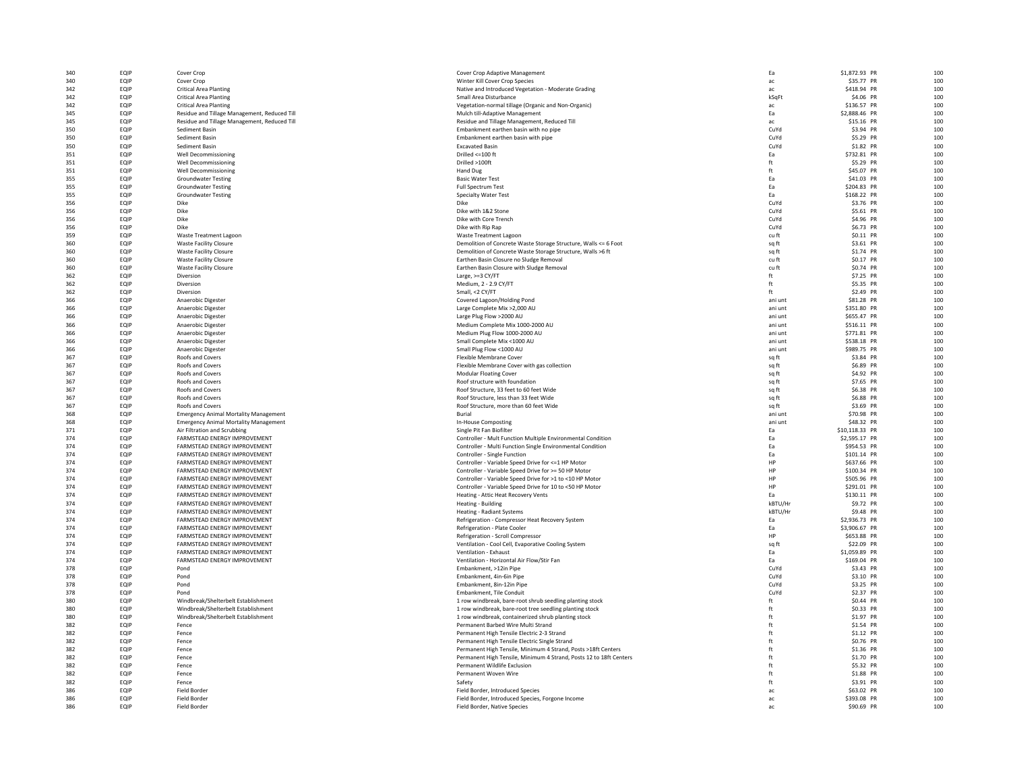| 340 | EQIP        | Cover Crop                                   | Cover Crop Adaptive Management                                     | Ea      | \$1,872.93 PR  | 100 |
|-----|-------------|----------------------------------------------|--------------------------------------------------------------------|---------|----------------|-----|
| 340 | EQIP        |                                              |                                                                    |         | \$35.77 PR     | 100 |
|     |             | Cover Crop                                   | Winter Kill Cover Crop Species                                     | ac      |                |     |
| 342 | EQIP        | <b>Critical Area Planting</b>                | Native and Introduced Vegetation - Moderate Grading                | ac      | \$418.94 PR    | 100 |
| 342 | EQIP        | <b>Critical Area Planting</b>                | Small Area Disturbance                                             | kSaFt   | \$4.06 PR      | 100 |
| 342 | <b>FOIP</b> | <b>Critical Area Planting</b>                | Vegetation-normal tillage (Organic and Non-Organic)                | ac      | \$136.57 PR    | 100 |
| 345 | EQIP        | Residue and Tillage Management, Reduced Till | Mulch till-Adaptive Management                                     | Ea      | \$2,888.46 PR  | 100 |
|     |             |                                              |                                                                    |         |                |     |
| 345 | EQIP        | Residue and Tillage Management, Reduced Till | Residue and Tillage Management, Reduced Till                       | ac      | \$15.16 PR     | 100 |
| 350 | EQIP        | Sediment Basin                               | Embankment earthen basin with no pipe                              | CuYd    | \$3.94 PR      | 100 |
| 350 | EQIP        | Sediment Basin                               | Embankment earthen basin with pipe                                 | CuYd    | \$5.29 PR      | 100 |
|     | <b>FOIP</b> |                                              |                                                                    |         |                |     |
| 350 |             | Sediment Basin                               | <b>Excavated Basin</b>                                             | CuYd    | \$1.82 PR      | 100 |
| 351 | EQIP        | Well Decommissioning                         | Drilled <= 100 ft                                                  | Ea      | \$732.81 PR    | 100 |
| 351 | EQIP        | Well Decommissioning                         | Drilled >100ft                                                     | ft      | \$5.29 PR      | 100 |
| 351 | EQIP        | Well Decommissioning                         | Hand Dug                                                           | ft      | \$45.07 PR     | 100 |
|     |             |                                              |                                                                    |         |                |     |
| 355 | EQIP        | <b>Groundwater Testing</b>                   | <b>Basic Water Test</b>                                            | Ea      | \$41.03 PR     | 100 |
| 355 | EQIP        | <b>Groundwater Testing</b>                   | <b>Full Spectrum Test</b>                                          | Ea      | \$204.83 PR    | 100 |
| 355 | EQIP        | <b>Groundwater Testing</b>                   | Specialty Water Test                                               | Fa      | \$168.22 PR    | 100 |
| 356 | EQIP        | Dike                                         | Dike                                                               | CuYd    | \$3.76 PR      | 100 |
|     |             |                                              |                                                                    |         |                |     |
| 356 | EQIP        | Dike                                         | Dike with 1&2 Stone                                                | CuYd    | \$5.61 PR      | 100 |
| 356 | <b>FOIP</b> | Dike                                         | Dike with Core Trench                                              | CuYd    | \$4.96 PR      | 100 |
| 356 | EQIP        | Dike                                         | Dike with Rin Ran                                                  | CuYd    | \$6,73 PR      | 100 |
| 359 | EQIP        | Waste Treatment Lagoon                       | Waste Treatment Lagoon                                             | cu ft   | \$0.11 PR      | 100 |
| 360 | EQIP        |                                              |                                                                    |         | \$3.61 PR      | 100 |
|     |             | <b>Waste Facility Closure</b>                | Demolition of Concrete Waste Storage Structure, Walls <= 6 Foot    | sq ft   |                |     |
| 360 | EQIP        | <b>Waste Facility Closure</b>                | Demolition of Concrete Waste Storage Structure, Walls >6 ft        | sq ft   | \$1.74 PR      | 100 |
| 360 | EQIP        | <b>Waste Facility Closure</b>                | Earthen Basin Closure no Sludge Removal                            | cu ft   | \$0.17 PR      | 100 |
| 360 | EQIP        | <b>Waste Facility Closure</b>                | Earthen Basin Closure with Sludge Removal                          | cu ft   | \$0.74 PR      | 100 |
|     |             |                                              |                                                                    |         |                |     |
| 362 | EQIP        | Diversion                                    | Large, >=3 CY/FT                                                   | ft      | \$7.25 PR      | 100 |
| 362 | EQIP        | Diversion                                    | Medium, 2 - 2.9 CY/FT                                              | ft      | \$5.35 PR      | 100 |
| 362 | EQIP        | Diversion                                    | Small, <2 CY/FT                                                    | ft      | \$2.49 PR      | 100 |
| 366 | <b>FOIP</b> | Anaerobic Digester                           | Covered Lagoon/Holding Pond                                        | ani unt | \$81.28 PR     | 100 |
|     | <b>FOIP</b> |                                              |                                                                    |         |                | 100 |
| 366 |             | Anaerobic Digester                           | Large Complete Mix >2,000 AU                                       | ani unt | \$351.80 PR    |     |
| 366 | EQIP        | Anaerobic Digester                           | Large Plug Flow >2000 AU                                           | ani unt | \$655.47 PR    | 100 |
| 366 | EQIP        | Anaerobic Digester                           | Medium Complete Mix 1000-2000 AU                                   | ani unt | \$516.11 PR    | 100 |
| 366 | EQIP        | Anaerobic Digester                           | Medium Plug Flow 1000-2000 AU                                      | ani unt | \$771.81 PR    | 100 |
|     |             |                                              |                                                                    |         |                |     |
| 366 | EQIP        | Anaerobic Digester                           | Small Complete Mix <1000 AU                                        | ani unt | \$538.18 PR    | 100 |
| 366 | EQIP        | Anaerobic Digester                           | Small Plug Flow <1000 AU                                           | ani unt | \$989,75 PR    | 100 |
| 367 | EQIP        | Roofs and Covers                             | Flexible Membrane Cover                                            | sq ft   | \$3.84 PR      | 100 |
| 367 | EQIP        | Roofs and Covers                             | Flexible Membrane Cover with gas collection                        | sq ft   | \$6.89 PR      | 100 |
|     |             |                                              |                                                                    |         |                |     |
| 367 | EQIP        | Roofs and Covers                             | Modular Floating Cover                                             | sq ft   | \$4.92 PR      | 100 |
| 367 | EQIP        | Roofs and Covers                             | Roof structure with foundation                                     | sq ft   | \$7.65 PR      | 100 |
| 367 | <b>FOIP</b> | <b>Roofs and Covers</b>                      | Roof Structure, 33 feet to 60 feet Wide                            | sq ft   | \$6.38 PR      | 100 |
| 367 | EQIP        | <b>Roofs and Covers</b>                      | Roof Structure, less than 33 feet Wide                             | sq ft   | \$6.88 PR      | 100 |
|     |             |                                              |                                                                    |         |                |     |
| 367 | EQIP        | Roofs and Covers                             | Roof Structure, more than 60 feet Wide                             | sq ft   | \$3.69 PR      | 100 |
| 368 | EQIP        | <b>Emergency Animal Mortality Management</b> | Burial                                                             | ani unt | \$70.98 PR     | 100 |
| 368 | EQIP        | <b>Emergency Animal Mortality Management</b> | In-House Composting                                                | ani unt | \$48.32 PR     | 100 |
| 371 | EQIP        | Air Filtration and Scrubbing                 | Single Pit Fan Biofilter                                           | Fa      | \$10.118.33 PR | 100 |
|     |             |                                              |                                                                    |         |                |     |
| 374 | EQIP        | FARMSTEAD ENERGY IMPROVEMENT                 | Controller - Mult Function Multiple Environmental Condition        | Ea      | \$2,595.17 PR  | 100 |
| 374 | EQIP        | FARMSTEAD ENERGY IMPROVEMENT                 | Controller - Multi Function Single Environmental Condition         | Ea      | \$954.53 PR    | 100 |
| 374 | EQIP        | FARMSTEAD ENERGY IMPROVEMENT                 | Controller - Single Function                                       | Ea      | \$101.14 PR    | 100 |
| 374 | <b>FOIP</b> | FARMSTEAD ENERGY IMPROVEMENT                 |                                                                    | HP      | \$637.66 PR    | 100 |
|     |             |                                              | Controller - Variable Speed Drive for <= 1 HP Motor                |         |                |     |
| 374 | <b>FOIP</b> | <b>FARMSTEAD ENERGY IMPROVEMENT</b>          | Controller - Variable Speed Drive for >= 50 HP Motor               | HP      | \$100.34 PR    | 100 |
| 374 | EQIP        | FARMSTEAD ENERGY IMPROVEMENT                 | Controller - Variable Speed Drive for >1 to <10 HP Motor           | HP      | \$505.96 PR    | 100 |
| 374 | EQIP        | FARMSTEAD ENERGY IMPROVEMENT                 | Controller - Variable Speed Drive for 10 to <50 HP Motor           | HP      | \$291.01 PR    | 100 |
| 374 | EQIP        | FARMSTEAD ENERGY IMPROVEMENT                 | Heating - Attic Heat Recovery Vents                                | Ea      | \$130.11 PR    | 100 |
|     |             |                                              |                                                                    |         |                |     |
| 374 | EQIP        | <b>FARMSTFAD ENFRGY IMPROVEMENT</b>          | Heating - Building                                                 | kBTU/Hr | \$9.72 PR      | 100 |
| 374 | <b>FOIP</b> | <b>FARMSTFAD ENFRGY IMPROVEMENT</b>          | <b>Heating - Radiant Systems</b>                                   | kBTU/Hr | \$9.48 PR      | 100 |
| 374 | EQIP        | FARMSTEAD ENERGY IMPROVEMENT                 | Refrigeration - Compressor Heat Recovery System                    | Ea      | \$2,936.73 PR  | 100 |
| 374 | EQIP        | FARMSTEAD ENERGY IMPROVEMENT                 | Refrigeration - Plate Cooler                                       | Ea      | \$3,906.67 PR  | 100 |
| 374 | EQIP        | FARMSTEAD ENERGY IMPROVEMENT                 |                                                                    | HP      | \$653.88 PR    | 100 |
|     |             |                                              | Refrigeration - Scroll Compressor                                  |         |                |     |
| 374 | EQIP        | FARMSTEAD ENERGY IMPROVEMENT                 | Ventilation - Cool Cell, Evaporative Cooling System                | sq ft   | \$22.09 PR     | 100 |
| 374 | <b>FOIP</b> | FARMSTEAD ENERGY IMPROVEMENT                 | Ventilation - Exhaust                                              | Fa      | \$1,059.89 PR  | 100 |
| 374 | EQIP        | FARMSTEAD ENERGY IMPROVEMENT                 | Ventilation - Horizontal Air Flow/Stir Fan                         | Ea      | \$169.04 PR    | 100 |
| 378 | EQIP        | Pond                                         | Embankment, >12in Pipe                                             | CuYd    | \$3.43 PR      | 100 |
|     |             |                                              |                                                                    |         |                |     |
| 378 | EQIP        | Pond                                         | Embankment, 4in-6in Pipe                                           | CuYd    | \$3.10 PR      | 100 |
| 378 | EQIP        | Pond                                         | Embankment, 8in-12in Pipe                                          | CuYd    | \$3.25 PR      | 100 |
| 378 | EQIP        | Pond                                         | Embankment, Tile Conduit                                           | CuYd    | \$2.37 PR      | 100 |
| 380 | EQIP        | Windbreak/Shelterbelt Establishment          | 1 row windbreak, bare-root shrub seedling planting stock           | ft      | \$0.44 PR      | 100 |
| 380 | EQIP        | Windbreak/Shelterbelt Establishment          | 1 row windbreak, bare-root tree seedling planting stock            | ft      | \$0.33 PR      | 100 |
|     |             |                                              |                                                                    |         |                |     |
| 380 | EQIP        | Windbreak/Shelterbelt Establishment          | 1 row windbreak, containerized shrub planting stock                | ft      | \$1.97 PR      | 100 |
| 382 | EQIP        | Fence                                        | Permanent Barbed Wire Multi Strand                                 | ft      | \$1.54 PR      | 100 |
| 382 | EQIP        | Fence                                        | Permanent High Tensile Electric 2-3 Strand                         | ft      | \$1.12 PR      | 100 |
| 382 | EQIP        | Fence                                        | Permanent High Tensile Electric Single Strand                      | ft      | \$0.76 PR      | 100 |
|     |             |                                              |                                                                    |         |                |     |
| 382 | EQIP        | Fence                                        | Permanent High Tensile, Minimum 4 Strand, Posts >18ft Centers      | ft      | \$1.36 PR      | 100 |
| 382 | EQIP        | Fence                                        | Permanent High Tensile, Minimum 4 Strand, Posts 12 to 18ft Centers | ft      | \$1.70 PR      | 100 |
| 382 | <b>FOIP</b> | Fence                                        | Permanent Wildlife Exclusion                                       | ft      | \$5.32 PR      | 100 |
| 382 | <b>FOIP</b> | Fence                                        | Permanent Woven Wire                                               | ft      | \$1.88 PR      | 100 |
|     |             |                                              |                                                                    |         |                |     |
| 382 | EQIP        | Fence                                        | Safety                                                             | ft      | \$3.91 PR      | 100 |
| 386 | EQIP        | Field Border                                 | Field Border, Introduced Species                                   | ac      | \$63.02 PR     | 100 |
| 386 | EQIP        | <b>Field Border</b>                          | Field Border, Introduced Species, Forgone Income                   | ac      | \$393.08 PR    | 100 |
| 386 | FOIP        | <b>Field Border</b>                          | Field Border, Native Species                                       | ac      | \$90.69 PR     | 100 |
|     |             |                                              |                                                                    |         |                |     |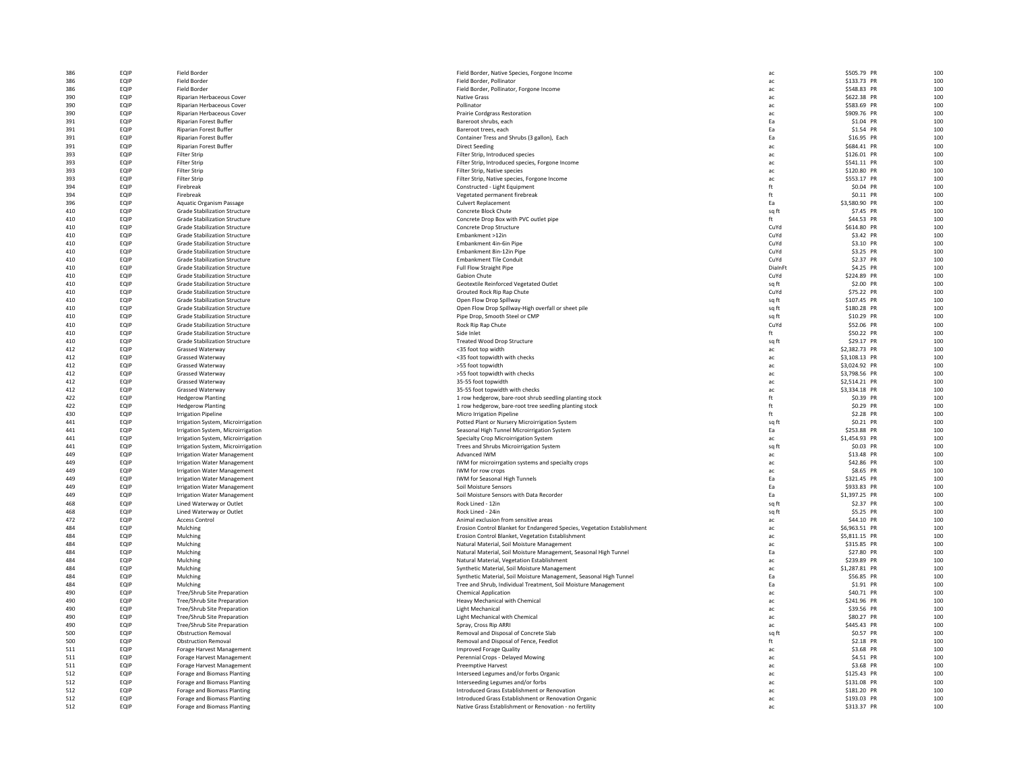| 386 | <b>FOIP</b> | <b>Field Border</b>                                        | Field Border, Native Species, Forgone Income                             | ac                         | \$505.79 PR   | 100 |
|-----|-------------|------------------------------------------------------------|--------------------------------------------------------------------------|----------------------------|---------------|-----|
|     |             |                                                            |                                                                          |                            |               |     |
| 386 | EQIP        | <b>Field Border</b>                                        | Field Border, Pollinator                                                 | ac                         | \$133.73 PR   | 100 |
| 386 | EQIP        | <b>Field Border</b>                                        | Field Border, Pollinator, Forgone Income                                 | ac                         | \$548.83 PR   | 100 |
| 390 | EQIP        | Riparian Herbaceous Cover                                  | <b>Native Grass</b>                                                      | ac                         | \$622.38 PR   | 100 |
| 390 | EQIP        | Riparian Herbaceous Cover                                  | Pollinator                                                               | ac                         | \$583.69 PR   | 100 |
|     |             |                                                            |                                                                          |                            |               |     |
| 390 | EQIP        | Riparian Herbaceous Cover                                  | Prairie Cordgrass Restoration                                            | ac                         | \$909.76 PR   | 100 |
| 391 | EQIP        | <b>Riparian Forest Buffer</b>                              | Bareroot shrubs, each                                                    | Ea                         | \$1.04 PR     | 100 |
| 391 | EQIP        | Riparian Forest Buffer                                     | Bareroot trees, each                                                     | Ea                         | \$1.54 PR     | 100 |
| 391 | EQIP        | <b>Riparian Forest Buffer</b>                              | Container Tress and Shrubs (3 gallon), Each                              | Ea                         | \$16.95 PR    | 100 |
|     |             |                                                            |                                                                          |                            |               |     |
| 391 | EQIP        | <b>Riparian Forest Buffer</b>                              | <b>Direct Seeding</b>                                                    | ac                         | \$684.41 PR   | 100 |
| 393 | <b>FOIP</b> | <b>Filter Strip</b>                                        | Filter Strip, Introduced species                                         | ac                         | \$126.01 PR   | 100 |
| 393 | EQIP        | <b>Filter Strip</b>                                        | Filter Strip, Introduced species, Forgone Income                         | ac                         | \$541.11 PR   | 100 |
| 393 | EQIP        | <b>Filter Strip</b>                                        | Filter Strip, Native species                                             | ac                         | \$120.80 PR   | 100 |
| 393 | EQIP        | <b>Filter Strip</b>                                        |                                                                          | ac                         | \$553.17 PR   | 100 |
|     |             |                                                            | Filter Strip, Native species, Forgone Income                             |                            |               |     |
| 394 | EQIP        | Firebreak                                                  | Constructed - Light Equipment                                            | ft                         | \$0.04 PR     | 100 |
| 394 | EQIP        | Firebreak                                                  | Vegetated permanent firebreak                                            | ft                         | \$0.11 PR     | 100 |
| 396 | EQIP        | Aquatic Organism Passage                                   | <b>Culvert Replacement</b>                                               | Ea                         | \$3,580.90 PR | 100 |
| 410 | EQIP        | <b>Grade Stabilization Structure</b>                       | Concrete Block Chute                                                     | sq ft                      | \$7.45 PR     | 100 |
| 410 | EQIP        |                                                            |                                                                          |                            | \$44.53 PR    |     |
|     |             | <b>Grade Stabilization Structure</b>                       | Concrete Drop Box with PVC outlet pipe                                   | ft                         |               | 100 |
| 410 | <b>FOIP</b> | <b>Grade Stabilization Structure</b>                       | Concrete Drop Structure                                                  | CuYd                       | \$614.80 PR   | 100 |
| 410 | EQIP        | <b>Grade Stabilization Structure</b>                       | Fmbankment >12in                                                         | CuYd                       | \$3.42 PR     | 100 |
| 410 | EQIP        | <b>Grade Stabilization Structure</b>                       | Embankment 4in-6in Pipe                                                  | CuYd                       | \$3.10 PR     | 100 |
| 410 | EQIP        | <b>Grade Stabilization Structure</b>                       | Embankment 8in-12in Pipe                                                 | CuYd                       | \$3.25 PR     | 100 |
|     |             |                                                            |                                                                          |                            |               |     |
| 410 | EQIP        | <b>Grade Stabilization Structure</b>                       | <b>Embankment Tile Conduit</b>                                           | CuYd                       | \$2.37 PR     | 100 |
| 410 | EQIP        | <b>Grade Stabilization Structure</b>                       | Full Flow Straight Pipe                                                  | DiaInFt                    | \$4.25 PR     | 100 |
| 410 | EQIP        | <b>Grade Stabilization Structure</b>                       | Gabion Chute                                                             | CuYd                       | \$224.89 PR   | 100 |
| 410 | EQIP        | <b>Grade Stabilization Structure</b>                       | Geotextile Reinforced Vegetated Outlet                                   | sa ft                      | \$2.00 PR     | 100 |
| 410 | EQIP        | <b>Grade Stabilization Structure</b>                       | Grouted Rock Rip Rap Chute                                               | CuYd                       | \$75.22 PR    | 100 |
|     |             |                                                            |                                                                          |                            |               |     |
| 410 | EQIP        | <b>Grade Stabilization Structure</b>                       | Open Flow Drop Spillway                                                  | sq ft                      | \$107.45 PR   | 100 |
| 410 | <b>FOIP</b> | <b>Grade Stabilization Structure</b>                       | Open Flow Drop Spillway-High overfall or sheet pile                      | sq ft                      | \$180.28 PR   | 100 |
| 410 | <b>FOIP</b> | <b>Grade Stabilization Structure</b>                       | Pipe Drop, Smooth Steel or CMP                                           | sa ft                      | \$10.29 PR    | 100 |
| 410 | EQIP        | <b>Grade Stabilization Structure</b>                       | Rock Rip Rap Chute                                                       | CuYd                       | \$52.06 PR    | 100 |
|     |             |                                                            |                                                                          |                            |               |     |
| 410 | EQIP        | <b>Grade Stabilization Structure</b>                       | Side Inlet                                                               | ft                         | \$50.22 PR    | 100 |
| 410 | EQIP        | <b>Grade Stabilization Structure</b>                       | Treated Wood Drop Structure                                              | sq ft                      | \$29.17 PR    | 100 |
| 412 | EQIP        | <b>Grassed Waterway</b>                                    | <35 foot top width                                                       | $\mathsf{ac}$              | \$2.382.73 PR | 100 |
| 412 | <b>FOIP</b> | <b>Grassed Waterway</b>                                    | <35 foot topwidth with checks                                            | ac                         | \$3,108.13 PR | 100 |
|     |             |                                                            |                                                                          |                            |               |     |
| 412 | EQIP        | Grassed Waterway                                           | >55 foot topwidth                                                        | ac                         | \$3,024.92 PR | 100 |
| 412 | EQIP        | Grassed Waterway                                           | >55 foot topwidth with checks                                            | ac                         | \$3,798.56 PR | 100 |
| 412 | EQIP        | Grassed Waterway                                           | 35-55 foot topwidth                                                      | ac                         | \$2,514.21 PR | 100 |
| 412 | <b>FOIP</b> | Grassed Waterway                                           | 35-55 foot topwidth with checks                                          | ac                         | \$3,334.18 PR | 100 |
| 422 | <b>FOIP</b> |                                                            |                                                                          | ft                         | \$0.39 PR     | 100 |
|     |             | <b>Hedgerow Planting</b>                                   | 1 row hedgerow, bare-root shrub seedling planting stock                  |                            |               |     |
| 422 | EQIP        | <b>Hedgerow Planting</b>                                   | 1 row hedgerow, bare-root tree seedling planting stock                   | ft                         | \$0.29 PR     | 100 |
| 430 | EQIP        | <b>Irrigation Pipeline</b>                                 | Micro Irrigation Pipeline                                                | ft                         | \$2.28 PR     | 100 |
| 441 | EQIP        | Irrigation System, Microirrigation                         | Potted Plant or Nursery Microirrigation System                           | sq ft                      | \$0.21 PR     | 100 |
| 441 | EQIP        | Irrigation System, Microirrigation                         | Seasonal High Tunnel Microirrigation System                              | Ea                         | \$253.88 PR   | 100 |
|     |             |                                                            |                                                                          |                            |               |     |
| 441 | EQIP        | Irrigation System, Microirrigation                         | Specialty Crop Microirrigation System                                    | ac                         | \$1,454.93 PR | 100 |
| 441 | EQIP        | Irrigation System, Microirrigation                         | Trees and Shrubs Microirrigation System                                  | sq ft                      | \$0.03 PR     | 100 |
| 449 | EQIP        | <b>Irrigation Water Management</b>                         | Advanced IWM                                                             | ac                         | \$13.48 PR    | 100 |
| 449 | EQIP        | <b>Irrigation Water Management</b>                         | IWM for microirrgation systems and specialty crops                       | ac                         | \$42.86 PR    | 100 |
| 449 | <b>FOIP</b> | <b>Irrigation Water Management</b>                         | IWM for row crops                                                        | ac                         | \$8.65 PR     | 100 |
|     |             |                                                            |                                                                          |                            |               |     |
| 449 | EQIP        | <b>Irrigation Water Management</b>                         | <b>IWM for Seasonal High Tunnels</b>                                     | Ea                         | \$321.45 PR   | 100 |
| 449 | EQIP        | <b>Irrigation Water Management</b>                         | Soil Moisture Sensors                                                    | Ea                         | \$933.83 PR   | 100 |
| 449 | EQIP        | <b>Irrigation Water Management</b>                         | Soil Moisture Sensors with Data Recorder                                 | Ea                         | \$1,397.25 PR | 100 |
| 468 | EQIP        | Lined Waterway or Outlet                                   | Rock Lined - 12in                                                        | sq ft                      | \$2.37 PR     | 100 |
| 468 | EQIP        | Lined Waterway or Outlet                                   | Rock Lined - 24in                                                        |                            | \$5.25 PR     | 100 |
|     |             |                                                            |                                                                          | sq ft                      |               |     |
| 472 | EQIP        | Access Control                                             | Animal exclusion from sensitive areas                                    | ac                         | \$44.10 PR    | 100 |
| 484 | EQIP        | Mulching                                                   | Erosion Control Blanket for Endangered Species, Vegetation Establishment | ac                         | \$6,963.51 PR | 100 |
| 484 | EQIP        | Mulching                                                   | Erosion Control Blanket, Vegetation Establishment                        | ac                         | \$5,811.15 PR | 100 |
| 484 | EQIP        | Mulching                                                   | Natural Material, Soil Moisture Management                               | ac                         | \$315.85 PR   | 100 |
| 484 | EQIP        | Mulching                                                   | Natural Material, Soil Moisture Management, Seasonal High Tunnel         | Ea                         | \$27.80 PR    | 100 |
|     |             |                                                            |                                                                          |                            |               |     |
| 484 | EQIP        | Mulching                                                   | Natural Material, Vegetation Establishment                               | ac.                        | \$239.89 PR   | 100 |
| 484 | EQIP        | Mulching                                                   | Synthetic Material, Soil Moisture Management                             | ac                         | \$1,287.81 PR | 100 |
| 484 | EQIP        | Mulching                                                   | Synthetic Material, Soil Moisture Management, Seasonal High Tunnel       | Ea                         | \$56.85 PR    | 100 |
| 484 | EQIP        | Mulching                                                   | Tree and Shrub, Individual Treatment, Soil Moisture Management           | Ea                         | \$1.91 PR     | 100 |
| 490 | EQIP        |                                                            | <b>Chemical Application</b>                                              |                            | \$40.71 PR    | 100 |
|     | EQIP        | Tree/Shrub Site Preparation<br>Tree/Shrub Site Prenaration |                                                                          | $\mathop{\mathsf{ac}}$     | \$241.96 PR   | 100 |
| 490 |             |                                                            | Heavy Mechanical with Chemical                                           | ac                         |               |     |
| 490 | EQIP        | Tree/Shrub Site Preparation                                | Light Mechanical                                                         | ac                         | \$39.56 PR    | 100 |
| 490 | EQIP        | Tree/Shrub Site Preparation                                | Light Mechanical with Chemical                                           | ac                         | \$80.27 PR    | 100 |
| 490 | EQIP        | Tree/Shrub Site Preparation                                | Spray, Cross Rip ARRI                                                    | ac                         | \$445.43 PR   | 100 |
| 500 | EQIP        | <b>Obstruction Removal</b>                                 | Removal and Disposal of Concrete Slab                                    | sa ft                      | \$0.57 PR     | 100 |
|     |             |                                                            |                                                                          |                            |               |     |
| 500 | EQIP        | <b>Obstruction Removal</b>                                 | Removal and Disposal of Fence, Feedlot                                   | ft                         | \$2.18 PR     | 100 |
| 511 | EQIP        | Forage Harvest Management                                  | <b>Improved Forage Quality</b>                                           | ac                         | \$3.68 PR     | 100 |
| 511 | EQIP        | Forage Harvest Management                                  | Perennial Crops - Delayed Mowing                                         | ac                         | \$4.51 PR     | 100 |
| 511 | EQIP        | Forage Harvest Management                                  | <b>Preemptive Harvest</b>                                                | $\mathop{\rm ac}\nolimits$ | \$3.68 PR     | 100 |
| 512 | <b>FOIP</b> | Forage and Biomass Planting                                | Interseed Legumes and/or forbs Organic                                   | ac                         | \$125.43 PR   | 100 |
|     |             |                                                            |                                                                          |                            |               |     |
| 512 | EQIP        | Forage and Biomass Planting                                | Interseeding Legumes and/or forbs                                        | ac                         | \$131.08 PR   | 100 |
| 512 | EQIP        | Forage and Biomass Planting                                | Introduced Grass Establishment or Renovation                             | ac                         | \$181.20 PR   | 100 |
| 512 | EQIP        | <b>Forage and Biomass Planting</b>                         | Introduced Grass Establishment or Renovation Organic                     | ac                         | \$193.03 PR   | 100 |
| 512 | FOIP        | Forage and Biomass Planting                                | Native Grass Establishment or Renovation - no fertility                  | ac                         | \$313.37 PR   | 100 |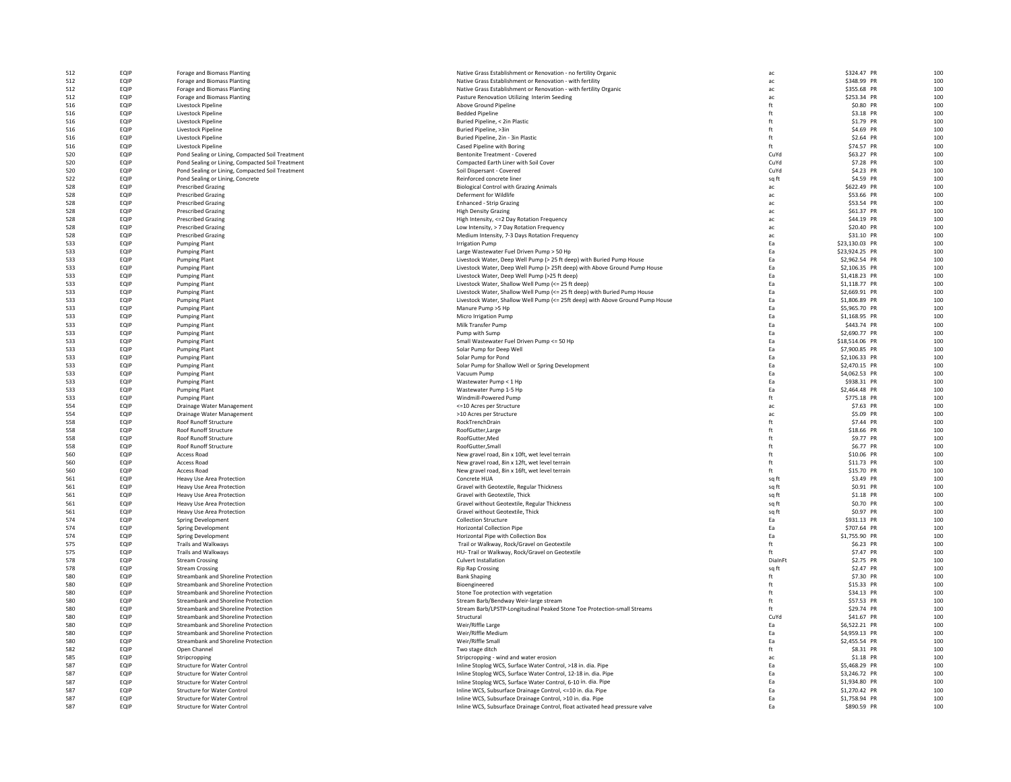| 512 | EQIP        | Forage and Biomass Planting                      | Native Grass Establishment or Renovation - no fertility Organic                | ac      | \$324.47 PR    | 100 |
|-----|-------------|--------------------------------------------------|--------------------------------------------------------------------------------|---------|----------------|-----|
|     |             |                                                  |                                                                                |         |                |     |
| 512 | EQIP        | Forage and Biomass Planting                      | Native Grass Establishment or Renovation - with fertility                      | ac      | \$348.99 PR    | 100 |
| 512 | EQIP        | <b>Forage and Biomass Planting</b>               | Native Grass Establishment or Renovation - with fertility Organic              | ac      | \$355.68 PR    | 100 |
| 512 | EQIP        | Forage and Biomass Planting                      | Pasture Renovation Utilizing Interim Seeding                                   | ac      | \$253.34 PR    | 100 |
| 516 | EQIP        | <b>Livestock Pineline</b>                        | Ahove Ground Pineline                                                          | ft      | \$0.80 PR      | 100 |
| 516 | EQIP        | <b>Livestock Pipeline</b>                        | <b>Bedded Pipeline</b>                                                         | f       | \$3.18 PR      | 100 |
|     |             |                                                  |                                                                                |         |                |     |
| 516 | EQIP        | <b>Livestock Pipeline</b>                        | Buried Pipeline, < 2in Plastic                                                 | ft      | \$1.79 PR      | 100 |
| 516 | EQIP        | <b>Livestock Pipeline</b>                        | Buried Pipeline, >3in                                                          | ft      | \$4.69 PR      | 100 |
| 516 | <b>FOIP</b> | Livestock Pipeline                               | Buried Pipeline, 2in - 3in Plastic                                             | ft      | \$2.64 PR      | 100 |
| 516 | <b>FOIP</b> | <b>Livestock Pineline</b>                        |                                                                                | ft      | \$74.57 PR     | 100 |
|     |             |                                                  | Cased Pipeline with Boring                                                     |         |                |     |
| 520 | EQIP        | Pond Sealing or Lining, Compacted Soil Treatment | <b>Bentonite Treatment - Covered</b>                                           | CuYd    | \$63.27 PR     | 100 |
| 520 | EQIP        | Pond Sealing or Lining, Compacted Soil Treatment | Compacted Earth Liner with Soil Cover                                          | CuYd    | \$7.28 PR      | 100 |
| 520 | EQIP        | Pond Sealing or Lining, Compacted Soil Treatment | Soil Dispersant - Covered                                                      | CuYd    | \$4.23 PR      | 100 |
|     |             |                                                  |                                                                                |         |                |     |
| 522 | EQIP        | Pond Sealing or Lining, Concrete                 | Reinforced concrete liner                                                      | sq ft   | \$4.59 PR      | 100 |
| 528 | EQIP        | <b>Prescribed Grazing</b>                        | <b>Biological Control with Grazing Animals</b>                                 | ac      | \$622.49 PR    | 100 |
| 528 | EQIP        | <b>Prescribed Grazing</b>                        | Deferment for Wildlife                                                         | ac      | \$53.66 PR     | 100 |
| 528 | EQIP        | <b>Prescribed Grazing</b>                        | <b>Enhanced - Strip Grazing</b>                                                | ac      | \$53.54 PR     | 100 |
| 528 | <b>FOIP</b> |                                                  |                                                                                |         | \$61.37 PR     |     |
|     |             | <b>Prescribed Grazing</b>                        | <b>High Density Grazing</b>                                                    | ac      |                | 100 |
| 528 | EQIP        | <b>Prescribed Grazing</b>                        | High Intensity, <= 2 Day Rotation Frequency                                    | ac.     | \$44.19 PR     | 100 |
| 528 | EQIP        | <b>Prescribed Grazing</b>                        | Low Intensity, > 7 Day Rotation Frequency                                      | ac      | \$20.40 PR     | 100 |
| 528 | EQIP        | <b>Prescribed Grazing</b>                        | Medium Intensity, 7-3 Days Rotation Frequency                                  | ac      | \$31.10 PR     | 100 |
|     |             |                                                  |                                                                                |         |                |     |
| 533 | EQIP        | <b>Pumping Plant</b>                             | <b>Irrigation Pump</b>                                                         | Ea      | \$23,130.03 PR | 100 |
| 533 | EQIP        | <b>Pumping Plant</b>                             | Large Wastewater Fuel Driven Pump > 50 Hp                                      | Ea      | \$23,924.25 PR | 100 |
| 533 | EQIP        | <b>Pumping Plant</b>                             | Livestock Water, Deep Well Pump (> 25 ft deep) with Buried Pump House          | Fa      | \$2,962.54 PR  | 100 |
| 533 | EQIP        | <b>Pumping Plant</b>                             | Livestock Water, Deep Well Pump (> 25ft deep) with Above Ground Pump House     | Ea      | \$2,106.35 PR  | 100 |
|     |             |                                                  |                                                                                |         |                |     |
| 533 | EQIP        | <b>Pumping Plant</b>                             | Livestock Water, Deep Well Pump (>25 ft deep)                                  | Ea      | \$1,418.23 PR  | 100 |
| 533 | EQIP        | <b>Pumping Plant</b>                             | Livestock Water, Shallow Well Pump (<= 25 ft deep)                             | Ea      | \$1,118.77 PR  | 100 |
| 533 | <b>FOIP</b> | <b>Pumping Plant</b>                             | Livestock Water, Shallow Well Pump (<= 25 ft deep) with Buried Pump House      | Fa      | \$2,669.91 PR  | 100 |
| 533 | EQIP        | <b>Pumping Plant</b>                             | Livestock Water, Shallow Well Pump (<= 25ft deep) with Above Ground Pump House | Ea      | \$1,806.89 PR  | 100 |
|     |             |                                                  |                                                                                |         |                |     |
| 533 | EQIP        | <b>Pumping Plant</b>                             | Manure Pump >5 Hp                                                              | Ea      | \$5,965.70 PR  | 100 |
| 533 | EQIP        | <b>Pumping Plant</b>                             | Micro Irrigation Pump                                                          | Ea      | \$1,168.95 PR  | 100 |
| 533 | EQIP        | <b>Pumping Plant</b>                             | Milk Transfer Pump                                                             | Ea      | \$443.74 PR    | 100 |
| 533 | EQIP        | <b>Pumping Plant</b>                             | Pump with Sump                                                                 | Ea      | \$2,690.77 PR  | 100 |
|     |             |                                                  |                                                                                |         |                |     |
| 533 | EQIP        | <b>Pumping Plant</b>                             | Small Wastewater Fuel Driven Pump <= 50 Hp                                     | Fa      | \$18,514.06 PR | 100 |
| 533 | EQIP        | <b>Pumping Plant</b>                             | Solar Pump for Deep Well                                                       | Ea      | \$7,900.85 PR  | 100 |
| 533 | EQIP        | <b>Pumping Plant</b>                             | Solar Pump for Pond                                                            | Ea      | \$2,106.33 PR  | 100 |
| 533 | EQIP        | <b>Pumping Plant</b>                             | Solar Pump for Shallow Well or Spring Development                              | Ea      | \$2,470.15 PR  | 100 |
|     |             |                                                  |                                                                                |         |                |     |
| 533 | <b>FOIP</b> | <b>Pumping Plant</b>                             | Vacuum Pump                                                                    | Fa      | \$4,062.53 PR  | 100 |
| 533 | EQIP        | <b>Pumping Plant</b>                             | Wastewater Pump < 1 Hp                                                         | Ea      | \$938.31 PR    | 100 |
| 533 | EQIP        | <b>Pumping Plant</b>                             | Wastewater Pump 1-5 Hp                                                         | Ea      | \$2,464.48 PR  | 100 |
| 533 | EQIP        | <b>Pumping Plant</b>                             | Windmill-Powered Pump                                                          | ft      | \$775.18 PR    | 100 |
|     |             |                                                  |                                                                                |         |                |     |
| 554 | EQIP        | Drainage Water Management                        | <= 10 Acres per Structure                                                      | ac      | \$7.63 PR      | 100 |
| 554 | EQIP        | Drainage Water Management                        | >10 Acres per Structure                                                        | ac.     | \$5.09 PR      | 100 |
| 558 | EQIP        | Roof Runoff Structure                            | RockTrenchDrain                                                                | f       | \$7.44 PR      | 100 |
| 558 | EQIP        | Roof Runoff Structure                            |                                                                                | ft      | \$18.66 PR     | 100 |
|     |             |                                                  | RoofGutter, Large                                                              |         |                |     |
| 558 | EQIP        | Roof Runoff Structure                            | RoofGutter, Med                                                                | ft      | \$9.77 PR      | 100 |
| 558 | EQIP        | Roof Runoff Structure                            | RoofGutter.Small                                                               | #       | \$6,77 PR      | 100 |
| 560 | EQIP        | <b>Access Road</b>                               | New gravel road, 8in x 10ft, wet level terrain                                 | ft      | \$10.06 PR     | 100 |
| 560 | EQIP        | Access Road                                      | New gravel road, 8in x 12ft, wet level terrain                                 | ft      | \$11.73 PR     | 100 |
|     |             |                                                  |                                                                                |         |                |     |
| 560 | EQIP        | <b>Access Road</b>                               | New gravel road, 8in x 16ft, wet level terrain                                 | ft      | \$15.70 PR     | 100 |
| 561 | EQIP        | <b>Heavy Use Area Protection</b>                 | Concrete HUA                                                                   | sq ft   | \$3.49 PR      | 100 |
| 561 | EQIP        | Heavy Use Area Protection                        | Gravel with Geotextile, Regular Thickness                                      | sq ft   | \$0.91 PR      | 100 |
| 561 | EQIP        | <b>Heavy Use Area Protection</b>                 | Gravel with Geotextile, Thick                                                  | sq ft   | \$1.18 PR      | 100 |
|     |             |                                                  |                                                                                |         |                |     |
| 561 | EQIP        | <b>Heavy Use Area Protection</b>                 | Gravel without Geotextile, Regular Thickness                                   | sq ft   | \$0.70 PR      | 100 |
| 561 | EQIP        | <b>Heavy Use Area Protection</b>                 | Gravel without Geotextile, Thick                                               | sq ft   | \$0.97 PR      | 100 |
| 574 | EQIP        | Spring Development                               | <b>Collection Structure</b>                                                    | Ea      | \$931.13 PR    | 100 |
| 574 | EQIP        | Spring Development                               | <b>Horizontal Collection Pipe</b>                                              | Ea      | \$707.64 PR    | 100 |
| 574 | EQIP        |                                                  | Horizontal Pine with Collection Box                                            | Ea      |                | 100 |
|     |             | Spring Development                               |                                                                                |         | \$1,755.90 PR  |     |
| 575 | EQIP        | <b>Trails and Walkways</b>                       | Trail or Walkway, Rock/Gravel on Geotextile                                    | ft      | \$6.23 PR      | 100 |
| 575 | EQIP        | <b>Trails and Walkways</b>                       | HU- Trail or Walkway, Rock/Gravel on Geotextile                                | ft      | \$7.47 PR      | 100 |
| 578 | EQIP        | <b>Stream Crossing</b>                           | <b>Culvert Installation</b>                                                    | DiaInFt | \$2.75 PR      | 100 |
| 578 | <b>FOIP</b> |                                                  |                                                                                |         | \$2.47 PR      | 100 |
|     |             | <b>Stream Crossing</b>                           | <b>Rip Rap Crossing</b>                                                        | sq ft   |                |     |
| 580 | EQIP        | Streambank and Shoreline Protection              | <b>Bank Shaning</b>                                                            | ft      | \$7.30 PR      | 100 |
| 580 | EQIP        | Streambank and Shoreline Protection              | Bioengineered                                                                  | f       | \$15.33 PR     | 100 |
| 580 | EQIP        | Streambank and Shoreline Protection              | Stone Toe protection with vegetation                                           | ft      | \$34.13 PR     | 100 |
| 580 | EQIP        | Streambank and Shoreline Protection              | Stream Barb/Bendway Weir-large stream                                          | ft      | \$57.53 PR     | 100 |
| 580 | EQIP        |                                                  |                                                                                | ft      | \$29.74 PR     | 100 |
|     |             | Streambank and Shoreline Protection              | Stream Barb/LPSTP-Longitudinal Peaked Stone Toe Protection-small Streams       |         |                |     |
| 580 | EQIP        | Streambank and Shoreline Protection              | Structural                                                                     | CuYd    | \$41.67 PR     | 100 |
| 580 | EQIP        | Streambank and Shoreline Protection              | Weir/Riffle Large                                                              | Ea      | \$6,522.21 PR  | 100 |
| 580 | EQIP        | Streambank and Shoreline Protection              | Weir/Riffle Medium                                                             | Ea      | \$4,959.13 PR  | 100 |
|     |             |                                                  |                                                                                |         |                |     |
| 580 | EQIP        | Streambank and Shoreline Protection              | Weir/Riffle Small                                                              | Ea      | \$2,455.54 PR  | 100 |
| 582 | EQIP        | Onen Channel                                     | Two stage ditch                                                                | ft      | \$8.31 PR      | 100 |
| 585 | EQIP        | Stripcropping                                    | Stripcropping - wind and water erosion                                         | ac      | \$1.18 PR      | 100 |
| 587 | EQIP        | Structure for Water Control                      | Inline Stoplog WCS, Surface Water Control, >18 in. dia. Pipe                   | Ea      | \$5,468.29 PR  | 100 |
|     |             |                                                  |                                                                                |         |                |     |
| 587 | EQIP        | Structure for Water Control                      | Inline Stoplog WCS, Surface Water Control, 12-18 in. dia. Pipe                 | Ea      | \$3,246.72 PR  | 100 |
| 587 | EQIP        | <b>Structure for Water Control</b>               | Inline Stoplog WCS, Surface Water Control, 6-10 in. dia. Pipe                  | Ea      | \$1,934.80 PR  | 100 |
| 587 | EQIP        | Structure for Water Control                      | Inline WCS, Subsurface Drainage Control, <= 10 in. dia. Pipe                   | Ea      | \$1,270.42 PR  | 100 |
| 587 | <b>FOIP</b> | <b>Structure for Water Control</b>               | Inline WCS, Subsurface Drainage Control, >10 in. dia. Pipe                     | Fa      | \$1,758.94 PR  | 100 |
|     |             |                                                  |                                                                                |         |                |     |
| 587 | EQIP        | <b>Structure for Water Control</b>               | Inline WCS, Subsurface Drainage Control, float activated head pressure valve   | Fa      | \$890.59 PR    | 100 |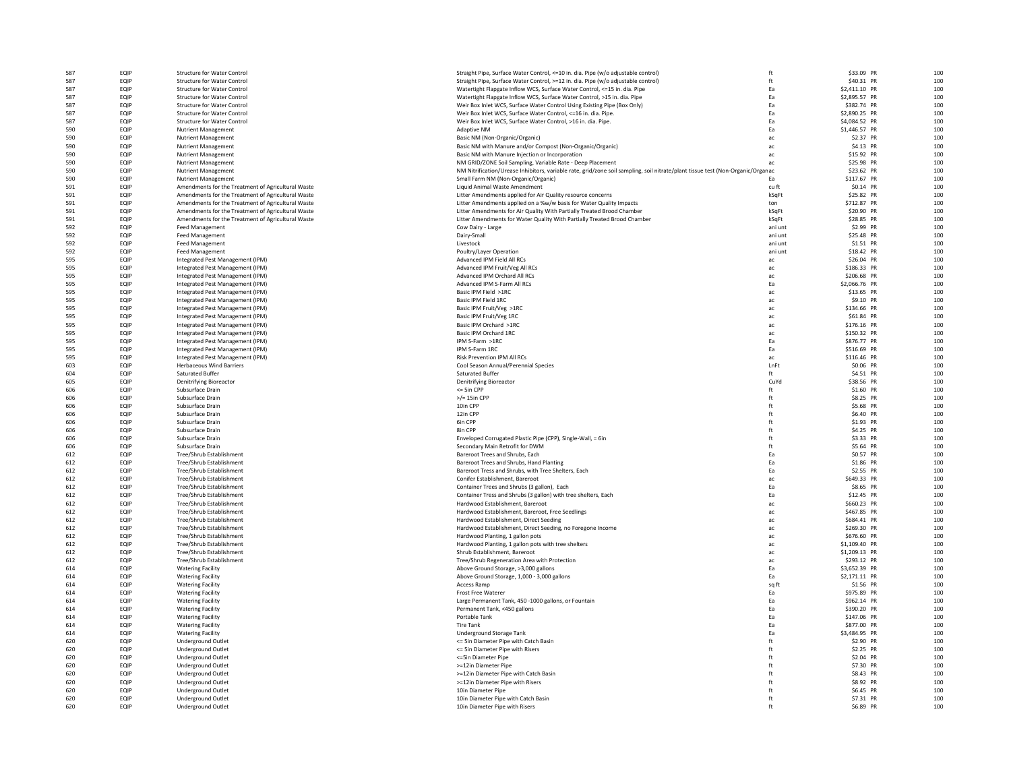| 587 | <b>FOIP</b> | <b>Structure for Water Control</b>                 | Straight Pipe, Surface Water Control, <= 10 in. dia. Pipe (w/o adjustable control)                                              | ft                     | \$33.09 PR    | 100 |
|-----|-------------|----------------------------------------------------|---------------------------------------------------------------------------------------------------------------------------------|------------------------|---------------|-----|
| 587 | EQIP        | <b>Structure for Water Control</b>                 | Straight Pipe, Surface Water Control, >=12 in. dia. Pipe (w/o adjustable control)                                               | ft                     | \$40.31 PR    | 100 |
| 587 | EQIP        | Structure for Water Control                        | Watertight Flapgate Inflow WCS, Surface Water Control, <= 15 in. dia. Pipe                                                      | Ea                     | \$2,411.10 PR | 100 |
| 587 | <b>FOIP</b> | <b>Structure for Water Control</b>                 | Watertight Flapgate Inflow WCS, Surface Water Control, >15 in. dia. Pipe                                                        | Fa                     | \$2,895.57 PR | 100 |
|     |             |                                                    |                                                                                                                                 |                        |               |     |
| 587 | EQIP        | <b>Structure for Water Control</b>                 | Weir Box Inlet WCS, Surface Water Control Using Existing Pipe (Box Only)                                                        | Ea                     | \$382,74 PR   | 100 |
| 587 | EQIP        | <b>Structure for Water Control</b>                 | Weir Box Inlet WCS, Surface Water Control, <= 16 in. dia. Pipe.                                                                 | Ea                     | \$2,890.25 PR | 100 |
| 587 | EQIP        | <b>Structure for Water Control</b>                 | Weir Box Inlet WCS, Surface Water Control, >16 in. dia. Pipe.                                                                   | Ea                     | \$4,084.52 PR | 100 |
| 590 | EQIP        | <b>Nutrient Management</b>                         | Adaptive NM                                                                                                                     | Ea                     | \$1,446.57 PR | 100 |
| 590 | <b>FOIP</b> | <b>Nutrient Management</b>                         | Basic NM (Non-Organic/Organic)                                                                                                  | ac                     | \$2.37 PR     | 100 |
| 590 | EQIP        | <b>Nutrient Management</b>                         | Basic NM with Manure and/or Compost (Non-Organic/Organic)                                                                       | ac                     | \$4.13 PR     | 100 |
|     |             |                                                    |                                                                                                                                 |                        |               |     |
| 590 | EQIP        | Nutrient Management                                | Basic NM with Manure Injection or Incorporation                                                                                 | ac                     | \$15.92 PR    | 100 |
| 590 | EQIP        | Nutrient Management                                | NM GRID/ZONE Soil Sampling, Variable Rate - Deep Placement                                                                      | ac                     | \$25.98 PR    | 100 |
| 590 | EQIP        | Nutrient Management                                | NM Nitrification/Urease Inhibitors, variable rate, grid/zone soil sampling, soil nitrate/plant tissue test (Non-Organic/Organac |                        | \$23.62 PR    | 100 |
| 590 | <b>FOIP</b> | <b>Nutrient Management</b>                         | Small Farm NM (Non-Organic/Organic)                                                                                             | Fa                     | \$117.67 PR   | 100 |
| 591 | EQIP        | Amendments for the Treatment of Agricultural Waste | Liquid Animal Waste Amendment                                                                                                   | cu ft                  | \$0.14 PR     | 100 |
| 591 | EQIP        |                                                    |                                                                                                                                 |                        | \$25.82 PR    | 100 |
|     |             | Amendments for the Treatment of Agricultural Waste | Litter Amendments applied for Air Quality resource concerns                                                                     | kSqFt                  |               |     |
| 591 | EQIP        | Amendments for the Treatment of Agricultural Waste | Litter Amendments applied on a %w/w basis for Water Quality Impacts                                                             | ton                    | \$712.87 PR   | 100 |
| 591 | <b>FOIP</b> | Amendments for the Treatment of Agricultural Waste | Litter Amendments for Air Quality With Partially Treated Brood Chamber                                                          | kSaFt                  | \$20.90 PR    | 100 |
| 591 | EQIP        | Amendments for the Treatment of Agricultural Waste | Litter Amendments for Water Quality With Partially Treated Brood Chamber                                                        | kSqFt                  | \$28.85 PR    | 100 |
| 592 | EQIP        | <b>Feed Management</b>                             | Cow Dairy - Large                                                                                                               | ani unt                | \$2.99 PR     | 100 |
| 592 | EQIP        | <b>Feed Management</b>                             | Dairy-Small                                                                                                                     | ani unt                | \$25.48 PR    | 100 |
|     | <b>FOIP</b> |                                                    | Livestock                                                                                                                       | ani unt                | \$1.51 PR     |     |
| 592 |             | Feed Management                                    |                                                                                                                                 |                        |               | 100 |
| 592 | <b>FOIP</b> | <b>Feed Management</b>                             | Poultry/Layer Operation                                                                                                         | ani unt                | \$18.42 PR    | 100 |
| 595 | EQIP        | Integrated Pest Management (IPM)                   | Advanced IPM Field All RCs                                                                                                      | ac                     | \$26.04 PR    | 100 |
| 595 | EQIP        | Integrated Pest Management (IPM)                   | Advanced IPM Fruit/Veg All RCs                                                                                                  | ac                     | \$186,33 PR   | 100 |
| 595 | EQIP        | Integrated Pest Management (IPM)                   | Advanced IPM Orchard All RCs                                                                                                    | ac                     | \$206.68 PR   | 100 |
| 595 | EQIP        |                                                    | Advanced IPM S-Farm All RCs                                                                                                     | Ea                     | \$2,066.76 PR | 100 |
|     |             | Integrated Pest Management (IPM)                   |                                                                                                                                 |                        |               |     |
| 595 | <b>FOIP</b> | Integrated Pest Management (IPM)                   | Basic IPM Field >1RC                                                                                                            | ac                     | \$13.65 PR    | 100 |
| 595 | EQIP        | Integrated Pest Management (IPM)                   | Basic IPM Field 1RC                                                                                                             | ac                     | \$9.10 PR     | 100 |
| 595 | EQIP        | Integrated Pest Management (IPM)                   | Basic IPM Fruit/Veg >1RC                                                                                                        | ac                     | \$134.66 PR   | 100 |
| 595 | EQIP        | Integrated Pest Management (IPM)                   | Basic IPM Fruit/Veg 1RC                                                                                                         | ac                     | \$61.84 PR    | 100 |
| 595 | <b>FOIP</b> | Integrated Pest Management (IPM)                   | Basic IPM Orchard >1RC                                                                                                          | ac                     | \$176.16 PR   | 100 |
| 595 | <b>FOIP</b> | Integrated Pest Management (IPM)                   | Basic IPM Orchard 1RC                                                                                                           | ac.                    | \$150.32 PR   | 100 |
|     |             |                                                    |                                                                                                                                 |                        |               |     |
| 595 | EQIP        | Integrated Pest Management (IPM)                   | IPM S-Farm >1RC                                                                                                                 | Ea                     | \$876.77 PR   | 100 |
| 595 | EQIP        | Integrated Pest Management (IPM)                   | IPM S-Farm 1RC                                                                                                                  | Ea                     | \$516.69 PR   | 100 |
| 595 | EQIP        | Integrated Pest Management (IPM)                   | Risk Prevention IPM All RCs                                                                                                     | ac                     | \$116.46 PR   | 100 |
| 603 | EQIP        | <b>Herbaceous Wind Barriers</b>                    | Cool Season Annual/Perennial Species                                                                                            | <b>LnFt</b>            | \$0.06 PR     | 100 |
| 604 | <b>FOIP</b> | <b>Saturated Buffer</b>                            | <b>Saturated Buffer</b>                                                                                                         | ft                     | \$4.51 PR     | 100 |
|     |             |                                                    |                                                                                                                                 |                        |               |     |
| 605 | EQIP        | Denitrifying Bioreactor                            | Denitrifying Bioreactor                                                                                                         | CuYd                   | \$38.56 PR    | 100 |
| 606 | EQIP        | Subsurface Drain                                   | $<$ = 5in CPP                                                                                                                   | ft                     | \$1.60 PR     | 100 |
| 606 | EQIP        | Subsurface Drain                                   | $>$ /= 15in CPP                                                                                                                 | ft                     | \$8.25 PR     | 100 |
| 606 | <b>FOIP</b> | Subsurface Drain                                   | 10in CPP                                                                                                                        | ft                     | \$5.68 PR     | 100 |
| 606 | EQIP        | Subsurface Drain                                   | 12in CPP                                                                                                                        | ft                     | \$6.40 PR     | 100 |
| 606 | EQIP        | Subsurface Drain                                   | 6in CPP                                                                                                                         | ft                     | \$1.93 PR     | 100 |
|     |             |                                                    |                                                                                                                                 |                        |               |     |
| 606 | EQIP        | Subsurface Drain                                   | 8in CPF                                                                                                                         | ft                     | \$4.25 PR     | 100 |
| 606 | EQIP        | Subsurface Drain                                   | Enveloped Corrugated Plastic Pipe (CPP), Single-Wall, = 6in                                                                     | ft                     | \$3.33 PR     | 100 |
| 606 | EQIP        | Subsurface Drain                                   | Secondary Main Retrofit for DWM                                                                                                 | ft                     | \$5.64 PR     | 100 |
| 612 | EQIP        | Tree/Shrub Establishment                           | Bareroot Trees and Shrubs, Each                                                                                                 | Fa                     | \$0.57 PR     | 100 |
| 612 | EQIP        | Tree/Shrub Establishment                           | Bareroot Trees and Shrubs, Hand Planting                                                                                        | Ea                     | \$1.86 PR     | 100 |
| 612 | EQIP        | Tree/Shrub Establishment                           | Bareroot Tress and Shrubs, with Tree Shelters, Each                                                                             | Ea                     | \$2.55 PR     | 100 |
|     |             |                                                    |                                                                                                                                 |                        |               |     |
| 612 | <b>FOIP</b> | Tree/Shrub Establishment                           | Conifer Establishment, Bareroot                                                                                                 | ac                     | \$649.33 PR   | 100 |
| 612 | EQIP        | Tree/Shrub Establishment                           | Container Trees and Shrubs (3 gallon), Each                                                                                     | Ea                     | \$8.65 PR     | 100 |
| 612 | EQIP        | Tree/Shrub Establishment                           | Container Tress and Shrubs (3 gallon) with tree shelters, Each                                                                  | Ea                     | \$12.45 PR    | 100 |
| 612 | EQIP        | Tree/Shrub Establishment                           | Hardwood Establishment, Bareroot                                                                                                | ac                     | \$660.23 PR   | 100 |
| 612 | EQIP        | Tree/Shrub Establishment                           | Hardwood Establishment, Bareroot, Free Seedlings                                                                                | ac                     | \$467.85 PR   | 100 |
| 612 | EQIP        | Tree/Shrub Establishment                           | Hardwood Establishment, Direct Seeding                                                                                          |                        | \$684.41 PR   | 100 |
|     |             |                                                    |                                                                                                                                 | $\mathop{\mathsf{ac}}$ |               |     |
| 612 | EQIP        | Tree/Shrub Establishment                           | Hardwood Establishment, Direct Seeding, no Foregone Income                                                                      | ac                     | \$269.30 PR   | 100 |
| 612 | EQIP        | Tree/Shrub Establishment                           | Hardwood Planting, 1 gallon pots                                                                                                | ac                     | \$676.60 PR   | 100 |
| 612 | EQIP        | Tree/Shrub Establishment                           | Hardwood Planting, 1 gallon pots with tree shelters                                                                             | ac                     | \$1,109.40 PR | 100 |
| 612 | EQIP        | Tree/Shrub Establishment                           | Shrub Establishment, Bareroot                                                                                                   | ac                     | \$1,209.13 PR | 100 |
| 612 | <b>FOIP</b> | Tree/Shrub Establishment                           | Tree/Shrub Regeneration Area with Protection                                                                                    | ac                     | \$293.12 PR   | 100 |
| 614 | EQIP        | <b>Watering Facility</b>                           | Above Ground Storage, >3,000 gallons                                                                                            | Ea                     | \$3,652.39 PR | 100 |
|     |             |                                                    |                                                                                                                                 | Fa                     |               |     |
| 614 | EQIP        | <b>Watering Facility</b>                           | Above Ground Storage, 1,000 - 3,000 gallons                                                                                     |                        | \$2,171.11 PR | 100 |
| 614 | EQIP        | <b>Watering Facility</b>                           | Access Ramp                                                                                                                     | sq ft                  | \$1.56 PR     | 100 |
| 614 | EQIP        | <b>Watering Facility</b>                           | <b>Frost Free Waterer</b>                                                                                                       | Ea                     | \$975.89 PR   | 100 |
| 614 | EQIP        | <b>Watering Facility</b>                           | Large Permanent Tank, 450 -1000 gallons, or Fountain                                                                            | Ea                     | \$962.14 PR   | 100 |
| 614 | EQIP        | <b>Watering Facility</b>                           | Permanent Tank, <450 gallons                                                                                                    | Ea                     | \$390.20 PR   | 100 |
| 614 | EQIP        | <b>Watering Facility</b>                           | Portable Tank                                                                                                                   | Ea                     | \$147.06 PR   | 100 |
| 614 | EQIP        |                                                    | <b>Tire Tank</b>                                                                                                                | Ea                     | \$877,00 PR   | 100 |
|     |             | <b>Watering Facility</b>                           |                                                                                                                                 |                        |               |     |
| 614 | <b>FOIP</b> | <b>Watering Facility</b>                           | Underground Storage Tank                                                                                                        | Fa                     | \$3,484.95 PR | 100 |
| 620 | EQIP        | Underground Outlet                                 | <= 5in Diameter Pipe with Catch Basin                                                                                           | ft                     | \$2.90 PR     | 100 |
| 620 | EQIP        | <b>Underground Outlet</b>                          | <= 5in Diameter Pipe with Risers                                                                                                | ft                     | \$2.25 PR     | 100 |
| 620 | EQIP        | <b>Underground Outlet</b>                          | <= 5in Diameter Pipe                                                                                                            | ft                     | \$2.04 PR     | 100 |
| 620 | EQIP        | Underground Outlet                                 | >=12in Diameter Pipe                                                                                                            | ft                     | \$7.30 PR     | 100 |
|     | <b>FOIP</b> |                                                    |                                                                                                                                 |                        | \$8.43 PR     | 100 |
| 620 |             | <b>Underground Outlet</b>                          | >=12in Diameter Pipe with Catch Basin                                                                                           | ft                     |               |     |
| 620 | EQIP        | <b>Underground Outlet</b>                          | >=12in Diameter Pipe with Risers                                                                                                | ft                     | \$8.92 PR     | 100 |
| 620 | EQIP        | Underground Outlet                                 | 10in Diameter Pipe                                                                                                              | ft                     | \$6.45 PR     | 100 |
| 620 | EQIP        | <b>Underground Outlet</b>                          | 10in Diameter Pipe with Catch Basin                                                                                             | ft                     | \$7.31 PR     | 100 |
| 620 | <b>FOIP</b> | <b>Underground Outlet</b>                          | 10in Diameter Pipe with Risers                                                                                                  | ft                     | \$6.89 PR     | 100 |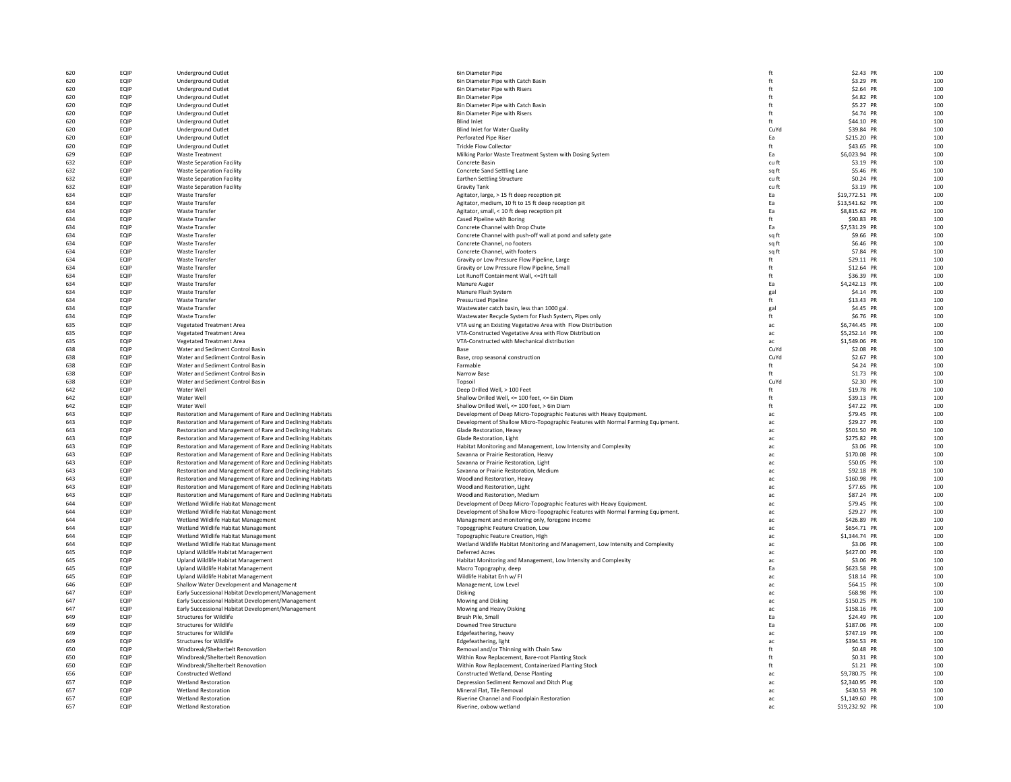| 620 | EQIP        | <b>Underground Outlet</b>                                 | 6in Diameter Pipe                                                                | ft                     | \$2.43 PR      | 100 |
|-----|-------------|-----------------------------------------------------------|----------------------------------------------------------------------------------|------------------------|----------------|-----|
| 620 | <b>FOIP</b> | <b>Underground Outlet</b>                                 | 6in Diameter Pipe with Catch Basin                                               | ft                     | \$3.29 PR      | 100 |
| 620 | EQIP        | <b>Underground Outlet</b>                                 | 6in Diameter Pipe with Risers                                                    | ft                     | \$2.64 PR      | 100 |
|     |             |                                                           |                                                                                  |                        |                |     |
| 620 | EQIP        | <b>Underground Outlet</b>                                 | 8in Diameter Pipe                                                                | ft                     | \$4.82 PR      | 100 |
| 620 | EQIP        | <b>Underground Outlet</b>                                 | 8in Diameter Pipe with Catch Basin                                               | ft                     | \$5.27 PR      | 100 |
| 620 | EQIP        | <b>Underground Outlet</b>                                 | 8in Diameter Pipe with Risers                                                    | ft                     | \$4.74 PR      | 100 |
| 620 | EQIP        | <b>Underground Outlet</b>                                 | <b>Blind Inlet</b>                                                               | ft                     | \$44.10 PR     | 100 |
|     |             |                                                           |                                                                                  |                        |                |     |
| 620 | EQIP        | <b>Underground Outlet</b>                                 | Blind Inlet for Water Quality                                                    | CuYd                   | \$39.84 PR     | 100 |
| 620 | EQIP        | <b>Underground Outlet</b>                                 | Perforated Pipe Riser                                                            | Ea                     | \$215.20 PR    | 100 |
| 620 | EQIP        | Underground Outlet                                        | <b>Trickle Flow Collector</b>                                                    | ft                     | \$43.65 PR     | 100 |
|     |             |                                                           |                                                                                  | Fa                     |                |     |
| 629 | EQIP        | <b>Waste Treatment</b>                                    | Milking Parlor Waste Treatment System with Dosing System                         |                        | \$6,023.94 PR  | 100 |
| 632 | <b>FOIP</b> | <b>Waste Separation Facility</b>                          | <b>Concrete Basin</b>                                                            | cu ft                  | \$3.19 PR      | 100 |
| 632 | EQIP        | <b>Waste Separation Facility</b>                          | Concrete Sand Settling Lane                                                      | sa ft                  | \$5.46 PR      | 100 |
| 632 | EQIP        | <b>Waste Separation Facility</b>                          | <b>Earthen Settling Structure</b>                                                | cu ft                  | \$0.24 PR      | 100 |
|     |             |                                                           |                                                                                  |                        |                |     |
| 632 | EQIP        | <b>Waste Separation Facility</b>                          | Gravity Tank                                                                     | cu ft                  | \$3.19 PR      | 100 |
| 634 | EQIP        | Waste Transfer                                            | Agitator, large, > 15 ft deep reception pit                                      | Ea                     | \$19,772.51 PR | 100 |
| 634 | EQIP        | <b>Waste Transfer</b>                                     | Agitator, medium, 10 ft to 15 ft deep reception pit                              | Ea                     | \$13,541.62 PR | 100 |
| 634 | <b>FOIP</b> |                                                           |                                                                                  | Fa                     |                |     |
|     |             | <b>Waste Transfer</b>                                     | Agitator, small, < 10 ft deep reception pit                                      |                        | \$8,815.62 PR  | 100 |
| 634 | EQIP        | Waste Transfer                                            | Cased Pipeline with Boring                                                       | ft                     | \$90.83 PR     | 100 |
| 634 | EQIP        | Waste Transfer                                            | Concrete Channel with Drop Chute                                                 | Fa                     | \$7,531.29 PR  | 100 |
| 634 | <b>FOIP</b> | <b>Waste Transfer</b>                                     | Concrete Channel with push-off wall at pond and safety gate                      |                        | \$9.66 PR      | 100 |
|     |             |                                                           |                                                                                  | sq ft                  |                |     |
| 634 | EQIP        | <b>Waste Transfer</b>                                     | Concrete Channel, no footers                                                     | sa ft                  | \$6.46 PR      | 100 |
| 634 | EQIP        | <b>Waste Transfer</b>                                     | Concrete Channel, with footers                                                   | sq ft                  | \$7.84 PR      | 100 |
| 634 | EQIP        | Waste Transfer                                            | Gravity or Low Pressure Flow Pipeline, Large                                     | ft                     | \$29.11 PR     | 100 |
|     |             |                                                           |                                                                                  |                        |                |     |
| 634 | EQIP        | <b>Waste Transfer</b>                                     | Gravity or Low Pressure Flow Pipeline, Small                                     | ft                     | \$12.64 PR     | 100 |
| 634 | EQIP        | <b>Waste Transfer</b>                                     | Lot Runoff Containment Wall, <= 1ft tall                                         | ft                     | \$36.39 PR     | 100 |
| 634 | EQIP        | <b>Waste Transfer</b>                                     | <b>Manure Auger</b>                                                              | Ea                     | \$4,242.13 PR  | 100 |
|     |             |                                                           |                                                                                  |                        |                |     |
| 634 | EQIP        | <b>Waste Transfer</b>                                     | Manure Flush System                                                              | gal                    | \$4.14 PR      | 100 |
| 634 | EQIP        | <b>Waste Transfer</b>                                     | <b>Pressurized Pipeline</b>                                                      | ft                     | \$13.43 PR     | 100 |
| 634 | EQIP        | Waste Transfer                                            | Wastewater catch basin, less than 1000 gal.                                      | gal                    | \$4.45 PR      | 100 |
| 634 | <b>FOIP</b> | <b>Waste Transfer</b>                                     | Wastewater Recycle System for Flush System, Pipes only                           | ft                     | \$6.76 PR      | 100 |
|     |             |                                                           |                                                                                  |                        |                |     |
| 635 | EQIP        | <b>Vegetated Treatment Area</b>                           | VTA using an Existing Vegetative Area with Flow Distribution                     | ac.                    | \$6,744.45 PR  | 100 |
| 635 | EQIP        | <b>Vegetated Treatment Area</b>                           | VTA-Constructed Vegetative Area with Flow Distribution                           | ac                     | \$5,252.14 PR  | 100 |
| 635 | EQIP        | <b>Vegetated Treatment Area</b>                           | VTA-Constructed with Mechanical distribution                                     | ac                     | \$1,549.06 PR  | 100 |
|     |             |                                                           |                                                                                  |                        |                |     |
| 638 | EQIP        | Water and Sediment Control Basin                          | Base                                                                             | CuYd                   | \$2.08 PR      | 100 |
| 638 | EQIP        | Water and Sediment Control Basin                          | Base, crop seasonal construction                                                 | CuYd                   | \$2.67 PR      | 100 |
| 638 | EQIP        | Water and Sediment Control Basin                          | Farmable                                                                         | ft                     | \$4.24 PR      | 100 |
|     |             |                                                           |                                                                                  |                        |                |     |
| 638 | EQIP        | Water and Sediment Control Basin                          | Narrow Base                                                                      | ft                     | \$1.73 PR      | 100 |
| 638 | EQIP        | Water and Sediment Control Basin                          | Topsoil                                                                          | CuYd                   | \$2.30 PR      | 100 |
| 642 | EQIP        | Water Well                                                | Deep Drilled Well, > 100 Feet                                                    | ft                     | \$19,78 PR     | 100 |
| 642 | <b>FOIP</b> | Water Well                                                |                                                                                  | ft                     | \$39.13 PR     | 100 |
|     |             |                                                           | Shallow Drilled Well, <= 100 feet, <= 6in Diam                                   |                        |                |     |
| 642 | EQIP        | Water Well                                                | Shallow Drilled Well, <= 100 feet, > 6in Diam                                    | ft                     | \$47.22 PR     | 100 |
| 643 | EQIP        | Restoration and Management of Rare and Declining Habitats | Development of Deep Micro-Topographic Features with Heavy Equipment              | ac                     | \$79.45 PR     | 100 |
| 643 | EQIP        | Restoration and Management of Rare and Declining Habitats | Development of Shallow Micro-Topographic Features with Normal Farming Equipment. | ac                     | \$29.27 PR     | 100 |
|     |             |                                                           |                                                                                  |                        |                |     |
| 643 | EQIP        | Restoration and Management of Rare and Declining Habitats | Glade Restoration, Heavy                                                         | ac                     | \$501.50 PR    | 100 |
| 643 | EQIP        | Restoration and Management of Rare and Declining Habitats | Glade Restoration, Light                                                         | ac                     | \$275.82 PR    | 100 |
| 643 | EQIP        | Restoration and Management of Rare and Declining Habitats | Habitat Monitoring and Management, Low Intensity and Complexity                  | ac                     | \$3.06 PR      | 100 |
| 643 | EQIP        | Restoration and Management of Rare and Declining Habitats | Savanna or Prairie Restoration, Heavy                                            | ac                     | \$170.08 PR    | 100 |
|     |             |                                                           |                                                                                  |                        |                |     |
| 643 | EQIP        | Restoration and Management of Rare and Declining Habitats | Savanna or Prairie Restoration, Light                                            | ac                     | \$50.05 PR     | 100 |
| 643 | EQIP        | Restoration and Management of Rare and Declining Habitats | Savanna or Prairie Restoration, Medium                                           | ac                     | \$92.18 PR     | 100 |
| 643 | EQIP        | Restoration and Management of Rare and Declining Habitats | Woodland Restoration, Heavy                                                      | ac.                    | \$160.98 PR    | 100 |
|     |             |                                                           |                                                                                  |                        |                |     |
| 643 | EQIP        | Restoration and Management of Rare and Declining Habitats | Woodland Restoration, Light                                                      | ac                     | \$77.65 PR     | 100 |
| 643 | EQIP        | Restoration and Management of Rare and Declining Habitats | Woodland Restoration, Medium                                                     | ac                     | \$87.24 PR     | 100 |
| 644 | EQIP        | Wetland Wildlife Habitat Management                       | Development of Deep Micro-Topographic Features with Heavy Equipment.             | ac                     | \$79.45 PR     | 100 |
| 644 |             |                                                           |                                                                                  |                        |                | 100 |
|     | EQIP        | Wetland Wildlife Habitat Management                       | Development of Shallow Micro-Topographic Features with Normal Farming Equipment. | $\mathop{\mathsf{ac}}$ | \$29.27 PR     |     |
| 644 | EQIP        | Wetland Wildlife Habitat Management                       | Management and monitoring only, foregone income                                  | ac                     | \$426.89 PR    | 100 |
| 644 | EQIP        | Wetland Wildlife Habitat Management                       | Topoggraphic Feature Creation, Low                                               | ac                     | \$654.71 PR    | 100 |
| 644 | EQIP        | Wetland Wildlife Habitat Management                       | Topographic Feature Creation, High                                               | ac                     | \$1,344.74 PR  | 100 |
|     |             |                                                           |                                                                                  |                        |                |     |
| 644 | EQIP        | Wetland Wildlife Habitat Management                       | Wetland Widlife Habitat Monitoring and Management, Low Intensity and Complexity  | ac                     | \$3.06 PR      | 100 |
| 645 | <b>FOIP</b> | Upland Wildlife Habitat Management                        | <b>Deferred Acres</b>                                                            | ac                     | \$427.00 PR    | 100 |
| 645 | <b>FOIP</b> | Upland Wildlife Habitat Management                        | Habitat Monitoring and Management, Low Intensity and Complexity                  | ac.                    | \$3.06 PR      | 100 |
| 645 | EQIP        | Upland Wildlife Habitat Management                        | Macro Topography, deep                                                           | Ea                     | \$623.58 PR    | 100 |
|     |             |                                                           |                                                                                  |                        |                |     |
| 645 | EQIP        | Upland Wildlife Habitat Management                        | Wildlife Habitat Enh w/ FI                                                       | ac                     | \$18.14 PR     | 100 |
| 646 | EQIP        | Shallow Water Development and Management                  | Management, Low Level                                                            | ac                     | \$64.15 PR     | 100 |
| 647 | EQIP        | Early Successional Habitat Development/Management         | Disking                                                                          | ac                     | \$68.98 PR     | 100 |
| 647 | EQIP        | Early Successional Habitat Development/Management         | Mowing and Disking                                                               | ac.                    | \$150.25 PR    | 100 |
|     |             |                                                           |                                                                                  |                        |                |     |
| 647 | EQIP        | Early Successional Habitat Development/Management         | Mowing and Heavy Disking                                                         | ac                     | \$158.16 PR    | 100 |
| 649 | EQIP        | <b>Structures for Wildlife</b>                            | Brush Pile, Small                                                                | Ea                     | \$24.49 PR     | 100 |
| 649 | <b>FOIP</b> | <b>Structures for Wildlife</b>                            | Downed Tree Structure                                                            | Fa                     | \$187.06 PR    | 100 |
| 649 | <b>FOIP</b> | Structures for Wildlife                                   |                                                                                  |                        | \$747.19 PR    | 100 |
|     |             |                                                           | Edgefeathering, heavy                                                            | ac.                    |                |     |
| 649 | EQIP        | <b>Structures for Wildlife</b>                            | Edgefeathering, light                                                            | ac                     | \$394.53 PR    | 100 |
| 650 | EQIP        | Windbreak/Shelterbelt Renovation                          | Removal and/or Thinning with Chain Saw                                           | ft                     | \$0.48 PR      | 100 |
|     |             |                                                           |                                                                                  |                        |                |     |
| 650 | EQIP        | Windbreak/Shelterbelt Renovation                          | Within Row Replacement, Bare-root Planting Stock                                 | ft                     | \$0.31 PR      | 100 |
| 650 | EQIP        | Windbreak/Shelterbelt Renovation                          | Within Row Replacement, Containerized Planting Stock                             | ft                     | \$1.21 PR      | 100 |
| 656 | <b>FOIP</b> | <b>Constructed Wetland</b>                                | Constructed Wetland, Dense Planting                                              | ac                     | \$9,780.75 PR  | 100 |
| 657 | EQIP        | <b>Wetland Restoration</b>                                | Depression Sediment Removal and Ditch Plug                                       | ac                     | \$2,340.95 PR  | 100 |
|     |             |                                                           |                                                                                  |                        |                |     |
| 657 | EQIP        | <b>Wetland Restoration</b>                                | Mineral Flat, Tile Removal                                                       | ac                     | \$430.53 PR    | 100 |
| 657 | EQIP        | <b>Wetland Restoration</b>                                | Riverine Channel and Floodplain Restoration                                      | ac                     | \$1,149.60 PR  | 100 |
| 657 | <b>FOIP</b> | <b>Wetland Restoration</b>                                | Riverine, oxbow wetland                                                          | ac                     | \$19,232.92 PR | 100 |